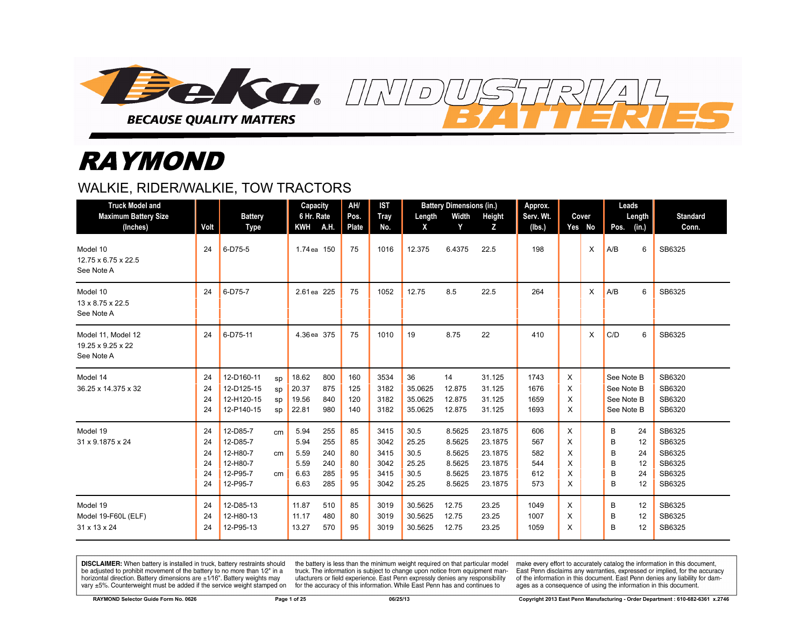

# RAYMOND

## WALKIE, RIDER/WALKIE, TOW TRACTORS

| <b>Truck Model and</b><br><b>Maximum Battery Size</b><br>(Inches) | Volt                             | <b>Battery</b><br><b>Type</b>                                        |                      | Capacity<br>6 Hr. Rate<br><b>KWH</b>         | A.H.                                   | AH/<br>Pos.<br><b>Plate</b>      | <b>IST</b><br><b>Tray</b><br>No.             | Length<br>X                                     | <b>Battery Dimensions (in.)</b><br>Width<br>Y            | Height<br>Z                                                    | Approx.<br>Serv. Wt.<br>(Ibs.)         |                            | Cover<br>Yes No | Leads<br>Length<br>Pos.<br>(in.)                               | <b>Standard</b><br>Conn.                                 |
|-------------------------------------------------------------------|----------------------------------|----------------------------------------------------------------------|----------------------|----------------------------------------------|----------------------------------------|----------------------------------|----------------------------------------------|-------------------------------------------------|----------------------------------------------------------|----------------------------------------------------------------|----------------------------------------|----------------------------|-----------------|----------------------------------------------------------------|----------------------------------------------------------|
| Model 10<br>12.75 x 6.75 x 22.5<br>See Note A                     | 24                               | 6-D75-5                                                              |                      | 1.74 ea 150                                  |                                        | 75                               | 1016                                         | 12.375                                          | 6.4375                                                   | 22.5                                                           | 198                                    |                            | X               | 6<br>A/B                                                       | SB6325                                                   |
| Model 10<br>13 x 8.75 x 22.5<br>See Note A                        | 24                               | 6-D75-7                                                              |                      | 2.61 ea 225                                  |                                        | 75                               | 1052                                         | 12.75                                           | 8.5                                                      | 22.5                                                           | 264                                    |                            | X               | A/B<br>6                                                       | SB6325                                                   |
| Model 11, Model 12<br>19.25 x 9.25 x 22<br>See Note A             | 24                               | 6-D75-11                                                             |                      | 4.36 ea 375                                  |                                        | 75                               | 1010                                         | 19                                              | 8.75                                                     | 22                                                             | 410                                    |                            | X               | C/D<br>6                                                       | SB6325                                                   |
| Model 14<br>36.25 x 14.375 x 32                                   | 24<br>24<br>24<br>24             | 12-D160-11<br>12-D125-15<br>12-H120-15<br>12-P140-15                 | SD<br>sp<br>sp<br>sp | 18.62<br>20.37<br>19.56<br>22.81             | 800<br>875<br>840<br>980               | 160<br>125<br>120<br>140         | 3534<br>3182<br>3182<br>3182                 | 36<br>35.0625<br>35.0625<br>35.0625             | 14<br>12.875<br>12.875<br>12.875                         | 31.125<br>31.125<br>31.125<br>31.125                           | 1743<br>1676<br>1659<br>1693           | X<br>X<br>X<br>X           |                 | See Note B<br>See Note B<br>See Note B<br>See Note B           | SB6320<br>SB6320<br>SB6320<br>SB6320                     |
| Model 19<br>31 x 9.1875 x 24                                      | 24<br>24<br>24<br>24<br>24<br>24 | 12-D85-7<br>12-D85-7<br>12-H80-7<br>12-H80-7<br>12-P95-7<br>12-P95-7 | cm<br>cm<br>cm       | 5.94<br>5.94<br>5.59<br>5.59<br>6.63<br>6.63 | 255<br>255<br>240<br>240<br>285<br>285 | 85<br>85<br>80<br>80<br>95<br>95 | 3415<br>3042<br>3415<br>3042<br>3415<br>3042 | 30.5<br>25.25<br>30.5<br>25.25<br>30.5<br>25.25 | 8.5625<br>8.5625<br>8.5625<br>8.5625<br>8.5625<br>8.5625 | 23.1875<br>23.1875<br>23.1875<br>23.1875<br>23.1875<br>23.1875 | 606<br>567<br>582<br>544<br>612<br>573 | X<br>X<br>X<br>X<br>X<br>X |                 | B<br>24<br>B<br>12<br>в<br>24<br>B<br>12<br>в<br>24<br>B<br>12 | SB6325<br>SB6325<br>SB6325<br>SB6325<br>SB6325<br>SB6325 |
| Model 19<br>Model 19-F60L (ELF)<br>31 x 13 x 24                   | 24<br>24<br>24                   | 12-D85-13<br>12-H80-13<br>12-P95-13                                  |                      | 11.87<br>11.17<br>13.27                      | 510<br>480<br>570                      | 85<br>80<br>95                   | 3019<br>3019<br>3019                         | 30.5625<br>30.5625<br>30.5625                   | 12.75<br>12.75<br>12.75                                  | 23.25<br>23.25<br>23.25                                        | 1049<br>1007<br>1059                   | X<br>X<br>X                |                 | B<br>12<br>B<br>12<br>B<br>12                                  | SB6325<br>SB6325<br>SB6325                               |

 $\overline{D}$ 

DISCLAIMER: When battery is installed in truck, battery restraints should be adjusted to prohibit movement of the battery to no more than 1/2" in a horizontal direction. Battery dimensions are  $\pm 1/16$ ". Battery weights may vary ±5%. Counterweight must be added if the service weight stamped on

the battery is less than the minimum weight required on that particular model truck. The information is subject to change upon notice from equipment manufacturers or field experience. East Penn expressly denies any responsibility for the accuracy of this information. While East Penn has and continues to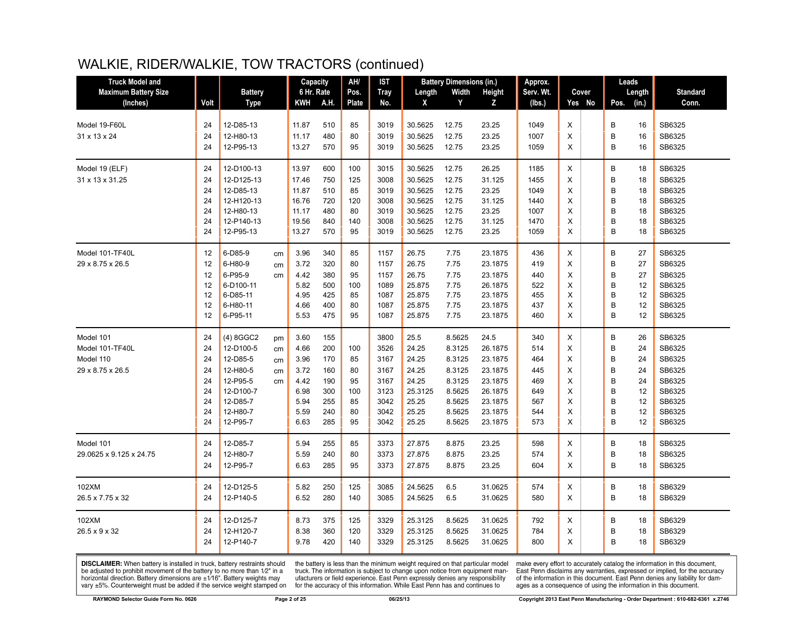| <b>Truck Model and</b>      |      |                |    | Capacity   |      | AH/   | IST  |         | <b>Battery Dimensions (in.)</b> |         | Approx.   |   |        | Leads |        |                 |
|-----------------------------|------|----------------|----|------------|------|-------|------|---------|---------------------------------|---------|-----------|---|--------|-------|--------|-----------------|
| <b>Maximum Battery Size</b> |      | <b>Battery</b> |    | 6 Hr. Rate |      | Pos.  | Tray | Length  | Width                           | Height  | Serv. Wt. |   | Cover  |       | Length | <b>Standard</b> |
| (Inches)                    | Volt | Type           |    | <b>KWH</b> | A.H. | Plate | No.  | X       | Y                               | z       | (lbs.)    |   | Yes No | Pos.  | (in.)  | Conn.           |
|                             |      |                |    |            |      |       |      |         |                                 |         |           |   |        |       |        |                 |
| Model 19-F60L               | 24   | 12-D85-13      |    | 11.87      | 510  | 85    | 3019 | 30.5625 | 12.75                           | 23.25   | 1049      | X |        | B     | 16     | SB6325          |
| 31 x 13 x 24                | 24   | 12-H80-13      |    | 11.17      | 480  | 80    | 3019 | 30.5625 | 12.75                           | 23.25   | 1007      | X |        | B     | 16     | SB6325          |
|                             | 24   | 12-P95-13      |    | 13.27      | 570  | 95    | 3019 | 30.5625 | 12.75                           | 23.25   | 1059      | X |        | B     | 16     | SB6325          |
| Model 19 (ELF)              | 24   | 12-D100-13     |    | 13.97      | 600  | 100   | 3015 | 30.5625 | 12.75                           | 26.25   | 1185      | X |        | B     | 18     | SB6325          |
| 31 x 13 x 31.25             | 24   | 12-D125-13     |    | 17.46      | 750  | 125   | 3008 | 30.5625 | 12.75                           | 31.125  | 1455      | X |        | B     | 18     | SB6325          |
|                             | 24   | 12-D85-13      |    | 11.87      | 510  | 85    | 3019 | 30.5625 | 12.75                           | 23.25   | 1049      | X |        | B     | 18     | SB6325          |
|                             | 24   | 12-H120-13     |    | 16.76      | 720  | 120   | 3008 | 30.5625 | 12.75                           | 31.125  | 1440      | X |        | B     | 18     | SB6325          |
|                             | 24   | 12-H80-13      |    | 11.17      | 480  | 80    | 3019 | 30.5625 | 12.75                           | 23.25   | 1007      | X |        | B     | 18     | SB6325          |
|                             | 24   | 12-P140-13     |    | 19.56      | 840  | 140   | 3008 | 30.5625 | 12.75                           | 31.125  | 1470      | X |        | B     | 18     | SB6325          |
|                             | 24   | 12-P95-13      |    | 13.27      | 570  | 95    | 3019 | 30.5625 | 12.75                           | 23.25   | 1059      | X |        | B     | 18     | SB6325          |
| Model 101-TF40L             | 12   | 6-D85-9        | cm | 3.96       | 340  | 85    | 1157 | 26.75   | 7.75                            | 23.1875 | 436       | X |        | B     | 27     | SB6325          |
| 29 x 8.75 x 26.5            | 12   | 6-H80-9        | cm | 3.72       | 320  | 80    | 1157 | 26.75   | 7.75                            | 23.1875 | 419       | X |        | B     | 27     | SB6325          |
|                             | 12   | 6-P95-9        | cm | 4.42       | 380  | 95    | 1157 | 26.75   | 7.75                            | 23.1875 | 440       | X |        | B     | 27     | SB6325          |
|                             | 12   | 6-D100-11      |    | 5.82       | 500  | 100   | 1089 | 25.875  | 7.75                            | 26.1875 | 522       | X |        | B     | 12     | SB6325          |
|                             | 12   | 6-D85-11       |    | 4.95       | 425  | 85    | 1087 | 25.875  | 7.75                            | 23.1875 | 455       | X |        | B     | 12     | SB6325          |
|                             | 12   | 6-H80-11       |    | 4.66       | 400  | 80    | 1087 | 25.875  | 7.75                            | 23.1875 | 437       | X |        | B     | 12     | SB6325          |
|                             | 12   | 6-P95-11       |    | 5.53       | 475  | 95    | 1087 | 25.875  | 7.75                            | 23.1875 | 460       | X |        | B     | 12     | SB6325          |
| Model 101                   | 24   | (4) 8GGC2      | pm | 3.60       | 155  |       | 3800 | 25.5    | 8.5625                          | 24.5    | 340       | X |        | B     | 26     | SB6325          |
| Model 101-TF40L             | 24   | 12-D100-5      | cm | 4.66       | 200  | 100   | 3526 | 24.25   | 8.3125                          | 26.1875 | 514       | X |        | B     | 24     | SB6325          |
| Model 110                   | 24   | 12-D85-5       | cm | 3.96       | 170  | 85    | 3167 | 24.25   | 8.3125                          | 23.1875 | 464       | X |        | B     | 24     | SB6325          |
| 29 x 8.75 x 26.5            | 24   | 12-H80-5       | cm | 3.72       | 160  | 80    | 3167 | 24.25   | 8.3125                          | 23.1875 | 445       | X |        | B     | 24     | SB6325          |
|                             | 24   | 12-P95-5       | cm | 4.42       | 190  | 95    | 3167 | 24.25   | 8.3125                          | 23.1875 | 469       | X |        | B     | 24     | SB6325          |
|                             | 24   | 12-D100-7      |    | 6.98       | 300  | 100   | 3123 | 25.3125 | 8.5625                          | 26.1875 | 649       | X |        | B     | 12     | SB6325          |
|                             | 24   | 12-D85-7       |    | 5.94       | 255  | 85    | 3042 | 25.25   | 8.5625                          | 23.1875 | 567       | X |        | B     | 12     | SB6325          |
|                             | 24   | 12-H80-7       |    | 5.59       | 240  | 80    | 3042 | 25.25   | 8.5625                          | 23.1875 | 544       | X |        | B     | 12     | SB6325          |
|                             | 24   | 12-P95-7       |    | 6.63       | 285  | 95    | 3042 | 25.25   | 8.5625                          | 23.1875 | 573       | X |        | B     | 12     | SB6325          |
| Model 101                   | 24   | 12-D85-7       |    | 5.94       | 255  | 85    | 3373 | 27.875  | 8.875                           | 23.25   | 598       | X |        | B     | 18     | SB6325          |
| 29.0625 x 9.125 x 24.75     | 24   | 12-H80-7       |    | 5.59       | 240  | 80    | 3373 | 27.875  | 8.875                           | 23.25   | 574       | X |        | B     | 18     | SB6325          |
|                             | 24   | 12-P95-7       |    | 6.63       | 285  | 95    | 3373 | 27.875  | 8.875                           | 23.25   | 604       | X |        | B     | 18     | SB6325          |
| 102XM                       | 24   | 12-D125-5      |    | 5.82       | 250  | 125   | 3085 | 24.5625 | 6.5                             | 31.0625 | 574       | X |        | B     | 18     | SB6329          |
| 26.5 x 7.75 x 32            | 24   | 12-P140-5      |    | 6.52       | 280  | 140   | 3085 | 24.5625 | 6.5                             | 31.0625 | 580       | X |        | B     | 18     | SB6329          |
| 102XM                       | 24   | 12-D125-7      |    | 8.73       | 375  | 125   | 3329 | 25.3125 | 8.5625                          | 31.0625 | 792       | X |        | B     | 18     | SB6329          |
| 26.5 x 9 x 32               | 24   | 12-H120-7      |    | 8.38       | 360  | 120   | 3329 | 25.3125 | 8.5625                          | 31.0625 | 784       | X |        | B     | 18     | SB6329          |
|                             | 24   |                |    |            | 420  |       |      |         |                                 |         |           | X |        | B     |        | SB6329          |
|                             |      | 12-P140-7      |    | 9.78       |      | 140   | 3329 | 25.3125 | 8.5625                          | 31.0625 | 800       |   |        |       | 18     |                 |

**DISCLAIMER:** When battery is installed in truck, battery restraints should be adjusted to prohibit movement of the battery to no more than  $12^v$  in a horizontal direction. Battery dimensions are  $\pm 1/16^v$ . Battery wei

the battery is less than the minimum weight required on that particular model<br>truck. The information is subject to change upon notice from equipment manufacturers or field experience. East Penn expressly denies any responsibility for the accuracy of this information. While East Penn has and continues to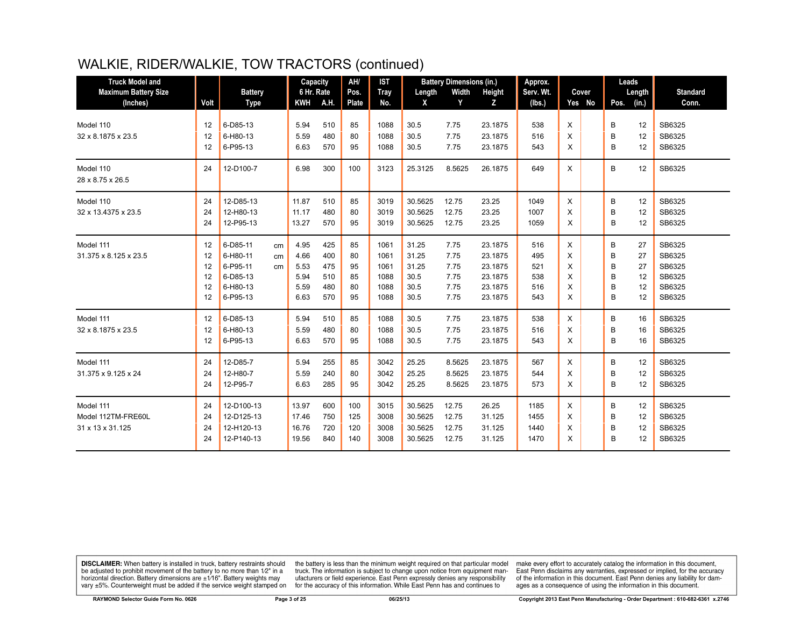| <b>Truck Model and</b>      |      |                |            | Capacity   | AH/          | <b>IST</b>  |         | <b>Battery Dimensions (in.)</b> |         | Approx.   |   |        | Leads  |       |                 |
|-----------------------------|------|----------------|------------|------------|--------------|-------------|---------|---------------------------------|---------|-----------|---|--------|--------|-------|-----------------|
| <b>Maximum Battery Size</b> |      | <b>Battery</b> |            | 6 Hr. Rate | Pos.         | <b>Tray</b> | Length  | Width                           | Height  | Serv. Wt. |   | Cover  | Length |       | <b>Standard</b> |
| (Inches)                    | Volt | <b>Type</b>    | <b>KWH</b> | A.H.       | <b>Plate</b> | No.         | X       | Y                               | z       | (Ibs.)    |   | Yes No | Pos.   | (in.) | Conn.           |
| Model 110                   | 12   | 6-D85-13       | 5.94       | 510        | 85           | 1088        | 30.5    | 7.75                            | 23.1875 | 538       | X |        | B      | 12    | SB6325          |
| 32 x 8.1875 x 23.5          | 12   | 6-H80-13       | 5.59       | 480        | 80           | 1088        | 30.5    | 7.75                            | 23.1875 | 516       | X |        | B      | 12    | SB6325          |
|                             | 12   | 6-P95-13       | 6.63       | 570        | 95           | 1088        | 30.5    | 7.75                            | 23.1875 | 543       | X |        | B      | 12    | SB6325          |
|                             |      |                |            |            |              |             |         |                                 |         |           |   |        |        |       |                 |
| Model 110                   | 24   | 12-D100-7      | 6.98       | 300        | 100          | 3123        | 25.3125 | 8.5625                          | 26.1875 | 649       | X |        | B      | 12    | SB6325          |
| 28 x 8.75 x 26.5            |      |                |            |            |              |             |         |                                 |         |           |   |        |        |       |                 |
| Model 110                   | 24   | 12-D85-13      | 11.87      | 510        | 85           | 3019        | 30.5625 | 12.75                           | 23.25   | 1049      | X |        | B      | 12    | SB6325          |
| 32 x 13.4375 x 23.5         | 24   | 12-H80-13      | 11.17      | 480        | 80           | 3019        | 30.5625 | 12.75                           | 23.25   | 1007      | X |        | B      | 12    | SB6325          |
|                             | 24   | 12-P95-13      | 13.27      | 570        | 95           | 3019        | 30.5625 | 12.75                           | 23.25   | 1059      | X |        | в      | 12    | SB6325          |
| Model 111                   | 12   | 6-D85-11<br>cm | 4.95       | 425        | 85           | 1061        | 31.25   | 7.75                            | 23.1875 | 516       | X |        | B      | 27    | SB6325          |
| 31.375 x 8.125 x 23.5       | 12   | 6-H80-11<br>cm | 4.66       | 400        | 80           | 1061        | 31.25   | 7.75                            | 23.1875 | 495       | X |        | B      | 27    | SB6325          |
|                             | 12   | 6-P95-11<br>cm | 5.53       | 475        | 95           | 1061        | 31.25   | 7.75                            | 23.1875 | 521       | X |        | B      | 27    | SB6325          |
|                             | 12   | 6-D85-13       | 5.94       | 510        | 85           | 1088        | 30.5    | 7.75                            | 23.1875 | 538       | X |        | B      | 12    | SB6325          |
|                             | 12   | 6-H80-13       | 5.59       | 480        | 80           | 1088        | 30.5    | 7.75                            | 23.1875 | 516       | X |        | B      | 12    | SB6325          |
|                             | 12   | 6-P95-13       | 6.63       | 570        | 95           | 1088        | 30.5    | 7.75                            | 23.1875 | 543       | X |        | B      | 12    | SB6325          |
| Model 111                   | 12   | 6-D85-13       | 5.94       | 510        | 85           | 1088        | 30.5    | 7.75                            | 23.1875 | 538       | X |        | B      | 16    | SB6325          |
| 32 x 8.1875 x 23.5          | 12   | 6-H80-13       | 5.59       | 480        | 80           | 1088        | 30.5    | 7.75                            | 23.1875 | 516       | X |        | B      | 16    | SB6325          |
|                             | 12   | 6-P95-13       | 6.63       | 570        | 95           | 1088        | 30.5    | 7.75                            | 23.1875 | 543       | X |        | B      | 16    | SB6325          |
| Model 111                   | 24   | 12-D85-7       | 5.94       | 255        | 85           | 3042        | 25.25   | 8.5625                          | 23.1875 | 567       | X |        | B      | 12    | SB6325          |
| 31.375 x 9.125 x 24         | 24   | 12-H80-7       | 5.59       | 240        | 80           | 3042        | 25.25   | 8.5625                          | 23.1875 | 544       | X |        | B      | 12    | SB6325          |
|                             | 24   | 12-P95-7       | 6.63       | 285        | 95           | 3042        | 25.25   | 8.5625                          | 23.1875 | 573       | X |        | B      | 12    | SB6325          |
| Model 111                   | 24   | 12-D100-13     | 13.97      | 600        | 100          | 3015        | 30.5625 | 12.75                           | 26.25   | 1185      | X |        | B      | 12    | SB6325          |
| Model 112TM-FRE60L          | 24   | 12-D125-13     | 17.46      | 750        | 125          | 3008        | 30.5625 | 12.75                           | 31.125  | 1455      | X |        | B      | 12    | SB6325          |
| 31 x 13 x 31.125            | 24   | 12-H120-13     | 16.76      | 720        | 120          | 3008        | 30.5625 | 12.75                           | 31.125  | 1440      | X |        | B      | 12    | SB6325          |
|                             | 24   | 12-P140-13     | 19.56      | 840        | 140          | 3008        | 30.5625 | 12.75                           | 31.125  | 1470      | X |        | B      | 12    | SB6325          |

**DISCLAIMER:** When battery is installed in truck, battery restraints should be adjusted to prohibit movement of the battery to no more than  $12^v$  in a horizontal direction. Battery dimensions are  $\pm 1/16^v$ . Battery wei

the battery is less than the minimum weight required on that particular model<br>truck. The information is subject to change upon notice from equipment manufacturers or field experience. East Penn expressly denies any responsibility for the accuracy of this information. While East Penn has and continues to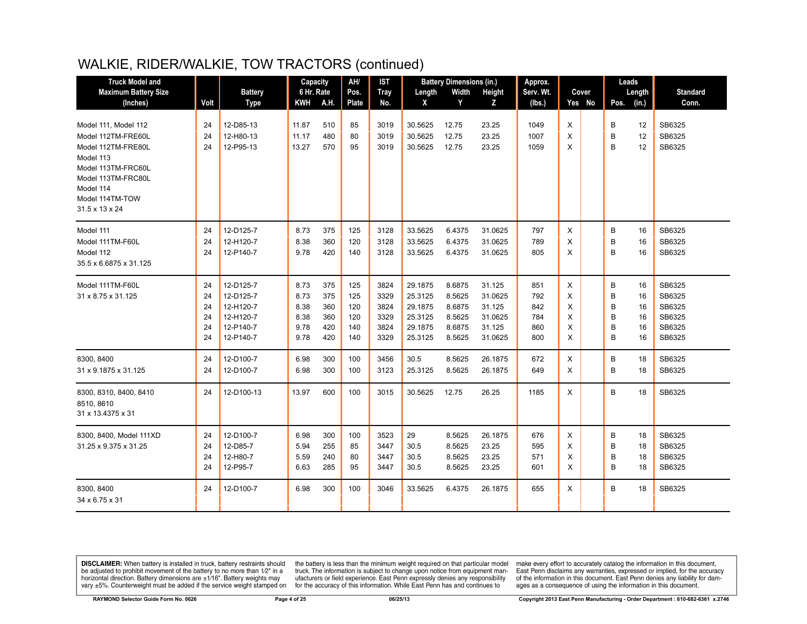| <b>Truck Model and</b>                                                                                                                                                      |                                  |                                                                            | Capacity                                     |                                        | AH/                                    | IST                                          |                                                                | <b>Battery Dimensions (in.)</b>                          |                                                             | Approx.                                |                            |        |                            | Leads                            |                                                          |
|-----------------------------------------------------------------------------------------------------------------------------------------------------------------------------|----------------------------------|----------------------------------------------------------------------------|----------------------------------------------|----------------------------------------|----------------------------------------|----------------------------------------------|----------------------------------------------------------------|----------------------------------------------------------|-------------------------------------------------------------|----------------------------------------|----------------------------|--------|----------------------------|----------------------------------|----------------------------------------------------------|
| <b>Maximum Battery Size</b>                                                                                                                                                 |                                  | <b>Battery</b>                                                             | 6 Hr. Rate                                   |                                        | Pos.                                   | <b>Tray</b>                                  | Length                                                         | Width                                                    | Height                                                      | Serv. Wt.                              |                            | Cover  |                            | Length                           | <b>Standard</b>                                          |
| (Inches)                                                                                                                                                                    | Volt                             | <b>Type</b>                                                                | KWH A.H.                                     |                                        | <b>Plate</b>                           | No.                                          | X                                                              | Y                                                        | Z                                                           | (lbs.)                                 |                            | Yes No | Pos.                       | (in.)                            | Conn.                                                    |
| Model 111. Model 112<br>Model 112TM-FRE60L<br>Model 112TM-FRE80L<br>Model 113<br>Model 113TM-FRC60L<br>Model 113TM-FRC80L<br>Model 114<br>Model 114TM-TOW<br>31.5 x 13 x 24 | 24<br>24<br>24                   | 12-D85-13<br>12-H80-13<br>12-P95-13                                        | 11.87<br>11.17<br>13.27                      | 510<br>480<br>570                      | 85<br>80<br>95                         | 3019<br>3019<br>3019                         | 30.5625<br>30.5625<br>30.5625                                  | 12.75<br>12.75<br>12.75                                  | 23.25<br>23.25<br>23.25                                     | 1049<br>1007<br>1059                   | X<br>X<br>X                |        | В<br>B<br>B                | 12<br>12<br>12                   | SB6325<br>SB6325<br>SB6325                               |
| Model 111<br>Model 111TM-F60L<br>Model 112<br>35.5 x 6.6875 x 31.125                                                                                                        | 24<br>24<br>24                   | 12-D125-7<br>12-H120-7<br>12-P140-7                                        | 8.73<br>8.38<br>9.78                         | 375<br>360<br>420                      | 125<br>120<br>140                      | 3128<br>3128<br>3128                         | 33.5625<br>33.5625<br>33.5625                                  | 6.4375<br>6.4375<br>6.4375                               | 31.0625<br>31.0625<br>31.0625                               | 797<br>789<br>805                      | X<br>X<br>X                |        | B<br>B<br>B                | 16<br>16<br>16                   | SB6325<br>SB6325<br>SB6325                               |
| Model 111TM-F60L<br>31 x 8.75 x 31.125                                                                                                                                      | 24<br>24<br>24<br>24<br>24<br>24 | 12-D125-7<br>12-D125-7<br>12-H120-7<br>12-H120-7<br>12-P140-7<br>12-P140-7 | 8.73<br>8.73<br>8.38<br>8.38<br>9.78<br>9.78 | 375<br>375<br>360<br>360<br>420<br>420 | 125<br>125<br>120<br>120<br>140<br>140 | 3824<br>3329<br>3824<br>3329<br>3824<br>3329 | 29.1875<br>25.3125<br>29.1875<br>25.3125<br>29.1875<br>25.3125 | 8.6875<br>8.5625<br>8.6875<br>8.5625<br>8.6875<br>8.5625 | 31.125<br>31.0625<br>31.125<br>31.0625<br>31.125<br>31.0625 | 851<br>792<br>842<br>784<br>860<br>800 | X<br>X<br>X<br>X<br>X<br>X |        | B<br>B<br>B<br>B<br>B<br>B | 16<br>16<br>16<br>16<br>16<br>16 | SB6325<br>SB6325<br>SB6325<br>SB6325<br>SB6325<br>SB6325 |
| 8300, 8400<br>31 x 9.1875 x 31.125                                                                                                                                          | 24<br>24                         | 12-D100-7<br>12-D100-7                                                     | 6.98<br>6.98                                 | 300<br>300                             | 100<br>100                             | 3456<br>3123                                 | 30.5<br>25.3125                                                | 8.5625<br>8.5625                                         | 26.1875<br>26.1875                                          | 672<br>649                             | X<br>X                     |        | B<br>B                     | 18<br>18                         | SB6325<br>SB6325                                         |
| 8300, 8310, 8400, 8410<br>8510, 8610<br>31 x 13.4375 x 31                                                                                                                   | 24                               | 12-D100-13                                                                 | 13.97                                        | 600                                    | 100                                    | 3015                                         | 30.5625                                                        | 12.75                                                    | 26.25                                                       | 1185                                   | X                          |        | B                          | 18                               | SB6325                                                   |
| 8300, 8400, Model 111XD<br>31.25 x 9.375 x 31.25                                                                                                                            | 24<br>24<br>24<br>24             | 12-D100-7<br>12-D85-7<br>12-H80-7<br>12-P95-7                              | 6.98<br>5.94<br>5.59<br>6.63                 | 300<br>255<br>240<br>285               | 100<br>85<br>80<br>95                  | 3523<br>3447<br>3447<br>3447                 | 29<br>30.5<br>30.5<br>30.5                                     | 8.5625<br>8.5625<br>8.5625<br>8.5625                     | 26.1875<br>23.25<br>23.25<br>23.25                          | 676<br>595<br>571<br>601               | X<br>X<br>X<br>X           |        | B<br>B<br>B<br>B           | 18<br>18<br>18<br>18             | SB6325<br>SB6325<br>SB6325<br>SB6325                     |
| 8300, 8400<br>34 x 6.75 x 31                                                                                                                                                | 24                               | 12-D100-7                                                                  | 6.98                                         | 300                                    | 100                                    | 3046                                         | 33.5625                                                        | 6.4375                                                   | 26.1875                                                     | 655                                    | X                          |        | B                          | 18                               | SB6325                                                   |

**DISCLAIMER:** When battery is installed in truck, battery restraints should be adjusted to prohibit movement of the battery to no more than  $12^v$  in a horizontal direction. Battery dimensions are  $\pm 1/16^v$ . Battery wei

the battery is less than the minimum weight required on that particular model<br>truck. The information is subject to change upon notice from equipment manufacturers or field experience. East Penn expressly denies any responsibility for the accuracy of this information. While East Penn has and continues to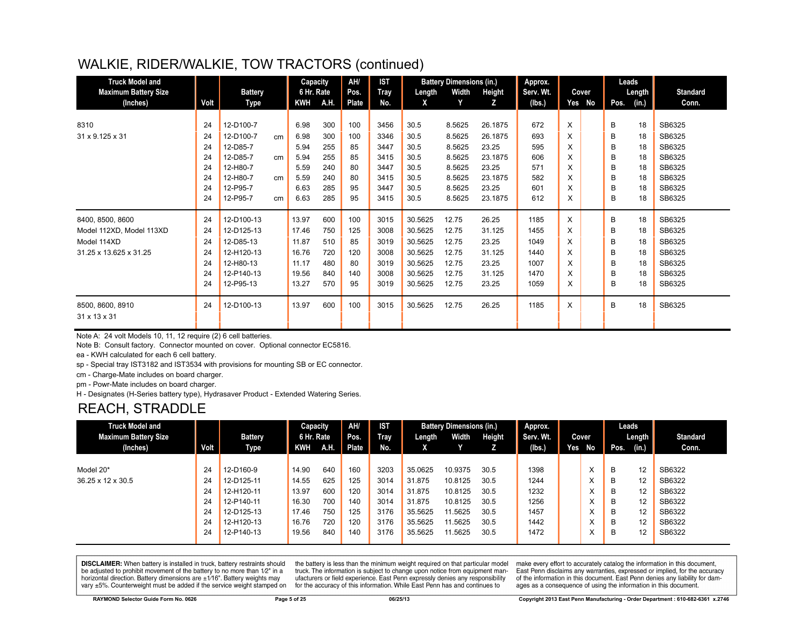| <b>Truck Model and</b><br><b>Maximum Battery Size</b> |      | <b>Battery</b> |    | Capacity<br>6 Hr. Rate |      | AH/<br>Pos.  | <b>IST</b><br>Tray | Length  | <b>Battery Dimensions (in.)</b><br>Width | Height  | Approx.<br>Serv. Wt. |   | Cover  |      | Leads<br>Length | <b>Standard</b> |
|-------------------------------------------------------|------|----------------|----|------------------------|------|--------------|--------------------|---------|------------------------------------------|---------|----------------------|---|--------|------|-----------------|-----------------|
| (Inches)                                              | Volt | Type           |    | <b>KWH</b>             | A.H. | <b>Plate</b> | No.                | X       | Y                                        | z       | (lbs.)               |   | Yes No | Pos. | (in.)           | Conn.           |
| 8310                                                  | 24   | 12-D100-7      |    | 6.98                   | 300  | 100          | 3456               | 30.5    | 8.5625                                   | 26.1875 | 672                  | X |        | в    | 18              | SB6325          |
| 31 x 9.125 x 31                                       | 24   | 12-D100-7      |    | 6.98                   | 300  | 100          | 3346               | 30.5    | 8.5625                                   | 26.1875 | 693                  | X |        | B    | 18              | SB6325          |
|                                                       | 24   | 12-D85-7       | cm | 5.94                   | 255  | 85           | 3447               | 30.5    | 8.5625                                   | 23.25   | 595                  | X |        | B    | 18              | SB6325          |
|                                                       | 24   | 12-D85-7       | cm | 5.94                   | 255  | 85           | 3415               | 30.5    | 8.5625                                   | 23.1875 | 606                  | X |        | B    | 18              | SB6325          |
|                                                       | 24   | 12-H80-7       |    | 5.59                   | 240  | 80           | 3447               | 30.5    | 8.5625                                   | 23.25   | 571                  | X |        | B    | 18              | SB6325          |
|                                                       | 24   | 12-H80-7       | cm | 5.59                   | 240  | 80           | 3415               | 30.5    | 8.5625                                   | 23.1875 | 582                  | X |        | B    | 18              | SB6325          |
|                                                       | 24   | 12-P95-7       |    | 6.63                   | 285  | 95           | 3447               | 30.5    | 8.5625                                   | 23.25   | 601                  | X |        | B    | 18              | SB6325          |
|                                                       | 24   | 12-P95-7       | cm | 6.63                   | 285  | 95           | 3415               | 30.5    | 8.5625                                   | 23.1875 | 612                  | X |        | B    | 18              | SB6325          |
|                                                       |      |                |    |                        |      |              |                    |         |                                          |         |                      |   |        |      |                 |                 |
| 8400, 8500, 8600                                      | 24   | 12-D100-13     |    | 13.97                  | 600  | 100          | 3015               | 30.5625 | 12.75                                    | 26.25   | 1185                 | X |        | в    | 18              | SB6325          |
| Model 112XD, Model 113XD                              | 24   | 12-D125-13     |    | 17.46                  | 750  | 125          | 3008               | 30.5625 | 12.75                                    | 31.125  | 1455                 | X |        | B    | 18              | SB6325          |
| Model 114XD                                           | 24   | 12-D85-13      |    | 11.87                  | 510  | 85           | 3019               | 30.5625 | 12.75                                    | 23.25   | 1049                 | X |        | B    | 18              | SB6325          |
| 31.25 x 13.625 x 31.25                                | 24   | 12-H120-13     |    | 16.76                  | 720  | 120          | 3008               | 30.5625 | 12.75                                    | 31.125  | 1440                 | X |        | в    | 18              | SB6325          |
|                                                       | 24   | 12-H80-13      |    | 11.17                  | 480  | 80           | 3019               | 30.5625 | 12.75                                    | 23.25   | 1007                 | X |        | B    | 18              | SB6325          |
|                                                       | 24   | 12-P140-13     |    | 19.56                  | 840  | 140          | 3008               | 30.5625 | 12.75                                    | 31.125  | 1470                 | X |        | B    | 18              | SB6325          |
|                                                       | 24   | 12-P95-13      |    | 13.27                  | 570  | 95           | 3019               | 30.5625 | 12.75                                    | 23.25   | 1059                 | X |        | B    | 18              | SB6325          |
| 8500, 8600, 8910<br>31 x 13 x 31                      | 24   | 12-D100-13     |    | 13.97                  | 600  | 100          | 3015               | 30.5625 | 12.75                                    | 26.25   | 1185                 | X |        | B    | 18              | SB6325          |

Note A: 24 volt Models 10, 11, 12 require (2) 6 cell batteries.

Note B: Consult factory. Connector mounted on cover. Optional connector EC5816.

ea - KWH calculated for each 6 cell battery.

sp - Special tray IST3182 and IST3534 with provisions for mounting SB or EC connector.

cm - Charge-Mate includes on board charger.

pm - Powr-Mate includes on board charger.

H - Designates (H-Series battery type), Hydrasaver Product - Extended Watering Series.

## REACH, STRADDLE

| <b>Truck Model and</b>      |                   |            | Capacity   |      | AH/          | <b>IST</b> |         | <b>Battery Dimensions (in.)</b> |        | Approx.   |     |                   |      | Leads  |                 |
|-----------------------------|-------------------|------------|------------|------|--------------|------------|---------|---------------------------------|--------|-----------|-----|-------------------|------|--------|-----------------|
| <b>Maximum Battery Size</b> |                   | Battery    | 6 Hr. Rate |      | Pos.         | Tray       | Length  | Width                           | Height | Serv. Wt. |     | Cover             |      | Length | <b>Standard</b> |
| (Inches)                    | Volt <sub>1</sub> | Type       | KWH        | A.H. | <b>Plate</b> | No.        | χ.      |                                 |        | (lbs.)    | Yes | No                | Pos. | (in.)  | Conn.           |
|                             |                   |            |            |      |              |            |         |                                 |        |           |     |                   |      |        |                 |
| Model 20*                   | 24                | 12-D160-9  | 14.90      | 640  | 160          | 3203       | 35.0625 | 10.9375                         | 30.5   | 1398      |     | X                 | B    | 12     | SB6322          |
| 36.25 x 12 x 30.5           | 24                | 12-D125-11 | 14.55      | 625  | 125          | 3014       | 31.875  | 10.8125                         | 30.5   | 1244      |     | $\lambda$<br>ᄉ    | B    | 12     | SB6322          |
|                             | 24                | 12-H120-11 | 13.97      | 600  | 120          | 3014       | 31.875  | 10.8125                         | 30.5   | 1232      |     | $\checkmark$<br>⋏ | B    | 12     | SB6322          |
|                             | 24                | 12-P140-11 | 16.30      | 700  | 140          | 3014       | 31.875  | 10.8125                         | 30.5   | 1256      |     | $\checkmark$<br>⋏ | B    | 12     | SB6322          |
|                             | 24                | 12-D125-13 | 17.46      | 750  | 125          | 3176       | 35.5625 | 11.5625                         | 30.5   | 1457      |     | $\checkmark$<br>⋏ | B    | 12     | SB6322          |
|                             | 24                | 12-H120-13 | 16.76      | 720  | 120          | 3176       | 35.5625 | 11.5625                         | 30.5   | 1442      |     | $\checkmark$<br>⋏ | B    | 12     | SB6322          |
|                             | 24                | 12-P140-13 | 19.56      | 840  | 140          | 3176       | 35.5625 | 11.5625                         | 30.5   | 1472      |     | $\checkmark$<br>⋏ | B    | 12     | SB6322          |

**DISCLAIMER:** When battery is installed in truck, battery restraints should be adjusted to prohibit movement of the battery to no more than 1/2" in a horizontal direction. Battery dimensions are  $\pm 1/16$ ". Battery weights may vary ±5%. Counterweight must be added if the service weight stamped on

the battery is less than the minimum weight required on that particular model truck. The information is subject to change upon notice from equipment manufacturers or field experience. East Penn expressly denies any responsibility for the accuracy of this information. While East Penn has and continues to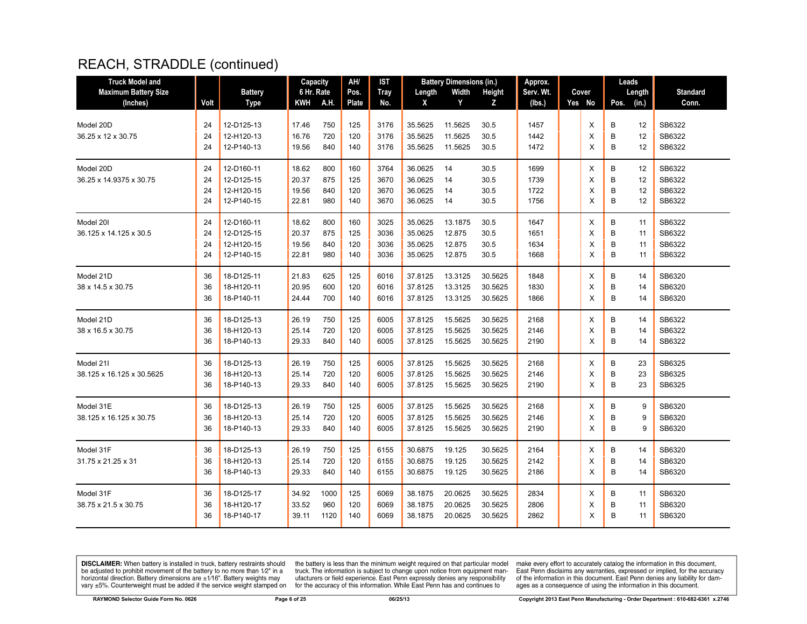| <b>Truck Model and</b>      |      |                | Capacity   |      | AH/   | <b>IST</b>  |         | <b>Battery Dimensions (in.)</b> |         | Approx.   |        |      | Leads  |                 |
|-----------------------------|------|----------------|------------|------|-------|-------------|---------|---------------------------------|---------|-----------|--------|------|--------|-----------------|
| <b>Maximum Battery Size</b> |      | <b>Battery</b> | 6 Hr. Rate |      | Pos.  | <b>Tray</b> | Length  | Width                           | Height  | Serv. Wt. | Cover  |      | Length | <b>Standard</b> |
| (Inches)                    | Volt | <b>Type</b>    | KWH        | A.H. | Plate | No.         | X       | Y                               | z       | (lbs.)    | Yes No | Pos. | (in.)  | Conn.           |
|                             |      |                |            |      |       |             |         |                                 |         |           |        |      |        |                 |
| Model 20D                   | 24   | 12-D125-13     | 17.46      | 750  | 125   | 3176        | 35.5625 | 11.5625                         | 30.5    | 1457      | X      | B    | 12     | SB6322          |
| 36.25 x 12 x 30.75          | 24   | 12-H120-13     | 16.76      | 720  | 120   | 3176        | 35.5625 | 11.5625                         | 30.5    | 1442      | X      | B    | 12     | SB6322          |
|                             | 24   | 12-P140-13     | 19.56      | 840  | 140   | 3176        | 35.5625 | 11.5625                         | 30.5    | 1472      | X      | B    | 12     | SB6322          |
| Model 20D                   | 24   | 12-D160-11     | 18.62      | 800  | 160   | 3764        | 36.0625 | 14                              | 30.5    | 1699      | X      | B    | 12     | SB6322          |
| 36.25 x 14.9375 x 30.75     | 24   | 12-D125-15     | 20.37      | 875  | 125   | 3670        | 36.0625 | 14                              | 30.5    | 1739      | X      | B    | 12     | SB6322          |
|                             | 24   | 12-H120-15     | 19.56      | 840  | 120   | 3670        | 36.0625 | 14                              | 30.5    | 1722      | X      | B    | 12     | SB6322          |
|                             | 24   | 12-P140-15     | 22.81      | 980  | 140   | 3670        | 36.0625 | 14                              | 30.5    | 1756      | X      | B    | 12     | SB6322          |
| Model 201                   | 24   | 12-D160-11     | 18.62      | 800  | 160   | 3025        | 35.0625 | 13.1875                         | 30.5    | 1647      | X      | B    | 11     | SB6322          |
| 36.125 x 14.125 x 30.5      | 24   | 12-D125-15     | 20.37      | 875  | 125   | 3036        | 35.0625 | 12.875                          | 30.5    | 1651      | Х      | B    | 11     | SB6322          |
|                             | 24   | 12-H120-15     | 19.56      | 840  | 120   | 3036        | 35.0625 | 12.875                          | 30.5    | 1634      | X      | B    | 11     | SB6322          |
|                             | 24   | 12-P140-15     | 22.81      | 980  | 140   | 3036        | 35.0625 | 12.875                          | 30.5    | 1668      | X      | B    | 11     | SB6322          |
| Model 21D                   | 36   | 18-D125-11     | 21.83      | 625  | 125   | 6016        | 37.8125 | 13.3125                         | 30.5625 | 1848      | Х      | В    | 14     | SB6320          |
| 38 x 14.5 x 30.75           | 36   | 18-H120-11     | 20.95      | 600  | 120   | 6016        | 37.8125 | 13.3125                         | 30.5625 | 1830      | X      | B    | 14     | SB6320          |
|                             | 36   | 18-P140-11     | 24.44      | 700  | 140   | 6016        | 37.8125 | 13.3125                         | 30.5625 | 1866      | X      | B    | 14     | SB6320          |
| Model 21D                   | 36   | 18-D125-13     | 26.19      | 750  | 125   | 6005        | 37.8125 | 15.5625                         | 30.5625 | 2168      | X      | B    | 14     | SB6322          |
| 38 x 16.5 x 30.75           | 36   | 18-H120-13     | 25.14      | 720  | 120   | 6005        | 37.8125 | 15.5625                         | 30.5625 | 2146      | х      | B    | 14     | SB6322          |
|                             | 36   | 18-P140-13     | 29.33      | 840  | 140   | 6005        | 37.8125 | 15.5625                         | 30.5625 | 2190      | X      | B    | 14     | SB6322          |
| Model 21I                   | 36   | 18-D125-13     | 26.19      | 750  | 125   | 6005        | 37.8125 | 15.5625                         | 30.5625 | 2168      | X      | B    | 23     | SB6325          |
| 38.125 x 16.125 x 30.5625   | 36   | 18-H120-13     | 25.14      | 720  | 120   | 6005        | 37.8125 | 15.5625                         | 30.5625 | 2146      | X      | B    | 23     | SB6325          |
|                             | 36   | 18-P140-13     | 29.33      | 840  | 140   | 6005        | 37.8125 | 15.5625                         | 30.5625 | 2190      | X      | B    | 23     | SB6325          |
| Model 31E                   | 36   | 18-D125-13     | 26.19      | 750  | 125   | 6005        | 37.8125 | 15.5625                         | 30.5625 | 2168      | X      | B    | 9      | SB6320          |
| 38.125 x 16.125 x 30.75     | 36   | 18-H120-13     | 25.14      | 720  | 120   | 6005        | 37.8125 | 15.5625                         | 30.5625 | 2146      | X      | B    | 9      | SB6320          |
|                             | 36   | 18-P140-13     | 29.33      | 840  | 140   | 6005        | 37.8125 | 15.5625                         | 30.5625 | 2190      | X      | B    | 9      | SB6320          |
| Model 31F                   | 36   | 18-D125-13     | 26.19      | 750  | 125   | 6155        | 30.6875 | 19.125                          | 30.5625 | 2164      | X      | B    | 14     | SB6320          |
| 31.75 x 21.25 x 31          | 36   | 18-H120-13     | 25.14      | 720  | 120   | 6155        | 30.6875 | 19.125                          | 30.5625 | 2142      | X      | B    | 14     | SB6320          |
|                             | 36   | 18-P140-13     | 29.33      | 840  | 140   | 6155        | 30.6875 | 19.125                          | 30.5625 | 2186      | X      | B    | 14     | SB6320          |
| Model 31F                   | 36   | 18-D125-17     | 34.92      | 1000 | 125   | 6069        | 38.1875 | 20.0625                         | 30.5625 | 2834      | X      | B    | 11     | SB6320          |
| 38.75 x 21.5 x 30.75        | 36   | 18-H120-17     | 33.52      | 960  | 120   | 6069        | 38.1875 | 20.0625                         | 30.5625 | 2806      | X      | В    | 11     | SB6320          |
|                             | 36   | 18-P140-17     | 39.11      | 1120 | 140   | 6069        | 38.1875 | 20.0625                         | 30.5625 | 2862      | X      | B    | 11     | SB6320          |
|                             |      |                |            |      |       |             |         |                                 |         |           |        |      |        |                 |

**DISCLAIMER:** When battery is installed in truck, battery restraints should be adjusted to prohibit movement of the battery to no more than  $12^v$  in a horizontal direction. Battery dimensions are  $\pm 1/16^v$ . Battery wei

the battery is less than the minimum weight required on that particular model<br>truck. The information is subject to change upon notice from equipment man-<br>ufacturers or field experience. East Penn expressly denies any respo for the accuracy of this information. While East Penn has and continues to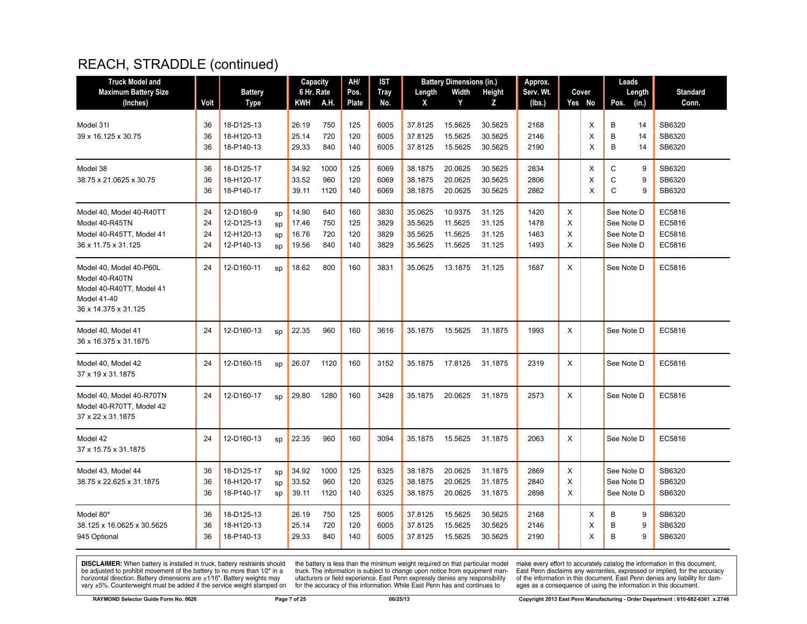| <b>Truck Model and</b>                                                                                       |                      |                                                     |                      | Capacity                         |                          | AH/                      | <b>IST</b>                   |                                          | <b>Battery Dimensions (in.)</b>          |                                      | Approx.                      |                  |             | Leads                                                |                                      |
|--------------------------------------------------------------------------------------------------------------|----------------------|-----------------------------------------------------|----------------------|----------------------------------|--------------------------|--------------------------|------------------------------|------------------------------------------|------------------------------------------|--------------------------------------|------------------------------|------------------|-------------|------------------------------------------------------|--------------------------------------|
| <b>Maximum Battery Size</b>                                                                                  |                      | <b>Battery</b>                                      |                      | 6 Hr. Rate                       |                          | Pos.                     | <b>Tray</b>                  | Length                                   | Width                                    | Height                               | Serv. Wt.                    |                  | Cover       | Length                                               | <b>Standard</b>                      |
| (Inches)                                                                                                     | Volt                 | Type                                                |                      | KWH                              | <b>A.H.</b>              | <b>Plate</b>             | No.                          | X                                        | Y                                        | Z                                    | (lbs.)                       |                  | Yes No      | Pos.<br>(in.)                                        | Conn.                                |
| Model 31I<br>39 x 16.125 x 30.75                                                                             | 36<br>36<br>36       | 18-D125-13<br>18-H120-13<br>18-P140-13              |                      | 26.19<br>25.14<br>29.33          | 750<br>720<br>840        | 125<br>120<br>140        | 6005<br>6005<br>6005         | 37.8125<br>37.8125<br>37.8125            | 15.5625<br>15.5625<br>15.5625            | 30.5625<br>30.5625<br>30.5625        | 2168<br>2146<br>2190         |                  | X<br>X<br>X | B<br>14<br>B<br>14<br>B<br>14                        | SB6320<br>SB6320<br>SB6320           |
| Model 38<br>38.75 x 21.0625 x 30.75                                                                          | 36<br>36<br>36       | 18-D125-17<br>18-H120-17<br>18-P140-17              |                      | 34.92<br>33.52<br>39.11          | 1000<br>960<br>1120      | 125<br>120<br>140        | 6069<br>6069<br>6069         | 38.1875<br>38.1875<br>38.1875            | 20.0625<br>20.0625<br>20.0625            | 30.5625<br>30.5625<br>30.5625        | 2834<br>2806<br>2862         |                  | Х<br>X<br>X | C<br>9<br>C<br>9<br>$\mathsf{C}$<br>9                | SB6320<br>SB6320<br>SB6320           |
| Model 40, Model 40-R40TT<br>Model 40-R45TN<br>Model 40-R45TT, Model 41<br>36 x 11.75 x 31.125                | 24<br>24<br>24<br>24 | 12-D160-9<br>12-D125-13<br>12-H120-13<br>12-P140-13 | sp<br>sp<br>sp<br>sp | 14.90<br>17.46<br>16.76<br>19.56 | 640<br>750<br>720<br>840 | 160<br>125<br>120<br>140 | 3830<br>3829<br>3829<br>3829 | 35.0625<br>35.5625<br>35.5625<br>35.5625 | 10.9375<br>11.5625<br>11.5625<br>11.5625 | 31.125<br>31.125<br>31.125<br>31.125 | 1420<br>1478<br>1463<br>1493 | X<br>X<br>X<br>X |             | See Note D<br>See Note D<br>See Note D<br>See Note D | EC5816<br>EC5816<br>EC5816<br>EC5816 |
| Model 40, Model 40-P60L<br>Model 40-R40TN<br>Model 40-R40TT, Model 41<br>Model 41-40<br>36 x 14.375 x 31.125 | 24                   | 12-D160-11                                          | sp                   | 18.62                            | 800                      | 160                      | 3831                         | 35.0625                                  | 13.1875                                  | 31.125                               | 1687                         | X                |             | See Note D                                           | EC5816                               |
| Model 40, Model 41<br>36 x 16.375 x 31.1875                                                                  | 24                   | 12-D160-13                                          | sp                   | 22.35                            | 960                      | 160                      | 3616                         | 35.1875                                  | 15.5625                                  | 31.1875                              | 1993                         | X                |             | See Note D                                           | EC5816                               |
| Model 40, Model 42<br>37 x 19 x 31.1875                                                                      | 24                   | 12-D160-15                                          | sp                   | 26.07                            | 1120                     | 160                      | 3152                         | 35.1875                                  | 17.8125                                  | 31.1875                              | 2319                         | X                |             | See Note D                                           | EC5816                               |
| Model 40, Model 40-R70TN<br>Model 40-R70TT, Model 42<br>37 x 22 x 31.1875                                    | 24                   | 12-D160-17                                          | sp                   | 29.80                            | 1280                     | 160                      | 3428                         | 35.1875                                  | 20.0625                                  | 31.1875                              | 2573                         | X                |             | See Note D                                           | EC5816                               |
| Model 42<br>37 x 15.75 x 31.1875                                                                             | 24                   | 12-D160-13                                          | sp                   | 22.35                            | 960                      | 160                      | 3094                         | 35.1875                                  | 15.5625                                  | 31.1875                              | 2063                         | X                |             | See Note D                                           | EC5816                               |
| Model 43, Model 44<br>38.75 x 22.625 x 31.1875                                                               | 36<br>36<br>36       | 18-D125-17<br>18-H120-17<br>18-P140-17              | sp<br>sp<br>sp       | 34.92<br>33.52<br>39.11          | 1000<br>960<br>1120      | 125<br>120<br>140        | 6325<br>6325<br>6325         | 38.1875<br>38.1875<br>38.1875            | 20.0625<br>20.0625<br>20.0625            | 31.1875<br>31.1875<br>31.1875        | 2869<br>2840<br>2898         | X<br>X<br>X      |             | See Note D<br>See Note D<br>See Note D               | SB6320<br>SB6320<br>SB6320           |
| Model 80*<br>38.125 x 16.0625 x 30.5625<br>945 Optional                                                      | 36<br>36<br>36       | 18-D125-13<br>18-H120-13<br>18-P140-13              |                      | 26.19<br>25.14<br>29.33          | 750<br>720<br>840        | 125<br>120<br>140        | 6005<br>6005<br>6005         | 37.8125<br>37.8125<br>37.8125            | 15.5625<br>15.5625<br>15.5625            | 30.5625<br>30.5625<br>30.5625        | 2168<br>2146<br>2190         |                  | Х<br>X<br>X | B<br>9<br>B<br>9<br>B<br>9                           | SB6320<br>SB6320<br>SB6320           |

**DISCLAIMER:** When battery is installed in truck, battery restraints should be adjusted to prohibit movement of the battery to no more than  $12^v$  in a horizontal direction. Battery dimensions are  $\pm 1/16^v$ . Battery wei

the battery is less than the minimum weight required on that particular model<br>truck. The information is subject to change upon notice from equipment man-<br>ufacturers or field experience. East Penn expressly denies any respo for the accuracy of this information. While East Penn has and continues to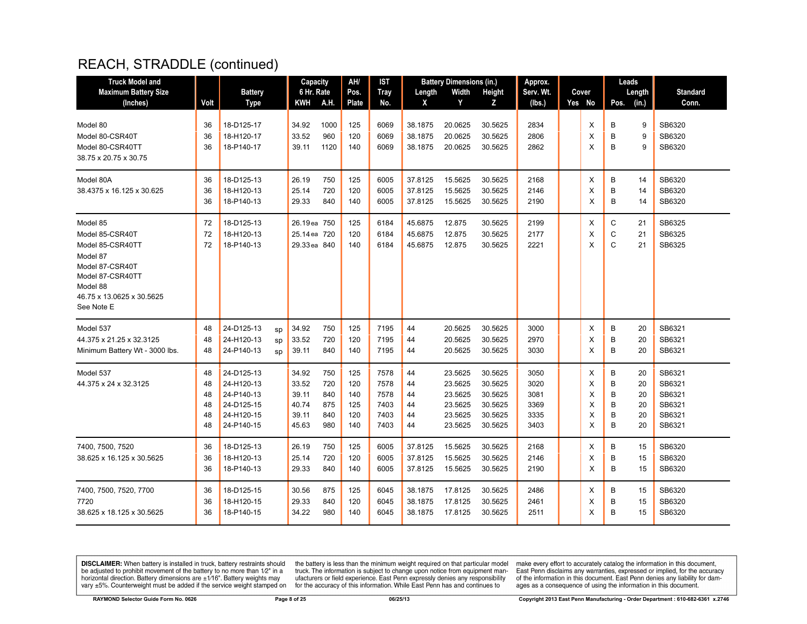| <b>Truck Model and</b>                                                                                                                                    |                                  |                                                                                  |                | Capacity                                           |                                        | AH/                                    | IST                                          |                                  | <b>Battery Dimensions (in.)</b>                                |                                                                | Approx.                                      |                            | Leads                                                          |                                                          |
|-----------------------------------------------------------------------------------------------------------------------------------------------------------|----------------------------------|----------------------------------------------------------------------------------|----------------|----------------------------------------------------|----------------------------------------|----------------------------------------|----------------------------------------------|----------------------------------|----------------------------------------------------------------|----------------------------------------------------------------|----------------------------------------------|----------------------------|----------------------------------------------------------------|----------------------------------------------------------|
| <b>Maximum Battery Size</b>                                                                                                                               |                                  | <b>Battery</b>                                                                   |                | 6 Hr. Rate                                         |                                        | Pos.                                   | <b>Tray</b>                                  | Length                           | Width                                                          | Height                                                         | Serv. Wt.                                    | Cover                      | Length                                                         | <b>Standard</b>                                          |
| (Inches)                                                                                                                                                  | Volt                             | Type                                                                             |                | KWH                                                | A.H.                                   | <b>Plate</b>                           | No.                                          | X                                | Y                                                              | z                                                              | (Ibs.)                                       | Yes No                     | (in.)<br>Pos.                                                  | Conn.                                                    |
| Model 80<br>Model 80-CSR40T<br>Model 80-CSR40TT<br>38.75 x 20.75 x 30.75                                                                                  | 36<br>36<br>36                   | 18-D125-17<br>18-H120-17<br>18-P140-17                                           |                | 34.92<br>33.52<br>39.11                            | 1000<br>960<br>1120                    | 125<br>120<br>140                      | 6069<br>6069<br>6069                         | 38.1875<br>38.1875<br>38.1875    | 20.0625<br>20.0625<br>20.0625                                  | 30.5625<br>30.5625<br>30.5625                                  | 2834<br>2806<br>2862                         | X<br>X<br>X                | В<br>9<br>B<br>9<br>B<br>9                                     | SB6320<br>SB6320<br>SB6320                               |
| Model 80A<br>38.4375 x 16.125 x 30.625                                                                                                                    | 36<br>36<br>36                   | 18-D125-13<br>18-H120-13<br>18-P140-13                                           |                | 26.19<br>25.14<br>29.33                            | 750<br>720<br>840                      | 125<br>120<br>140                      | 6005<br>6005<br>6005                         | 37.8125<br>37.8125<br>37.8125    | 15.5625<br>15.5625<br>15.5625                                  | 30.5625<br>30.5625<br>30.5625                                  | 2168<br>2146<br>2190                         | Χ<br>X<br>X                | B<br>14<br>B<br>14<br>B<br>14                                  | SB6320<br>SB6320<br>SB6320                               |
| Model 85<br>Model 85-CSR40T<br>Model 85-CSR40TT<br>Model 87<br>Model 87-CSR40T<br>Model 87-CSR40TT<br>Model 88<br>46.75 x 13.0625 x 30.5625<br>See Note E | 72<br>72<br>72                   | 18-D125-13<br>18-H120-13<br>18-P140-13                                           |                | 26.19ea 750<br>25.14 ea 720<br>29.33 ea 840        |                                        | 125<br>120<br>140                      | 6184<br>6184<br>6184                         | 45.6875<br>45.6875<br>45.6875    | 12.875<br>12.875<br>12.875                                     | 30.5625<br>30.5625<br>30.5625                                  | 2199<br>2177<br>2221                         | X<br>X<br>X                | C<br>21<br>C<br>21<br>$\mathsf{C}$<br>21                       | SB6325<br>SB6325<br>SB6325                               |
| Model 537<br>44.375 x 21.25 x 32.3125<br>Minimum Battery Wt - 3000 lbs.                                                                                   | 48<br>48<br>48                   | 24-D125-13<br>24-H120-13<br>24-P140-13                                           | SD<br>sp<br>sp | 34.92<br>33.52<br>39.11                            | 750<br>720<br>840                      | 125<br>120<br>140                      | 7195<br>7195<br>7195                         | 44<br>44<br>44                   | 20.5625<br>20.5625<br>20.5625                                  | 30.5625<br>30.5625<br>30.5625                                  | 3000<br>2970<br>3030                         | Х<br>X<br>X                | В<br>20<br>B<br>20<br>B<br>20                                  | SB6321<br>SB6321<br>SB6321                               |
| Model 537<br>44.375 x 24 x 32.3125                                                                                                                        | 48<br>48<br>48<br>48<br>48<br>48 | 24-D125-13<br>24-H120-13<br>24-P140-13<br>24-D125-15<br>24-H120-15<br>24-P140-15 |                | 34.92<br>33.52<br>39.11<br>40.74<br>39.11<br>45.63 | 750<br>720<br>840<br>875<br>840<br>980 | 125<br>120<br>140<br>125<br>120<br>140 | 7578<br>7578<br>7578<br>7403<br>7403<br>7403 | 44<br>44<br>44<br>44<br>44<br>44 | 23.5625<br>23.5625<br>23.5625<br>23.5625<br>23.5625<br>23.5625 | 30.5625<br>30.5625<br>30.5625<br>30.5625<br>30.5625<br>30.5625 | 3050<br>3020<br>3081<br>3369<br>3335<br>3403 | Χ<br>X<br>X<br>X<br>X<br>X | B<br>20<br>B<br>20<br>B<br>20<br>B<br>20<br>B<br>20<br>B<br>20 | SB6321<br>SB6321<br>SB6321<br>SB6321<br>SB6321<br>SB6321 |
| 7400, 7500, 7520<br>38.625 x 16.125 x 30.5625                                                                                                             | 36<br>36<br>36                   | 18-D125-13<br>18-H120-13<br>18-P140-13                                           |                | 26.19<br>25.14<br>29.33                            | 750<br>720<br>840                      | 125<br>120<br>140                      | 6005<br>6005<br>6005                         | 37.8125<br>37.8125<br>37.8125    | 15.5625<br>15.5625<br>15.5625                                  | 30.5625<br>30.5625<br>30.5625                                  | 2168<br>2146<br>2190                         | Χ<br>X<br>$\times$         | В<br>15<br>B<br>15<br>B<br>15                                  | SB6320<br>SB6320<br>SB6320                               |
| 7400, 7500, 7520, 7700<br>7720<br>38.625 x 18.125 x 30.5625                                                                                               | 36<br>36<br>36                   | 18-D125-15<br>18-H120-15<br>18-P140-15                                           |                | 30.56<br>29.33<br>34.22                            | 875<br>840<br>980                      | 125<br>120<br>140                      | 6045<br>6045<br>6045                         | 38.1875<br>38.1875<br>38.1875    | 17.8125<br>17.8125<br>17.8125                                  | 30.5625<br>30.5625<br>30.5625                                  | 2486<br>2461<br>2511                         | Х<br>X<br>X                | В<br>15<br>B<br>15<br>B<br>15                                  | SB6320<br>SB6320<br>SB6320                               |

**DISCLAIMER:** When battery is installed in truck, battery restraints should be adjusted to prohibit movement of the battery to no more than  $12^v$  in a horizontal direction. Battery dimensions are  $\pm 1/16^v$ . Battery wei

the battery is less than the minimum weight required on that particular model<br>truck. The information is subject to change upon notice from equipment man-<br>ufacturers or field experience. East Penn expressly denies any respo for the accuracy of this information. While East Penn has and continues to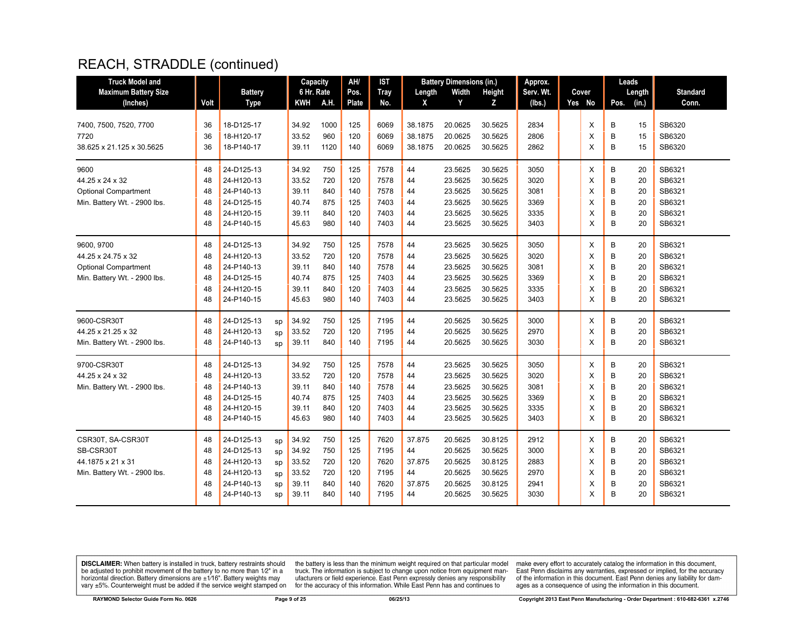| <b>Truck Model and</b>       |      |                |    | Capacity   |      | AH/   | <b>IST</b>  |         | <b>Battery Dimensions (in.)</b> |               | Approx.   |        | Leads |        |                 |
|------------------------------|------|----------------|----|------------|------|-------|-------------|---------|---------------------------------|---------------|-----------|--------|-------|--------|-----------------|
| <b>Maximum Battery Size</b>  |      | <b>Battery</b> |    | 6 Hr. Rate |      | Pos.  | <b>Tray</b> | Length  | Width                           | <b>Height</b> | Serv. Wt. | Cover  |       | Length | <b>Standard</b> |
| (Inches)                     | Volt | <b>Type</b>    |    | <b>KWH</b> | A.H. | Plate | No.         | X       | Y                               | z             | (Ibs.)    | Yes No | Pos.  | (in.)  | Conn.           |
|                              |      |                |    |            |      |       |             |         |                                 |               |           |        |       |        |                 |
| 7400, 7500, 7520, 7700       | 36   | 18-D125-17     |    | 34.92      | 1000 | 125   | 6069        | 38.1875 | 20.0625                         | 30.5625       | 2834      | X      | B     | 15     | SB6320          |
| 7720                         | 36   | 18-H120-17     |    | 33.52      | 960  | 120   | 6069        | 38.1875 | 20.0625                         | 30.5625       | 2806      | X      | B     | 15     | SB6320          |
| 38.625 x 21.125 x 30.5625    | 36   | 18-P140-17     |    | 39.11      | 1120 | 140   | 6069        | 38.1875 | 20.0625                         | 30.5625       | 2862      | X      | B     | 15     | SB6320          |
| 9600                         | 48   | 24-D125-13     |    | 34.92      | 750  | 125   | 7578        | 44      | 23.5625                         | 30.5625       | 3050      | Χ      | В     | 20     | SB6321          |
| 44.25 x 24 x 32              | 48   | 24-H120-13     |    | 33.52      | 720  | 120   | 7578        | 44      | 23.5625                         | 30.5625       | 3020      | X      | B     | 20     | SB6321          |
| <b>Optional Compartment</b>  | 48   | 24-P140-13     |    | 39.11      | 840  | 140   | 7578        | 44      | 23.5625                         | 30.5625       | 3081      | X      | B     | 20     | SB6321          |
| Min. Battery Wt. - 2900 lbs. | 48   | 24-D125-15     |    | 40.74      | 875  | 125   | 7403        | 44      | 23.5625                         | 30.5625       | 3369      | X      | B     | 20     | SB6321          |
|                              | 48   | 24-H120-15     |    | 39.11      | 840  | 120   | 7403        | 44      | 23.5625                         | 30.5625       | 3335      | X      | B     | 20     | SB6321          |
|                              | 48   | 24-P140-15     |    | 45.63      | 980  | 140   | 7403        | 44      | 23.5625                         | 30.5625       | 3403      | X      | B     | 20     | SB6321          |
| 9600, 9700                   | 48   | 24-D125-13     |    | 34.92      | 750  | 125   | 7578        | 44      | 23.5625                         | 30.5625       | 3050      | X      | B     | 20     | SB6321          |
| 44.25 x 24.75 x 32           | 48   | 24-H120-13     |    | 33.52      | 720  | 120   | 7578        | 44      | 23.5625                         | 30.5625       | 3020      | X      | B     | 20     | SB6321          |
| <b>Optional Compartment</b>  | 48   | 24-P140-13     |    | 39.11      | 840  | 140   | 7578        | 44      | 23.5625                         | 30.5625       | 3081      | X      | B     | 20     | SB6321          |
| Min. Battery Wt. - 2900 lbs. | 48   | 24-D125-15     |    | 40.74      | 875  | 125   | 7403        | 44      | 23.5625                         | 30.5625       | 3369      | X      | B     | 20     | SB6321          |
|                              | 48   | 24-H120-15     |    | 39.11      | 840  | 120   | 7403        | 44      | 23.5625                         | 30.5625       | 3335      | X      | B     | 20     | SB6321          |
|                              | 48   | 24-P140-15     |    | 45.63      | 980  | 140   | 7403        | 44      | 23.5625                         | 30.5625       | 3403      | X      | B     | 20     | SB6321          |
| 9600-CSR30T                  | 48   | 24-D125-13     | sp | 34.92      | 750  | 125   | 7195        | 44      | 20.5625                         | 30.5625       | 3000      | X      | В     | 20     | SB6321          |
| 44.25 x 21.25 x 32           | 48   | 24-H120-13     | sp | 33.52      | 720  | 120   | 7195        | 44      | 20.5625                         | 30.5625       | 2970      | X      | B     | 20     | SB6321          |
| Min. Battery Wt. - 2900 lbs. | 48   | 24-P140-13     | SD | 39.11      | 840  | 140   | 7195        | 44      | 20.5625                         | 30.5625       | 3030      | X      | B     | 20     | SB6321          |
| 9700-CSR30T                  | 48   | 24-D125-13     |    | 34.92      | 750  | 125   | 7578        | 44      | 23.5625                         | 30.5625       | 3050      | X      | B     | 20     | SB6321          |
| 44.25 x 24 x 32              | 48   | 24-H120-13     |    | 33.52      | 720  | 120   | 7578        | 44      | 23.5625                         | 30.5625       | 3020      | X      | B     | 20     | SB6321          |
| Min. Battery Wt. - 2900 lbs. | 48   | 24-P140-13     |    | 39.11      | 840  | 140   | 7578        | 44      | 23.5625                         | 30.5625       | 3081      | X      | В     | 20     | SB6321          |
|                              | 48   | 24-D125-15     |    | 40.74      | 875  | 125   | 7403        | 44      | 23.5625                         | 30.5625       | 3369      | X      | B     | 20     | SB6321          |
|                              | 48   | 24-H120-15     |    | 39.11      | 840  | 120   | 7403        | 44      | 23.5625                         | 30.5625       | 3335      | X      | B     | 20     | SB6321          |
|                              | 48   | 24-P140-15     |    | 45.63      | 980  | 140   | 7403        | 44      | 23.5625                         | 30.5625       | 3403      | X      | B     | 20     | SB6321          |
| CSR30T, SA-CSR30T            | 48   | 24-D125-13     | sp | 34.92      | 750  | 125   | 7620        | 37.875  | 20.5625                         | 30.8125       | 2912      | X      | В     | 20     | SB6321          |
| SB-CSR30T                    | 48   | 24-D125-13     | sp | 34.92      | 750  | 125   | 7195        | 44      | 20.5625                         | 30.5625       | 3000      | X      | B     | 20     | SB6321          |
| 44.1875 x 21 x 31            | 48   | 24-H120-13     | sp | 33.52      | 720  | 120   | 7620        | 37.875  | 20.5625                         | 30.8125       | 2883      | X      | В     | 20     | SB6321          |
| Min. Battery Wt. - 2900 lbs. | 48   | 24-H120-13     | sp | 33.52      | 720  | 120   | 7195        | 44      | 20.5625                         | 30.5625       | 2970      | X      | B     | 20     | SB6321          |
|                              | 48   | 24-P140-13     | sp | 39.11      | 840  | 140   | 7620        | 37.875  | 20.5625                         | 30.8125       | 2941      | X      | B     | 20     | SB6321          |
|                              | 48   | 24-P140-13     | sp | 39.11      | 840  | 140   | 7195        | 44      | 20.5625                         | 30.5625       | 3030      | X      | B     | 20     | SB6321          |

**DISCLAIMER:** When battery is installed in truck, battery restraints should be adjusted to prohibit movement of the battery to no more than  $12^v$  in a horizontal direction. Battery dimensions are  $\pm 1/16^v$ . Battery wei

the battery is less than the minimum weight required on that particular model<br>truck. The information is subject to change upon notice from equipment man-<br>ufacturers or field experience. East Penn expressly denies any respo for the accuracy of this information. While East Penn has and continues to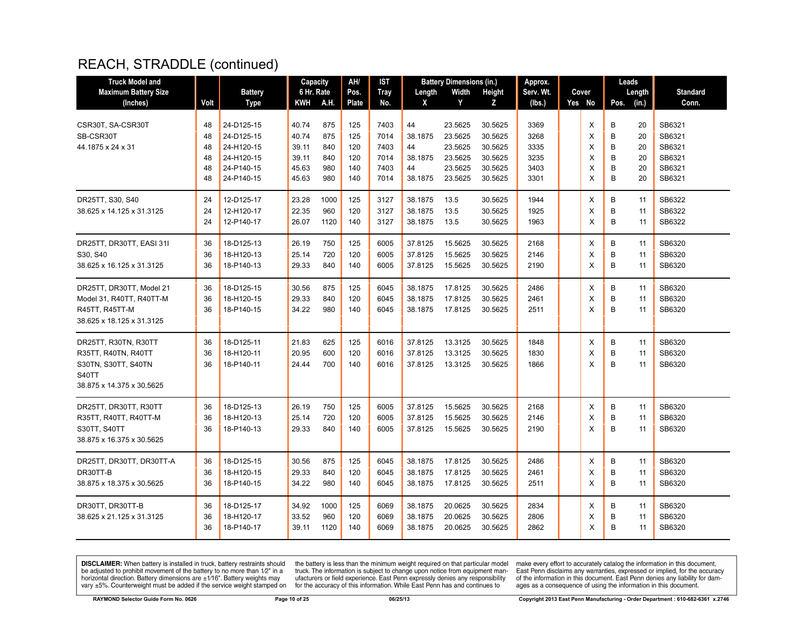| <b>Truck Model and</b>      |      |                | Capacity   |      | AH/   | IST  |         | <b>Battery Dimensions (in.)</b> |         | Approx.   |        | Leads |        |                 |
|-----------------------------|------|----------------|------------|------|-------|------|---------|---------------------------------|---------|-----------|--------|-------|--------|-----------------|
| <b>Maximum Battery Size</b> |      | <b>Battery</b> | 6 Hr. Rate |      | Pos.  | Tray | Length  | Width                           | Height  | Serv. Wt. | Cover  |       | Length | <b>Standard</b> |
| (Inches)                    | Volt | Type           | KWH        | A.H. | Plate | No.  | X       | Y                               | z       | (lbs.)    | Yes No | Pos.  | (in.)  | Conn.           |
|                             |      |                |            |      |       |      |         |                                 |         |           |        |       |        |                 |
| CSR30T, SA-CSR30T           | 48   | 24-D125-15     | 40.74      | 875  | 125   | 7403 | 44      | 23.5625                         | 30.5625 | 3369      | X      | в     | 20     | SB6321          |
| SB-CSR30T                   | 48   | 24-D125-15     | 40.74      | 875  | 125   | 7014 | 38.1875 | 23.5625                         | 30.5625 | 3268      | X      | B     | 20     | SB6321          |
| 44.1875 x 24 x 31           | 48   | 24-H120-15     | 39.11      | 840  | 120   | 7403 | 44      | 23.5625                         | 30.5625 | 3335      | X      | B     | 20     | SB6321          |
|                             | 48   | 24-H120-15     | 39.11      | 840  | 120   | 7014 | 38.1875 | 23.5625                         | 30.5625 | 3235      | X      | B     | 20     | SB6321          |
|                             | 48   | 24-P140-15     | 45.63      | 980  | 140   | 7403 | 44      | 23.5625                         | 30.5625 | 3403      | X      | B     | 20     | SB6321          |
|                             | 48   | 24-P140-15     | 45.63      | 980  | 140   | 7014 | 38.1875 | 23.5625                         | 30.5625 | 3301      | X      | B     | 20     | SB6321          |
| DR25TT, S30, S40            | 24   | 12-D125-17     | 23.28      | 1000 | 125   | 3127 | 38.1875 | 13.5                            | 30.5625 | 1944      | X      | B     | 11     | SB6322          |
| 38.625 x 14.125 x 31.3125   | 24   | 12-H120-17     | 22.35      | 960  | 120   | 3127 | 38.1875 | 13.5                            | 30.5625 | 1925      | X      | B     | 11     | SB6322          |
|                             | 24   | 12-P140-17     | 26.07      | 1120 | 140   | 3127 | 38.1875 | 13.5                            | 30.5625 | 1963      | X      | B     | 11     | SB6322          |
| DR25TT, DR30TT, EASI 31I    | 36   | 18-D125-13     | 26.19      | 750  | 125   | 6005 | 37.8125 | 15.5625                         | 30.5625 | 2168      | X      | B     | 11     | SB6320          |
| S30, S40                    | 36   | 18-H120-13     | 25.14      | 720  | 120   | 6005 | 37.8125 | 15.5625                         | 30.5625 | 2146      | X      | B     | 11     | SB6320          |
| 38.625 x 16.125 x 31.3125   | 36   | 18-P140-13     | 29.33      | 840  | 140   | 6005 | 37.8125 | 15.5625                         | 30.5625 | 2190      | X      | B     | 11     | SB6320          |
|                             |      |                |            |      |       |      |         |                                 |         |           |        |       |        |                 |
| DR25TT, DR30TT, Model 21    | 36   | 18-D125-15     | 30.56      | 875  | 125   | 6045 | 38.1875 | 17.8125                         | 30.5625 | 2486      | Х      | B     | 11     | SB6320          |
| Model 31, R40TT, R40TT-M    | 36   | 18-H120-15     | 29.33      | 840  | 120   | 6045 | 38.1875 | 17.8125                         | 30.5625 | 2461      | X      | B     | 11     | SB6320          |
| R45TT, R45TT-M              | 36   | 18-P140-15     | 34.22      | 980  | 140   | 6045 | 38.1875 | 17.8125                         | 30.5625 | 2511      | X      | B     | 11     | SB6320          |
| 38.625 x 18.125 x 31.3125   |      |                |            |      |       |      |         |                                 |         |           |        |       |        |                 |
| DR25TT, R30TN, R30TT        | 36   | 18-D125-11     | 21.83      | 625  | 125   | 6016 | 37.8125 | 13.3125                         | 30.5625 | 1848      | X      | B     | 11     | SB6320          |
| R35TT, R40TN, R40TT         | 36   | 18-H120-11     | 20.95      | 600  | 120   | 6016 | 37.8125 | 13.3125                         | 30.5625 | 1830      | X      | B     | 11     | SB6320          |
| S30TN, S30TT, S40TN         | 36   | 18-P140-11     | 24.44      | 700  | 140   | 6016 | 37.8125 | 13.3125                         | 30.5625 | 1866      | X      | B     | 11     | SB6320          |
| S40TT                       |      |                |            |      |       |      |         |                                 |         |           |        |       |        |                 |
| 38.875 x 14.375 x 30.5625   |      |                |            |      |       |      |         |                                 |         |           |        |       |        |                 |
| DR25TT, DR30TT, R30TT       | 36   | 18-D125-13     | 26.19      | 750  | 125   | 6005 | 37.8125 | 15.5625                         | 30.5625 | 2168      | X      | B     | 11     | SB6320          |
| R35TT, R40TT, R40TT-M       | 36   | 18-H120-13     | 25.14      | 720  | 120   | 6005 | 37.8125 | 15.5625                         | 30.5625 | 2146      | X      | B     | 11     | SB6320          |
| S30TT, S40TT                | 36   | 18-P140-13     | 29.33      | 840  | 140   | 6005 | 37.8125 | 15.5625                         | 30.5625 | 2190      | X      | B     | 11     | SB6320          |
| 38.875 x 16.375 x 30.5625   |      |                |            |      |       |      |         |                                 |         |           |        |       |        |                 |
| DR25TT, DR30TT, DR30TT-A    | 36   | 18-D125-15     | 30.56      | 875  | 125   | 6045 | 38.1875 | 17.8125                         | 30.5625 | 2486      | X      | B     | 11     | SB6320          |
| DR30TT-B                    | 36   | 18-H120-15     | 29.33      | 840  | 120   | 6045 | 38.1875 | 17.8125                         | 30.5625 | 2461      | X      | B     | 11     | SB6320          |
| 38.875 x 18.375 x 30.5625   | 36   | 18-P140-15     | 34.22      | 980  | 140   | 6045 | 38.1875 | 17.8125                         | 30.5625 | 2511      | X      | B     | 11     | SB6320          |
| DR30TT, DR30TT-B            | 36   | 18-D125-17     | 34.92      | 1000 | 125   | 6069 | 38.1875 | 20.0625                         | 30.5625 | 2834      | Х      | B     | 11     | SB6320          |
| 38.625 x 21.125 x 31.3125   | 36   | 18-H120-17     | 33.52      | 960  | 120   | 6069 | 38.1875 | 20.0625                         | 30.5625 | 2806      | X      | B     | 11     | SB6320          |
|                             | 36   | 18-P140-17     | 39.11      | 1120 | 140   | 6069 | 38.1875 | 20.0625                         | 30.5625 | 2862      | X      | B     | 11     | SB6320          |
|                             |      |                |            |      |       |      |         |                                 |         |           |        |       |        |                 |

**DISCLAIMER:** When battery is installed in truck, battery restraints should be adjusted to prohibit movement of the battery to no more than  $12^v$  in a horizontal direction. Battery dimensions are  $\pm 1/16^v$ . Battery wei

the battery is less than the minimum weight required on that particular model<br>truck. The information is subject to change upon notice from equipment man-<br>ufacturers or field experience. East Penn expressly denies any respo for the accuracy of this information. While East Penn has and continues to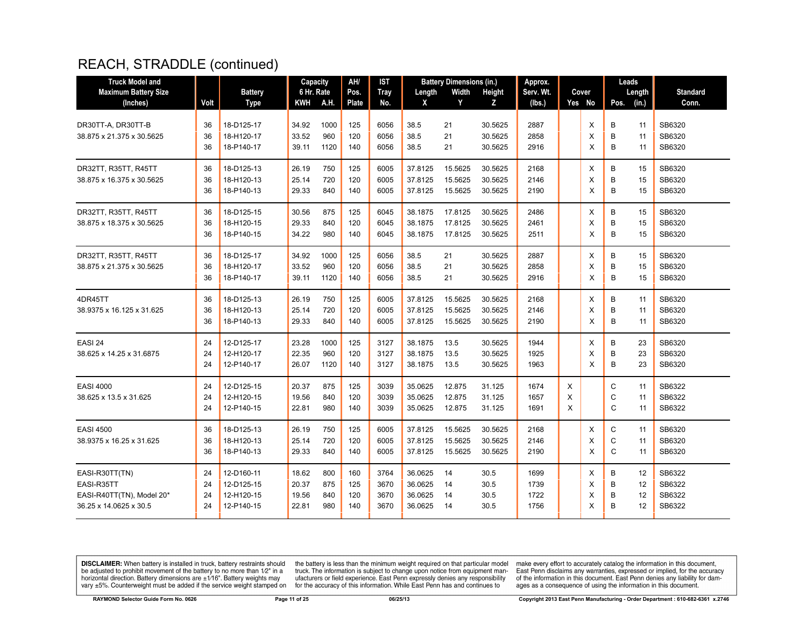| <b>Truck Model and</b>                            |          |                          | Capacity       |             | AH/          | IST          |                    | <b>Battery Dimensions (in.)</b> |                    | Approx.      |        |        |        | Leads    |                  |
|---------------------------------------------------|----------|--------------------------|----------------|-------------|--------------|--------------|--------------------|---------------------------------|--------------------|--------------|--------|--------|--------|----------|------------------|
| <b>Maximum Battery Size</b>                       |          | <b>Battery</b>           | 6 Hr. Rate     |             | Pos.         | <b>Tray</b>  | Length             | Width                           | Height             | Serv. Wt.    |        | Cover  |        | Length   | <b>Standard</b>  |
| (Inches)                                          | Volt     | <b>Type</b>              | <b>KWH</b>     | A.H.        | <b>Plate</b> | No.          | X                  | Y                               | z                  | (lbs.)       |        | Yes No | Pos.   | (in.)    | Conn.            |
| DR30TT-A, DR30TT-B<br>38.875 x 21.375 x 30.5625   | 36<br>36 | 18-D125-17<br>18-H120-17 | 34.92<br>33.52 | 1000<br>960 | 125<br>120   | 6056<br>6056 | 38.5<br>38.5       | 21<br>21                        | 30.5625<br>30.5625 | 2887<br>2858 |        | X<br>X | B<br>B | 11<br>11 | SB6320<br>SB6320 |
|                                                   | 36       | 18-P140-17               | 39.11          | 1120        | 140          | 6056         | 38.5               | 21                              | 30.5625            | 2916         |        | X      | B      | 11       | SB6320           |
| DR32TT, R35TT, R45TT<br>38.875 x 16.375 x 30.5625 | 36<br>36 | 18-D125-13<br>18-H120-13 | 26.19<br>25.14 | 750<br>720  | 125<br>120   | 6005<br>6005 | 37.8125<br>37.8125 | 15.5625<br>15.5625              | 30.5625<br>30.5625 | 2168<br>2146 |        | X<br>X | B<br>B | 15<br>15 | SB6320<br>SB6320 |
|                                                   | 36       | 18-P140-13               | 29.33          | 840         | 140          | 6005         | 37.8125            | 15.5625                         | 30.5625            | 2190         |        | X      | B      | 15       | SB6320           |
| DR32TT, R35TT, R45TT                              | 36<br>36 | 18-D125-15<br>18-H120-15 | 30.56<br>29.33 | 875<br>840  | 125<br>120   | 6045<br>6045 | 38.1875            | 17.8125<br>17.8125              | 30.5625<br>30.5625 | 2486<br>2461 |        | X<br>X | B<br>B | 15<br>15 | SB6320<br>SB6320 |
| 38.875 x 18.375 x 30.5625                         | 36       | 18-P140-15               | 34.22          | 980         | 140          | 6045         | 38.1875<br>38.1875 | 17.8125                         | 30.5625            | 2511         |        | X      | B      | 15       | SB6320           |
| DR32TT, R35TT, R45TT                              | 36       | 18-D125-17               | 34.92          | 1000        | 125          | 6056         | 38.5               | 21                              | 30.5625            | 2887         |        | X      | B      | 15       | SB6320           |
| 38.875 x 21.375 x 30.5625                         | 36<br>36 | 18-H120-17<br>18-P140-17 | 33.52<br>39.11 | 960<br>1120 | 120<br>140   | 6056<br>6056 | 38.5<br>38.5       | 21<br>21                        | 30.5625<br>30.5625 | 2858<br>2916 |        | X<br>X | B<br>B | 15<br>15 | SB6320<br>SB6320 |
| 4DR45TT                                           | 36       | 18-D125-13               | 26.19          | 750         | 125          | 6005         | 37.8125            | 15.5625                         | 30.5625            | 2168         |        | X      | B      | 11       | SB6320           |
| 38.9375 x 16.125 x 31.625                         | 36<br>36 | 18-H120-13<br>18-P140-13 | 25.14<br>29.33 | 720<br>840  | 120<br>140   | 6005<br>6005 | 37.8125<br>37.8125 | 15.5625<br>15.5625              | 30.5625<br>30.5625 | 2146<br>2190 |        | X<br>X | B<br>B | 11<br>11 | SB6320<br>SB6320 |
| EASI 24                                           | 24       | 12-D125-17               | 23.28          | 1000        | 125          | 3127         | 38.1875            | 13.5                            | 30.5625            | 1944         |        | Х      | B      | 23       | SB6320           |
| 38.625 x 14.25 x 31.6875                          | 24<br>24 | 12-H120-17<br>12-P140-17 | 22.35<br>26.07 | 960<br>1120 | 120<br>140   | 3127<br>3127 | 38.1875<br>38.1875 | 13.5<br>13.5                    | 30.5625<br>30.5625 | 1925<br>1963 |        | X<br>X | B<br>B | 23<br>23 | SB6320<br>SB6320 |
| <b>EASI 4000</b>                                  | 24       | 12-D125-15               | 20.37          | 875         | 125          | 3039         | 35.0625            | 12.875                          | 31.125             | 1674         | Χ      |        | C      | 11       | SB6322           |
| 38.625 x 13.5 x 31.625                            | 24<br>24 | 12-H120-15<br>12-P140-15 | 19.56<br>22.81 | 840<br>980  | 120<br>140   | 3039<br>3039 | 35.0625<br>35.0625 | 12.875<br>12.875                | 31.125<br>31.125   | 1657<br>1691 | X<br>X |        | C<br>C | 11<br>11 | SB6322<br>SB6322 |
| <b>EASI 4500</b>                                  | 36       | 18-D125-13               | 26.19          | 750         | 125          | 6005         | 37.8125            | 15.5625                         | 30.5625            | 2168         |        | X      | C      | 11       | SB6320           |
| 38.9375 x 16.25 x 31.625                          | 36<br>36 | 18-H120-13<br>18-P140-13 | 25.14<br>29.33 | 720<br>840  | 120<br>140   | 6005<br>6005 | 37.8125<br>37.8125 | 15.5625<br>15.5625              | 30.5625<br>30.5625 | 2146<br>2190 |        | X<br>X | C<br>C | 11<br>11 | SB6320<br>SB6320 |
| EASI-R30TT(TN)                                    | 24       | 12-D160-11               | 18.62          | 800         | 160          | 3764         | 36.0625            | 14                              | 30.5               | 1699         |        | X      | В      | 12       | SB6322           |
| EASI-R35TT<br>EASI-R40TT(TN), Model 20*           | 24<br>24 | 12-D125-15<br>12-H120-15 | 20.37<br>19.56 | 875<br>840  | 125<br>120   | 3670<br>3670 | 36.0625<br>36.0625 | 14<br>14                        | 30.5<br>30.5       | 1739<br>1722 |        | X<br>X | B<br>B | 12<br>12 | SB6322<br>SB6322 |
| 36.25 x 14.0625 x 30.5                            | 24       | 12-P140-15               | 22.81          | 980         | 140          | 3670         | 36.0625            | 14                              | 30.5               | 1756         |        | X      | B      | 12       | SB6322           |

**DISCLAIMER:** When battery is installed in truck, battery restraints should be adjusted to prohibit movement of the battery to no more than  $12^v$  in a horizontal direction. Battery dimensions are  $\pm 1/16^v$ . Battery wei

the battery is less than the minimum weight required on that particular model<br>truck. The information is subject to change upon notice from equipment man-<br>ufacturers or field experience. East Penn expressly denies any respo for the accuracy of this information. While East Penn has and continues to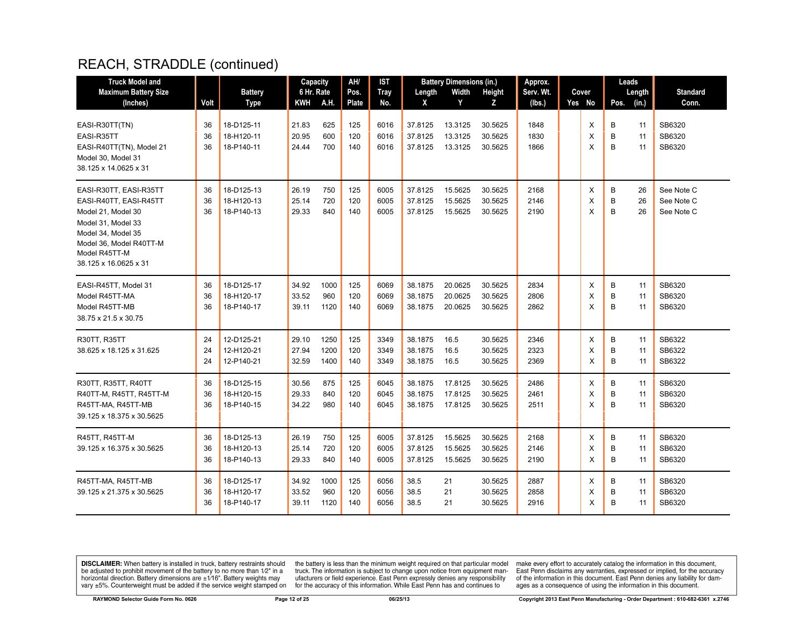| <b>Truck Model and</b>                                                                                                                                                                  |                |                                        | Capacity                |                      | AH/               | <b>IST</b>           |                               | <b>Battery Dimensions (in.)</b> |                               | Approx.              |             | Leads       |                |                                        |
|-----------------------------------------------------------------------------------------------------------------------------------------------------------------------------------------|----------------|----------------------------------------|-------------------------|----------------------|-------------------|----------------------|-------------------------------|---------------------------------|-------------------------------|----------------------|-------------|-------------|----------------|----------------------------------------|
| <b>Maximum Battery Size</b>                                                                                                                                                             |                | <b>Battery</b>                         | 6 Hr. Rate              |                      | Pos.              | <b>Tray</b>          | Length                        | Width                           | Height                        | Serv. Wt.            | Cover       |             | Length         | <b>Standard</b>                        |
| (Inches)                                                                                                                                                                                | Volt           | <b>Type</b>                            | KWH                     | A.H.                 | Plate             | No.                  | X                             | Y                               | Z                             | (lbs.)               | Yes No      | Pos.        | (in.)          | Conn.                                  |
| EASI-R30TT(TN)<br>EASI-R35TT<br>EASI-R40TT(TN), Model 21<br>Model 30, Model 31<br>38.125 x 14.0625 x 31                                                                                 | 36<br>36<br>36 | 18-D125-11<br>18-H120-11<br>18-P140-11 | 21.83<br>20.95<br>24.44 | 625<br>600<br>700    | 125<br>120<br>140 | 6016<br>6016<br>6016 | 37.8125<br>37.8125<br>37.8125 | 13.3125<br>13.3125<br>13.3125   | 30.5625<br>30.5625<br>30.5625 | 1848<br>1830<br>1866 | X<br>X<br>X | B<br>B<br>B | 11<br>11<br>11 | SB6320<br>SB6320<br>SB6320             |
| EASI-R30TT, EASI-R35TT<br>EASI-R40TT, EASI-R45TT<br>Model 21, Model 30<br>Model 31, Model 33<br>Model 34, Model 35<br>Model 36, Model R40TT-M<br>Model R45TT-M<br>38.125 x 16.0625 x 31 | 36<br>36<br>36 | 18-D125-13<br>18-H120-13<br>18-P140-13 | 26.19<br>25.14<br>29.33 | 750<br>720<br>840    | 125<br>120<br>140 | 6005<br>6005<br>6005 | 37.8125<br>37.8125<br>37.8125 | 15.5625<br>15.5625<br>15.5625   | 30.5625<br>30.5625<br>30.5625 | 2168<br>2146<br>2190 | X<br>X<br>X | B<br>B<br>B | 26<br>26<br>26 | See Note C<br>See Note C<br>See Note C |
| EASI-R45TT, Model 31<br>Model R45TT-MA<br>Model R45TT-MB<br>38.75 x 21.5 x 30.75                                                                                                        | 36<br>36<br>36 | 18-D125-17<br>18-H120-17<br>18-P140-17 | 34.92<br>33.52<br>39.11 | 1000<br>960<br>1120  | 125<br>120<br>140 | 6069<br>6069<br>6069 | 38.1875<br>38.1875<br>38.1875 | 20.0625<br>20.0625<br>20.0625   | 30.5625<br>30.5625<br>30.5625 | 2834<br>2806<br>2862 | X<br>X<br>X | B<br>B<br>B | 11<br>11<br>11 | SB6320<br>SB6320<br>SB6320             |
| R30TT, R35TT<br>38.625 x 18.125 x 31.625                                                                                                                                                | 24<br>24<br>24 | 12-D125-21<br>12-H120-21<br>12-P140-21 | 29.10<br>27.94<br>32.59 | 1250<br>1200<br>1400 | 125<br>120<br>140 | 3349<br>3349<br>3349 | 38.1875<br>38.1875<br>38.1875 | 16.5<br>16.5<br>16.5            | 30.5625<br>30.5625<br>30.5625 | 2346<br>2323<br>2369 | X<br>X<br>X | В<br>B<br>B | 11<br>11<br>11 | SB6322<br>SB6322<br>SB6322             |
| R30TT, R35TT, R40TT<br>R40TT-M, R45TT, R45TT-M<br>R45TT-MA, R45TT-MB<br>39.125 x 18.375 x 30.5625                                                                                       | 36<br>36<br>36 | 18-D125-15<br>18-H120-15<br>18-P140-15 | 30.56<br>29.33<br>34.22 | 875<br>840<br>980    | 125<br>120<br>140 | 6045<br>6045<br>6045 | 38.1875<br>38.1875<br>38.1875 | 17.8125<br>17.8125<br>17.8125   | 30.5625<br>30.5625<br>30.5625 | 2486<br>2461<br>2511 | Х<br>X<br>X | B<br>B<br>B | 11<br>11<br>11 | SB6320<br>SB6320<br>SB6320             |
| R45TT, R45TT-M<br>39.125 x 16.375 x 30.5625                                                                                                                                             | 36<br>36<br>36 | 18-D125-13<br>18-H120-13<br>18-P140-13 | 26.19<br>25.14<br>29.33 | 750<br>720<br>840    | 125<br>120<br>140 | 6005<br>6005<br>6005 | 37.8125<br>37.8125<br>37.8125 | 15.5625<br>15.5625<br>15.5625   | 30.5625<br>30.5625<br>30.5625 | 2168<br>2146<br>2190 | X<br>Х<br>X | B<br>B<br>B | 11<br>11<br>11 | SB6320<br>SB6320<br>SB6320             |
| R45TT-MA, R45TT-MB<br>39.125 x 21.375 x 30.5625                                                                                                                                         | 36<br>36<br>36 | 18-D125-17<br>18-H120-17<br>18-P140-17 | 34.92<br>33.52<br>39.11 | 1000<br>960<br>1120  | 125<br>120<br>140 | 6056<br>6056<br>6056 | 38.5<br>38.5<br>38.5          | 21<br>21<br>21                  | 30.5625<br>30.5625<br>30.5625 | 2887<br>2858<br>2916 | Х<br>X<br>X | B<br>B<br>B | 11<br>11<br>11 | SB6320<br>SB6320<br>SB6320             |

**DISCLAIMER:** When battery is installed in truck, battery restraints should be adjusted to prohibit movement of the battery to no more than  $12^v$  in a horizontal direction. Battery dimensions are  $\pm 1/16^v$ . Battery wei

the battery is less than the minimum weight required on that particular model<br>truck. The information is subject to change upon notice from equipment man-<br>ufacturers or field experience. East Penn expressly denies any respo for the accuracy of this information. While East Penn has and continues to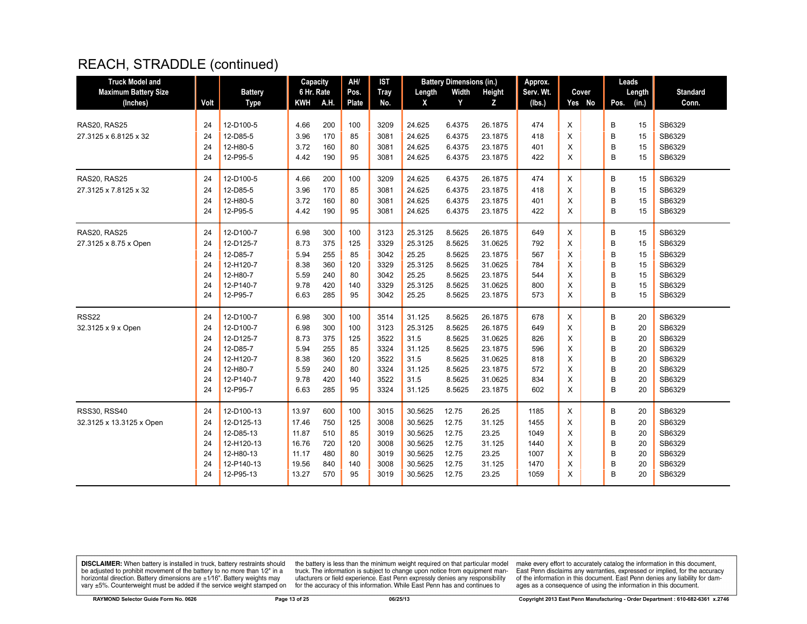| <b>Truck Model and</b>      |      |                | Capacity   |      | AH/   | <b>IST</b>  |         | <b>Battery Dimensions (in.)</b> |               | Approx.   |        |      | Leads  |                 |
|-----------------------------|------|----------------|------------|------|-------|-------------|---------|---------------------------------|---------------|-----------|--------|------|--------|-----------------|
| <b>Maximum Battery Size</b> |      | <b>Battery</b> | 6 Hr. Rate |      | Pos.  | <b>Tray</b> | Length  | Width                           | <b>Height</b> | Serv. Wt. | Cover  |      | Length | <b>Standard</b> |
| (Inches)                    | Volt | <b>Type</b>    | KWH        | A.H. | Plate | No.         | X       | Y                               | Z             | (lbs.)    | Yes No | Pos. | (in.)  | Conn.           |
|                             |      |                |            |      |       |             |         |                                 |               |           |        |      |        |                 |
| RAS20, RAS25                | 24   | 12-D100-5      | 4.66       | 200  | 100   | 3209        | 24.625  | 6.4375                          | 26.1875       | 474       | X      | B    | 15     | SB6329          |
| 27.3125 x 6.8125 x 32       | 24   | 12-D85-5       | 3.96       | 170  | 85    | 3081        | 24.625  | 6.4375                          | 23.1875       | 418       | X      | B    | 15     | SB6329          |
|                             | 24   | 12-H80-5       | 3.72       | 160  | 80    | 3081        | 24.625  | 6.4375                          | 23.1875       | 401       | X      | B    | 15     | SB6329          |
|                             | 24   | 12-P95-5       | 4.42       | 190  | 95    | 3081        | 24.625  | 6.4375                          | 23.1875       | 422       | X      | B    | 15     | SB6329          |
| RAS20, RAS25                | 24   | 12-D100-5      | 4.66       | 200  | 100   | 3209        | 24.625  | 6.4375                          | 26.1875       | 474       | X      | В    | 15     | SB6329          |
| 27.3125 x 7.8125 x 32       | 24   | 12-D85-5       | 3.96       | 170  | 85    | 3081        | 24.625  | 6.4375                          | 23.1875       | 418       | X      | B    | 15     | SB6329          |
|                             | 24   | 12-H80-5       | 3.72       | 160  | 80    | 3081        | 24.625  | 6.4375                          | 23.1875       | 401       | X      | B    | 15     | SB6329          |
|                             | 24   | 12-P95-5       | 4.42       | 190  | 95    | 3081        | 24.625  | 6.4375                          | 23.1875       | 422       | X      | B    | 15     | SB6329          |
| RAS20, RAS25                | 24   | 12-D100-7      | 6.98       | 300  | 100   | 3123        | 25.3125 | 8.5625                          | 26.1875       | 649       | X      | B    | 15     | SB6329          |
| 27.3125 x 8.75 x Open       | 24   | 12-D125-7      | 8.73       | 375  | 125   | 3329        | 25.3125 | 8.5625                          | 31.0625       | 792       | X      | B    | 15     | SB6329          |
|                             | 24   | 12-D85-7       | 5.94       | 255  | 85    | 3042        | 25.25   | 8.5625                          | 23.1875       | 567       | X      | B    | 15     | SB6329          |
|                             | 24   | 12-H120-7      | 8.38       | 360  | 120   | 3329        | 25.3125 | 8.5625                          | 31.0625       | 784       | X      | B    | 15     | SB6329          |
|                             | 24   | 12-H80-7       | 5.59       | 240  | 80    | 3042        | 25.25   | 8.5625                          | 23.1875       | 544       | X      | B    | 15     | SB6329          |
|                             | 24   | 12-P140-7      | 9.78       | 420  | 140   | 3329        | 25.3125 | 8.5625                          | 31.0625       | 800       | X      | B    | 15     | SB6329          |
|                             | 24   | 12-P95-7       | 6.63       | 285  | 95    | 3042        | 25.25   | 8.5625                          | 23.1875       | 573       | X      | B    | 15     | SB6329          |
| <b>RSS22</b>                | 24   | 12-D100-7      | 6.98       | 300  | 100   | 3514        | 31.125  | 8.5625                          | 26.1875       | 678       | X      | В    | 20     | SB6329          |
| 32.3125 x 9 x Open          | 24   | 12-D100-7      | 6.98       | 300  | 100   | 3123        | 25.3125 | 8.5625                          | 26.1875       | 649       | X      | B    | 20     | SB6329          |
|                             | 24   | 12-D125-7      | 8.73       | 375  | 125   | 3522        | 31.5    | 8.5625                          | 31.0625       | 826       | X      | B    | 20     | SB6329          |
|                             | 24   | 12-D85-7       | 5.94       | 255  | 85    | 3324        | 31.125  | 8.5625                          | 23.1875       | 596       | X      | B    | 20     | SB6329          |
|                             | 24   | 12-H120-7      | 8.38       | 360  | 120   | 3522        | 31.5    | 8.5625                          | 31.0625       | 818       | X      | B    | 20     | SB6329          |
|                             | 24   | 12-H80-7       | 5.59       | 240  | 80    | 3324        | 31.125  | 8.5625                          | 23.1875       | 572       | X      | B    | 20     | SB6329          |
|                             | 24   | 12-P140-7      | 9.78       | 420  | 140   | 3522        | 31.5    | 8.5625                          | 31.0625       | 834       | X      | B    | 20     | SB6329          |
|                             | 24   | 12-P95-7       | 6.63       | 285  | 95    | 3324        | 31.125  | 8.5625                          | 23.1875       | 602       | X      | B    | 20     | SB6329          |
| <b>RSS30, RSS40</b>         | 24   | 12-D100-13     | 13.97      | 600  | 100   | 3015        | 30.5625 | 12.75                           | 26.25         | 1185      | X      | В    | 20     | SB6329          |
| 32.3125 x 13.3125 x Open    | 24   | 12-D125-13     | 17.46      | 750  | 125   | 3008        | 30.5625 | 12.75                           | 31.125        | 1455      | X      | B    | 20     | SB6329          |
|                             | 24   | 12-D85-13      | 11.87      | 510  | 85    | 3019        | 30.5625 | 12.75                           | 23.25         | 1049      | X      | B    | 20     | SB6329          |
|                             | 24   | 12-H120-13     | 16.76      | 720  | 120   | 3008        | 30.5625 | 12.75                           | 31.125        | 1440      | X      | B    | 20     | SB6329          |
|                             | 24   | 12-H80-13      | 11.17      | 480  | 80    | 3019        | 30.5625 | 12.75                           | 23.25         | 1007      | X      | B    | 20     | SB6329          |
|                             | 24   | 12-P140-13     | 19.56      | 840  | 140   | 3008        | 30.5625 | 12.75                           | 31.125        | 1470      | X      | B    | 20     | SB6329          |
|                             | 24   | 12-P95-13      | 13.27      | 570  | 95    | 3019        | 30.5625 | 12.75                           | 23.25         | 1059      | X      | B    | 20     | SB6329          |

**DISCLAIMER:** When battery is installed in truck, battery restraints should be adjusted to prohibit movement of the battery to no more than  $12^v$  in a horizontal direction. Battery dimensions are  $\pm 1/16^v$ . Battery wei

the battery is less than the minimum weight required on that particular model<br>truck. The information is subject to change upon notice from equipment man-<br>ufacturers or field experience. East Penn expressly denies any respo for the accuracy of this information. While East Penn has and continues to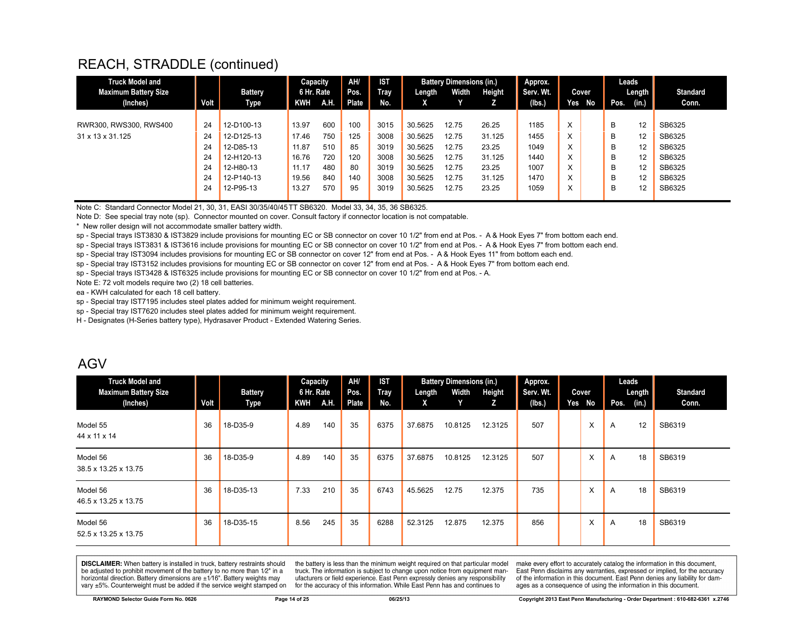| <b>Truck Model and</b>      |      |            | Capacity   |      | AH/          | <b>IST</b> |         | <b>Battery Dimensions (in.)</b> |        | Approx.   |                   |        |      | Leads  |                 |
|-----------------------------|------|------------|------------|------|--------------|------------|---------|---------------------------------|--------|-----------|-------------------|--------|------|--------|-----------------|
| <b>Maximum Battery Size</b> |      | Battery    | 6 Hr. Rate |      | Pos.         | Tray       | Length  | Width                           | Height | Serv. Wt. | Cover             |        |      | Length | <b>Standard</b> |
| (Inches)                    | Volt | Type       | KWH        | A.H. | <b>Plate</b> | No.        | Χ.      | v.                              |        | (lbs.)    |                   | Yes No | Pos. | (in.)  | Conn.           |
|                             |      |            |            |      |              |            |         |                                 |        |           |                   |        |      |        |                 |
| RWR300, RWS300, RWS400      | 24   | 12-D100-13 | 13.97      | 600  | 100          | 3015       | 30.5625 | 12.75                           | 26.25  | 1185      | X                 |        | B    | 12     | SB6325          |
| 31 x 13 x 31.125            | 24   | 12-D125-13 | 17.46      | 750  | 125          | 3008       | 30.5625 | 12.75                           | 31.125 | 1455      | X                 |        | B    | 12     | SB6325          |
|                             | 24   | 12-D85-13  | 11.87      | 510  | 85           | 3019       | 30.5625 | 12.75                           | 23.25  | 1049      | X                 |        | B    | 12     | SB6325          |
|                             | 24   | 12-H120-13 | 16.76      | 720  | 120          | 3008       | 30.5625 | 12.75                           | 31.125 | 1440      | $\checkmark$<br>⋏ |        | B    | 12     | SB6325          |
|                             | 24   | 12-H80-13  | 11.17      | 480  | 80           | 3019       | 30.5625 | 12.75                           | 23.25  | 1007      | $\checkmark$<br>⋏ |        | В    | 12     | SB6325          |
|                             | 24   | 12-P140-13 | 19.56      | 840  | 140          | 3008       | 30.5625 | 12.75                           | 31.125 | 1470      | $\checkmark$<br>⋏ |        | B    | 12     | SB6325          |
|                             | 24   | 12-P95-13  | 13.27      | 570  | 95           | 3019       | 30.5625 | 12.75                           | 23.25  | 1059      | $\checkmark$<br>⋏ |        | В    | 12     | SB6325          |
|                             |      |            |            |      |              |            |         |                                 |        |           |                   |        |      |        |                 |

Note C: Standard Connector Model 21, 30, 31, EASI 30/35/40/45TT SB6320. Model 33, 34, 35, 36 SB6325.

Note D: See special tray note (sp). Connector mounted on cover. Consult factory if connector location is not compatable.

\* New roller design will not accommodate smaller battery width.

sp - Special trays IST3830 & IST3829 include provisions for mounting EC or SB connector on cover 10 1/2" from end at Pos. - A & Hook Eyes 7" from bottom each end.

sp - Special trays IST3831 & IST3616 include provisions for mounting EC or SB connector on cover 10 1/2" from end at Pos. - A & Hook Eyes 7" from bottom each end.

sp - Special tray IST3094 includes provisions for mounting EC or SB connector on cover 12" from end at Pos. - A & Hook Eyes 11" from bottom each end.

sp - Special tray IST3152 includes provisions for mounting EC or SB connector on cover 12" from end at Pos. - A & Hook Eyes 7" from bottom each end.

sp - Special trays IST3428 & IST6325 include provisions for mounting EC or SB connector on cover 10 1/2" from end at Pos. - A.

Note E: 72 volt models require two (2) 18 cell batteries.

ea - KWH calculated for each 18 cell battery.

sp - Special tray IST7195 includes steel plates added for minimum weight requirement.

sp - Special tray IST7620 includes steel plates added for minimum weight requirement.

H - Designates (H-Series battery type), Hydrasaver Product - Extended Watering Series.

#### AGV

| <b>Truck Model and</b><br><b>Maximum Battery Size</b><br>(Inches) | Volt | <b>Battery</b><br>Type | Capacity<br>6 Hr. Rate<br>KWH | A.H. | AH/<br>Pos.<br>Plate | <b>IST</b><br>Tray<br>No. | Length<br>X | <b>Battery Dimensions (in.)</b><br>Width<br>Y | Height<br>Z. | Approx.<br>Serv. Wt.<br>(Ibs.) | Yes | Cover<br>No | Leads<br>Pos.  | Length<br>(in.) | <b>Standard</b><br>Conn. |
|-------------------------------------------------------------------|------|------------------------|-------------------------------|------|----------------------|---------------------------|-------------|-----------------------------------------------|--------------|--------------------------------|-----|-------------|----------------|-----------------|--------------------------|
| Model 55<br>44 x 11 x 14                                          | 36   | 18-D35-9               | 4.89                          | 140  | 35                   | 6375                      | 37.6875     | 10.8125                                       | 12.3125      | 507                            |     | X           | $\overline{A}$ | 12              | SB6319                   |
| Model 56<br>38.5 x 13.25 x 13.75                                  | 36   | 18-D35-9               | 4.89                          | 140  | 35                   | 6375                      | 37.6875     | 10.8125                                       | 12.3125      | 507                            |     | X           | $\overline{A}$ | 18              | SB6319                   |
| Model 56<br>46.5 x 13.25 x 13.75                                  | 36   | 18-D35-13              | 7.33                          | 210  | 35                   | 6743                      | 45.5625     | 12.75                                         | 12.375       | 735                            |     | X           | $\overline{A}$ | 18              | SB6319                   |
| Model 56<br>52.5 x 13.25 x 13.75                                  | 36   | 18-D35-15              | 8.56                          | 245  | 35                   | 6288                      | 52.3125     | 12.875                                        | 12.375       | 856                            |     | X           | $\overline{A}$ | 18              | SB6319                   |

**DISCLAIMER:** When battery is installed in truck, battery restraints should be adjusted to prohibit movement of the battery to no more than 1/2" in a horizontal direction. Battery dimensions are  $\pm 1/16$ ". Battery weights may vary ±5%. Counterweight must be added if the service weight stamped on

the battery is less than the minimum weight required on that particular model truck. The information is subject to change upon notice from equipment manufacturers or field experience. East Penn expressly denies any responsibility for the accuracy of this information. While East Penn has and continues to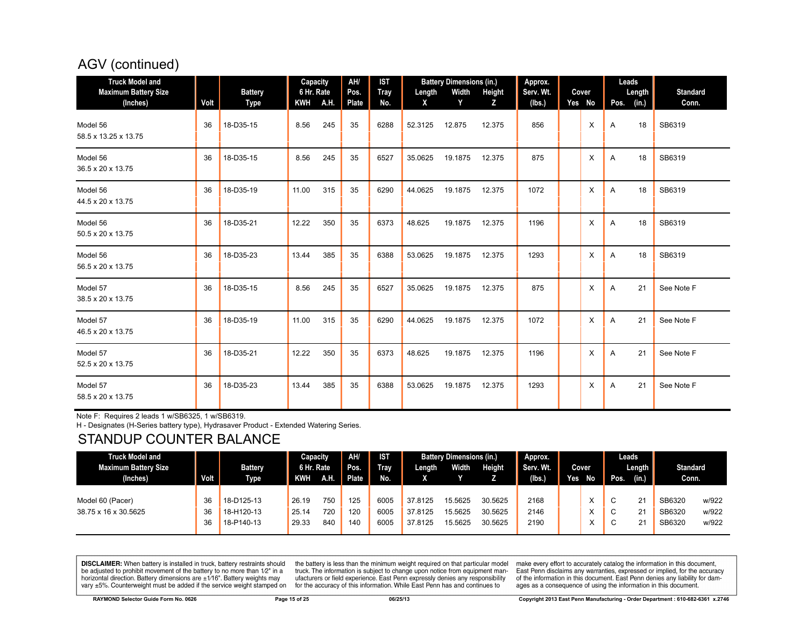# AGV (continued)

| <b>Truck Model and</b><br><b>Maximum Battery Size</b><br>(Inches) | Volt | <b>Battery</b><br><b>Type</b> | Capacity<br>6 Hr. Rate<br>KWH A.H. |     | AH/<br>Pos.<br>Plate | <b>IST</b><br>Tray<br>No. | Length<br>X | <b>Battery Dimensions (in.)</b><br>Width<br>Y | Height<br>z | Approx.<br>Serv. Wt.<br>(lbs.) | Cover<br>Yes No | Leads<br>Length<br>Pos.<br>(in.) | <b>Standard</b><br>Conn. |
|-------------------------------------------------------------------|------|-------------------------------|------------------------------------|-----|----------------------|---------------------------|-------------|-----------------------------------------------|-------------|--------------------------------|-----------------|----------------------------------|--------------------------|
| Model 56<br>58.5 x 13.25 x 13.75                                  | 36   | 18-D35-15                     | 8.56                               | 245 | 35                   | 6288                      | 52.3125     | 12.875                                        | 12.375      | 856                            | X               | 18<br>A                          | SB6319                   |
| Model 56<br>36.5 x 20 x 13.75                                     | 36   | 18-D35-15                     | 8.56                               | 245 | 35                   | 6527                      | 35.0625     | 19.1875                                       | 12.375      | 875                            | X               | 18<br>A                          | SB6319                   |
| Model 56<br>44.5 x 20 x 13.75                                     | 36   | 18-D35-19                     | 11.00                              | 315 | 35                   | 6290                      | 44.0625     | 19.1875                                       | 12.375      | 1072                           | $\times$        | 18<br>A                          | SB6319                   |
| Model 56<br>50.5 x 20 x 13.75                                     | 36   | 18-D35-21                     | 12.22                              | 350 | 35                   | 6373                      | 48.625      | 19.1875                                       | 12.375      | 1196                           | X               | 18<br>A                          | SB6319                   |
| Model 56<br>56.5 x 20 x 13.75                                     | 36   | 18-D35-23                     | 13.44                              | 385 | 35                   | 6388                      | 53.0625     | 19.1875                                       | 12.375      | 1293                           | X               | 18<br>A                          | SB6319                   |
| Model 57<br>38.5 x 20 x 13.75                                     | 36   | 18-D35-15                     | 8.56                               | 245 | 35                   | 6527                      | 35.0625     | 19.1875                                       | 12.375      | 875                            | $\times$        | 21<br>A                          | See Note F               |
| Model 57<br>46.5 x 20 x 13.75                                     | 36   | 18-D35-19                     | 11.00                              | 315 | 35                   | 6290                      | 44.0625     | 19.1875                                       | 12.375      | 1072                           | X               | 21<br>A                          | See Note F               |
| Model 57<br>52.5 x 20 x 13.75                                     | 36   | 18-D35-21                     | 12.22                              | 350 | 35                   | 6373                      | 48.625      | 19.1875                                       | 12.375      | 1196                           | X               | 21<br>A                          | See Note F               |
| Model 57<br>58.5 x 20 x 13.75                                     | 36   | 18-D35-23                     | 13.44                              | 385 | 35                   | 6388                      | 53.0625     | 19.1875                                       | 12.375      | 1293                           | X               | 21<br>A                          | See Note F               |

Note F: Requires 2 leads 1 w/SB6325, 1 w/SB6319.

H - Designates (H-Series battery type), Hydrasaver Product - Extended Watering Series.

# STANDUP COUNTER BALANCE

| <b>Truck Model and</b> |             |             | Capacity   |      | AH/   | <b>IST</b>  |         | <b>Battery Dimensions (in.)</b> |         | Approx.   |     |       |        | Leads        |                 |       |
|------------------------|-------------|-------------|------------|------|-------|-------------|---------|---------------------------------|---------|-----------|-----|-------|--------|--------------|-----------------|-------|
| Maximum Battery Size   |             | Battery     | 6 Hr. Rate |      | Pos.  | <b>Trav</b> | Length  | Width                           | Height  | Serv. Wt. |     | Cover |        | Length       | <b>Standard</b> |       |
| (Inches)               | <b>Volt</b> | <b>Type</b> | KWH        | A.H. | Plate | No.         |         |                                 |         | (lbs.)    | Yes | No    | Pos.   | (in.)        | Conn.           |       |
|                        |             |             |            |      |       |             |         |                                 |         |           |     |       |        |              |                 |       |
| Model 60 (Pacer)       | 36          | 18-D125-13  | 26.19      | 750  | 125   | 6005        | 37.8125 | 15.5625                         | 30.5625 | 2168      |     |       |        | $2^{\prime}$ | SB6320          | w/922 |
| 38.75 x 16 x 30.5625   | 36          | 18-H120-13  | 25.14      | 720  | 120   | 6005        | 37.8125 | 15.5625                         | 30.5625 | 2146      |     |       | ╰      | $2^{\circ}$  | SB6320          | w/922 |
|                        | 36          | 18-P140-13  | 29.33      | 840  | 140   | 6005        | 37.8125 | 15.5625                         | 30.5625 | 2190      |     |       | $\sim$ | $2^{\cdot}$  | SB6320          | w/922 |

**DISCLAIMER:** When battery is installed in truck, battery restraints should be adjusted to prohibit movement of the battery to no more than 1/2" in a horizontal direction. Battery dimensions are ±1/16". Battery weights may vary ±5%. Counterweight must be added if the service weight stamped on

the battery is less than the minimum weight required on that particular model truck. The information is subject to change upon notice from equipment manufacturers or field experience. East Penn expressly denies any responsibility for the accuracy of this information. While East Penn has and continues to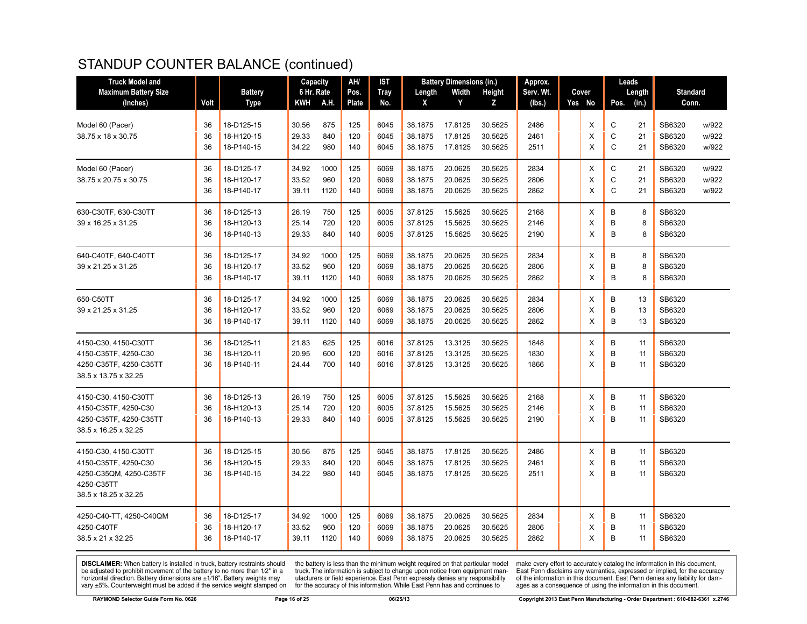# STANDUP COUNTER BALANCE (continued)

| <b>Maximum Battery Size</b><br><b>Battery</b><br>6 Hr. Rate<br>Pos.<br><b>Tray</b><br>Width<br>Height<br>Serv. Wt.<br><b>Standard</b><br>Length<br>Cover<br>Length<br>A.H.<br>Plate<br>Y<br>(in.)<br>(Inches)<br>Volt<br><b>Type</b><br>KWH<br>No.<br>z<br>Yes No<br>Conn.<br>x<br>(lbs.)<br>Pos.<br>125<br>2486<br>Χ<br>С<br>21<br>w/922<br>Model 60 (Pacer)<br>36<br>18-D125-15<br>30.56<br>875<br>6045<br>38.1875<br>17.8125<br>30.5625<br>SB6320<br>C<br>X<br>21<br>w/922<br>36<br>29.33<br>840<br>120<br>6045<br>38.1875<br>17.8125<br>30.5625<br>2461<br>SB6320<br>38.75 x 18 x 30.75<br>18-H120-15<br>$\mathsf{C}$<br>36<br>18-P140-15<br>34.22<br>980<br>17.8125<br>30.5625<br>2511<br>$\times$<br>21<br>SB6320<br>w/922<br>140<br>6045<br>38.1875<br>2834<br>C<br>18-D125-17<br>34.92<br>1000<br>125<br>6069<br>38.1875<br>20.0625<br>30.5625<br>X<br>21<br>SB6320<br>w/922<br>36<br>960<br>$\mathbf C$<br>33.52<br>120<br>6069<br>20.0625<br>30.5625<br>2806<br>X<br>21<br>SB6320<br>w/922<br>36<br>18-H120-17<br>38.1875<br>$\mathsf{C}$<br>20.0625<br>2862<br>SB6320<br>w/922<br>36<br>18-P140-17<br>39.11<br>1120<br>140<br>6069<br>38.1875<br>30.5625<br>X<br>21<br>18-D125-13<br>26.19<br>750<br>125<br>6005<br>37.8125<br>15.5625<br>30.5625<br>2168<br>X<br>B<br>8<br>SB6320<br>36<br>B<br>25.14<br>720<br>120<br>6005<br>37.8125<br>15.5625<br>30.5625<br>2146<br>X<br>8<br>SB6320<br>36<br>18-H120-13<br>B<br>SB6320<br>36<br>18-P140-13<br>29.33<br>840<br>140<br>6005<br>37.8125<br>15.5625<br>30.5625<br>2190<br>$\times$<br>8<br>34.92<br>1000<br>20.0625<br>2834<br>B<br>SB6320<br>18-D125-17<br>125<br>6069<br>38.1875<br>30.5625<br>X<br>8<br>36<br>B<br>SB6320<br>36<br>18-H120-17<br>33.52<br>960<br>120<br>6069<br>38.1875<br>20.0625<br>30.5625<br>2806<br>X<br>8<br>B<br>140<br>20.0625<br>2862<br>SB6320<br>36<br>18-P140-17<br>39.11<br>1120<br>6069<br>38.1875<br>30.5625<br>$\times$<br>8<br>2834<br>В<br>SB6320<br>36<br>18-D125-17<br>34.92<br>1000<br>125<br>6069<br>38.1875<br>20.0625<br>30.5625<br>Χ<br>13<br>33.52<br>960<br>120<br>6069<br>38.1875<br>20.0625<br>30.5625<br>2806<br>X<br>B<br>13<br>SB6320<br>36<br>18-H120-17<br>B<br>36<br>18-P140-17<br>39.11<br>1120<br>140<br>6069<br>38.1875<br>20.0625<br>30.5625<br>2862<br>X<br>SB6320<br>13<br>21.83<br>625<br>125<br>6016<br>37.8125<br>13.3125<br>30.5625<br>1848<br>B<br>SB6320<br>36<br>18-D125-11<br>Χ<br>11<br>X<br>B<br>36<br>20.95<br>600<br>120<br>6016<br>37.8125<br>13.3125<br>30.5625<br>1830<br>11<br>SB6320<br>18-H120-11<br>B<br>13.3125<br>X<br>SB6320<br>36<br>18-P140-11<br>24.44<br>700<br>140<br>6016<br>37.8125<br>30.5625<br>1866<br>11<br>38.5 x 13.75 x 32.25<br>18-D125-13<br>26.19<br>750<br>125<br>6005<br>37.8125<br>15.5625<br>30.5625<br>2168<br>B<br>SB6320<br>36<br>Χ<br>11<br>B<br>25.14<br>720<br>120<br>6005<br>37.8125<br>15.5625<br>30.5625<br>2146<br>X<br>11<br>SB6320<br>36<br>18-H120-13<br>B<br>4250-C35TF, 4250-C35TT<br>18-P140-13<br>29.33<br>840<br>140<br>6005<br>37.8125<br>15.5625<br>30.5625<br>2190<br>X<br>11<br>SB6320<br>36<br>38.5 x 16.25 x 32.25<br>SB6320<br>18-D125-15<br>30.56<br>875<br>125<br>6045<br>38.1875<br>17.8125<br>30.5625<br>2486<br>X<br>B<br>11<br>36<br>29.33<br>840<br>120<br>2461<br>X<br>B<br>SB6320<br>36<br>18-H120-15<br>6045<br>38.1875<br>17.8125<br>30.5625<br>11<br>B<br>34.22<br>17.8125<br>2511<br>X<br>SB6320<br>4250-C35QM, 4250-C35TF<br>36<br>18-P140-15<br>980<br>140<br>6045<br>38.1875<br>30.5625<br>11<br>4250-C35TT<br>1000<br>2834<br>B<br>SB6320<br>36<br>18-D125-17<br>34.92<br>125<br>6069<br>38.1875<br>20.0625<br>30.5625<br>X<br>11<br>960<br>120<br>6069<br>20.0625<br>30.5625<br>2806<br>X<br>B<br>SB6320<br>36<br>18-H120-17<br>33.52<br>38.1875<br>11<br>B<br>140<br>20.0625<br>30.5625<br>2862<br>X<br>11<br>SB6320<br>36<br>18-P140-17<br>39.11<br>1120<br>6069<br>38.1875 | <b>Truck Model and</b>  |  | Capacity | AH/ | IST | <b>Battery Dimensions (in.)</b> | Approx. |  | Leads |  |
|----------------------------------------------------------------------------------------------------------------------------------------------------------------------------------------------------------------------------------------------------------------------------------------------------------------------------------------------------------------------------------------------------------------------------------------------------------------------------------------------------------------------------------------------------------------------------------------------------------------------------------------------------------------------------------------------------------------------------------------------------------------------------------------------------------------------------------------------------------------------------------------------------------------------------------------------------------------------------------------------------------------------------------------------------------------------------------------------------------------------------------------------------------------------------------------------------------------------------------------------------------------------------------------------------------------------------------------------------------------------------------------------------------------------------------------------------------------------------------------------------------------------------------------------------------------------------------------------------------------------------------------------------------------------------------------------------------------------------------------------------------------------------------------------------------------------------------------------------------------------------------------------------------------------------------------------------------------------------------------------------------------------------------------------------------------------------------------------------------------------------------------------------------------------------------------------------------------------------------------------------------------------------------------------------------------------------------------------------------------------------------------------------------------------------------------------------------------------------------------------------------------------------------------------------------------------------------------------------------------------------------------------------------------------------------------------------------------------------------------------------------------------------------------------------------------------------------------------------------------------------------------------------------------------------------------------------------------------------------------------------------------------------------------------------------------------------------------------------------------------------------------------------------------------------------------------------------------------------------------------------------------------------------------------------------------------------------------------------------------------------------------------------------------------------------------------------------------------------------------------------------------------------------------------------------------------------------------------------------------------------------------------------------------------------------------------------------------------------------------------------------------------------------------------------------------------------------------------------------------------------------------------|-------------------------|--|----------|-----|-----|---------------------------------|---------|--|-------|--|
|                                                                                                                                                                                                                                                                                                                                                                                                                                                                                                                                                                                                                                                                                                                                                                                                                                                                                                                                                                                                                                                                                                                                                                                                                                                                                                                                                                                                                                                                                                                                                                                                                                                                                                                                                                                                                                                                                                                                                                                                                                                                                                                                                                                                                                                                                                                                                                                                                                                                                                                                                                                                                                                                                                                                                                                                                                                                                                                                                                                                                                                                                                                                                                                                                                                                                                                                                                                                                                                                                                                                                                                                                                                                                                                                                                                                                                                                                              |                         |  |          |     |     |                                 |         |  |       |  |
|                                                                                                                                                                                                                                                                                                                                                                                                                                                                                                                                                                                                                                                                                                                                                                                                                                                                                                                                                                                                                                                                                                                                                                                                                                                                                                                                                                                                                                                                                                                                                                                                                                                                                                                                                                                                                                                                                                                                                                                                                                                                                                                                                                                                                                                                                                                                                                                                                                                                                                                                                                                                                                                                                                                                                                                                                                                                                                                                                                                                                                                                                                                                                                                                                                                                                                                                                                                                                                                                                                                                                                                                                                                                                                                                                                                                                                                                                              |                         |  |          |     |     |                                 |         |  |       |  |
|                                                                                                                                                                                                                                                                                                                                                                                                                                                                                                                                                                                                                                                                                                                                                                                                                                                                                                                                                                                                                                                                                                                                                                                                                                                                                                                                                                                                                                                                                                                                                                                                                                                                                                                                                                                                                                                                                                                                                                                                                                                                                                                                                                                                                                                                                                                                                                                                                                                                                                                                                                                                                                                                                                                                                                                                                                                                                                                                                                                                                                                                                                                                                                                                                                                                                                                                                                                                                                                                                                                                                                                                                                                                                                                                                                                                                                                                                              |                         |  |          |     |     |                                 |         |  |       |  |
|                                                                                                                                                                                                                                                                                                                                                                                                                                                                                                                                                                                                                                                                                                                                                                                                                                                                                                                                                                                                                                                                                                                                                                                                                                                                                                                                                                                                                                                                                                                                                                                                                                                                                                                                                                                                                                                                                                                                                                                                                                                                                                                                                                                                                                                                                                                                                                                                                                                                                                                                                                                                                                                                                                                                                                                                                                                                                                                                                                                                                                                                                                                                                                                                                                                                                                                                                                                                                                                                                                                                                                                                                                                                                                                                                                                                                                                                                              |                         |  |          |     |     |                                 |         |  |       |  |
|                                                                                                                                                                                                                                                                                                                                                                                                                                                                                                                                                                                                                                                                                                                                                                                                                                                                                                                                                                                                                                                                                                                                                                                                                                                                                                                                                                                                                                                                                                                                                                                                                                                                                                                                                                                                                                                                                                                                                                                                                                                                                                                                                                                                                                                                                                                                                                                                                                                                                                                                                                                                                                                                                                                                                                                                                                                                                                                                                                                                                                                                                                                                                                                                                                                                                                                                                                                                                                                                                                                                                                                                                                                                                                                                                                                                                                                                                              |                         |  |          |     |     |                                 |         |  |       |  |
|                                                                                                                                                                                                                                                                                                                                                                                                                                                                                                                                                                                                                                                                                                                                                                                                                                                                                                                                                                                                                                                                                                                                                                                                                                                                                                                                                                                                                                                                                                                                                                                                                                                                                                                                                                                                                                                                                                                                                                                                                                                                                                                                                                                                                                                                                                                                                                                                                                                                                                                                                                                                                                                                                                                                                                                                                                                                                                                                                                                                                                                                                                                                                                                                                                                                                                                                                                                                                                                                                                                                                                                                                                                                                                                                                                                                                                                                                              | Model 60 (Pacer)        |  |          |     |     |                                 |         |  |       |  |
|                                                                                                                                                                                                                                                                                                                                                                                                                                                                                                                                                                                                                                                                                                                                                                                                                                                                                                                                                                                                                                                                                                                                                                                                                                                                                                                                                                                                                                                                                                                                                                                                                                                                                                                                                                                                                                                                                                                                                                                                                                                                                                                                                                                                                                                                                                                                                                                                                                                                                                                                                                                                                                                                                                                                                                                                                                                                                                                                                                                                                                                                                                                                                                                                                                                                                                                                                                                                                                                                                                                                                                                                                                                                                                                                                                                                                                                                                              | 38.75 x 20.75 x 30.75   |  |          |     |     |                                 |         |  |       |  |
|                                                                                                                                                                                                                                                                                                                                                                                                                                                                                                                                                                                                                                                                                                                                                                                                                                                                                                                                                                                                                                                                                                                                                                                                                                                                                                                                                                                                                                                                                                                                                                                                                                                                                                                                                                                                                                                                                                                                                                                                                                                                                                                                                                                                                                                                                                                                                                                                                                                                                                                                                                                                                                                                                                                                                                                                                                                                                                                                                                                                                                                                                                                                                                                                                                                                                                                                                                                                                                                                                                                                                                                                                                                                                                                                                                                                                                                                                              |                         |  |          |     |     |                                 |         |  |       |  |
|                                                                                                                                                                                                                                                                                                                                                                                                                                                                                                                                                                                                                                                                                                                                                                                                                                                                                                                                                                                                                                                                                                                                                                                                                                                                                                                                                                                                                                                                                                                                                                                                                                                                                                                                                                                                                                                                                                                                                                                                                                                                                                                                                                                                                                                                                                                                                                                                                                                                                                                                                                                                                                                                                                                                                                                                                                                                                                                                                                                                                                                                                                                                                                                                                                                                                                                                                                                                                                                                                                                                                                                                                                                                                                                                                                                                                                                                                              | 630-C30TF, 630-C30TT    |  |          |     |     |                                 |         |  |       |  |
|                                                                                                                                                                                                                                                                                                                                                                                                                                                                                                                                                                                                                                                                                                                                                                                                                                                                                                                                                                                                                                                                                                                                                                                                                                                                                                                                                                                                                                                                                                                                                                                                                                                                                                                                                                                                                                                                                                                                                                                                                                                                                                                                                                                                                                                                                                                                                                                                                                                                                                                                                                                                                                                                                                                                                                                                                                                                                                                                                                                                                                                                                                                                                                                                                                                                                                                                                                                                                                                                                                                                                                                                                                                                                                                                                                                                                                                                                              | 39 x 16.25 x 31.25      |  |          |     |     |                                 |         |  |       |  |
|                                                                                                                                                                                                                                                                                                                                                                                                                                                                                                                                                                                                                                                                                                                                                                                                                                                                                                                                                                                                                                                                                                                                                                                                                                                                                                                                                                                                                                                                                                                                                                                                                                                                                                                                                                                                                                                                                                                                                                                                                                                                                                                                                                                                                                                                                                                                                                                                                                                                                                                                                                                                                                                                                                                                                                                                                                                                                                                                                                                                                                                                                                                                                                                                                                                                                                                                                                                                                                                                                                                                                                                                                                                                                                                                                                                                                                                                                              |                         |  |          |     |     |                                 |         |  |       |  |
|                                                                                                                                                                                                                                                                                                                                                                                                                                                                                                                                                                                                                                                                                                                                                                                                                                                                                                                                                                                                                                                                                                                                                                                                                                                                                                                                                                                                                                                                                                                                                                                                                                                                                                                                                                                                                                                                                                                                                                                                                                                                                                                                                                                                                                                                                                                                                                                                                                                                                                                                                                                                                                                                                                                                                                                                                                                                                                                                                                                                                                                                                                                                                                                                                                                                                                                                                                                                                                                                                                                                                                                                                                                                                                                                                                                                                                                                                              | 640-C40TF, 640-C40TT    |  |          |     |     |                                 |         |  |       |  |
|                                                                                                                                                                                                                                                                                                                                                                                                                                                                                                                                                                                                                                                                                                                                                                                                                                                                                                                                                                                                                                                                                                                                                                                                                                                                                                                                                                                                                                                                                                                                                                                                                                                                                                                                                                                                                                                                                                                                                                                                                                                                                                                                                                                                                                                                                                                                                                                                                                                                                                                                                                                                                                                                                                                                                                                                                                                                                                                                                                                                                                                                                                                                                                                                                                                                                                                                                                                                                                                                                                                                                                                                                                                                                                                                                                                                                                                                                              | 39 x 21.25 x 31.25      |  |          |     |     |                                 |         |  |       |  |
|                                                                                                                                                                                                                                                                                                                                                                                                                                                                                                                                                                                                                                                                                                                                                                                                                                                                                                                                                                                                                                                                                                                                                                                                                                                                                                                                                                                                                                                                                                                                                                                                                                                                                                                                                                                                                                                                                                                                                                                                                                                                                                                                                                                                                                                                                                                                                                                                                                                                                                                                                                                                                                                                                                                                                                                                                                                                                                                                                                                                                                                                                                                                                                                                                                                                                                                                                                                                                                                                                                                                                                                                                                                                                                                                                                                                                                                                                              |                         |  |          |     |     |                                 |         |  |       |  |
|                                                                                                                                                                                                                                                                                                                                                                                                                                                                                                                                                                                                                                                                                                                                                                                                                                                                                                                                                                                                                                                                                                                                                                                                                                                                                                                                                                                                                                                                                                                                                                                                                                                                                                                                                                                                                                                                                                                                                                                                                                                                                                                                                                                                                                                                                                                                                                                                                                                                                                                                                                                                                                                                                                                                                                                                                                                                                                                                                                                                                                                                                                                                                                                                                                                                                                                                                                                                                                                                                                                                                                                                                                                                                                                                                                                                                                                                                              | 650-C50TT               |  |          |     |     |                                 |         |  |       |  |
|                                                                                                                                                                                                                                                                                                                                                                                                                                                                                                                                                                                                                                                                                                                                                                                                                                                                                                                                                                                                                                                                                                                                                                                                                                                                                                                                                                                                                                                                                                                                                                                                                                                                                                                                                                                                                                                                                                                                                                                                                                                                                                                                                                                                                                                                                                                                                                                                                                                                                                                                                                                                                                                                                                                                                                                                                                                                                                                                                                                                                                                                                                                                                                                                                                                                                                                                                                                                                                                                                                                                                                                                                                                                                                                                                                                                                                                                                              | 39 x 21.25 x 31.25      |  |          |     |     |                                 |         |  |       |  |
|                                                                                                                                                                                                                                                                                                                                                                                                                                                                                                                                                                                                                                                                                                                                                                                                                                                                                                                                                                                                                                                                                                                                                                                                                                                                                                                                                                                                                                                                                                                                                                                                                                                                                                                                                                                                                                                                                                                                                                                                                                                                                                                                                                                                                                                                                                                                                                                                                                                                                                                                                                                                                                                                                                                                                                                                                                                                                                                                                                                                                                                                                                                                                                                                                                                                                                                                                                                                                                                                                                                                                                                                                                                                                                                                                                                                                                                                                              |                         |  |          |     |     |                                 |         |  |       |  |
|                                                                                                                                                                                                                                                                                                                                                                                                                                                                                                                                                                                                                                                                                                                                                                                                                                                                                                                                                                                                                                                                                                                                                                                                                                                                                                                                                                                                                                                                                                                                                                                                                                                                                                                                                                                                                                                                                                                                                                                                                                                                                                                                                                                                                                                                                                                                                                                                                                                                                                                                                                                                                                                                                                                                                                                                                                                                                                                                                                                                                                                                                                                                                                                                                                                                                                                                                                                                                                                                                                                                                                                                                                                                                                                                                                                                                                                                                              | 4150-C30, 4150-C30TT    |  |          |     |     |                                 |         |  |       |  |
|                                                                                                                                                                                                                                                                                                                                                                                                                                                                                                                                                                                                                                                                                                                                                                                                                                                                                                                                                                                                                                                                                                                                                                                                                                                                                                                                                                                                                                                                                                                                                                                                                                                                                                                                                                                                                                                                                                                                                                                                                                                                                                                                                                                                                                                                                                                                                                                                                                                                                                                                                                                                                                                                                                                                                                                                                                                                                                                                                                                                                                                                                                                                                                                                                                                                                                                                                                                                                                                                                                                                                                                                                                                                                                                                                                                                                                                                                              | 4150-C35TF, 4250-C30    |  |          |     |     |                                 |         |  |       |  |
|                                                                                                                                                                                                                                                                                                                                                                                                                                                                                                                                                                                                                                                                                                                                                                                                                                                                                                                                                                                                                                                                                                                                                                                                                                                                                                                                                                                                                                                                                                                                                                                                                                                                                                                                                                                                                                                                                                                                                                                                                                                                                                                                                                                                                                                                                                                                                                                                                                                                                                                                                                                                                                                                                                                                                                                                                                                                                                                                                                                                                                                                                                                                                                                                                                                                                                                                                                                                                                                                                                                                                                                                                                                                                                                                                                                                                                                                                              | 4250-C35TF, 4250-C35TT  |  |          |     |     |                                 |         |  |       |  |
|                                                                                                                                                                                                                                                                                                                                                                                                                                                                                                                                                                                                                                                                                                                                                                                                                                                                                                                                                                                                                                                                                                                                                                                                                                                                                                                                                                                                                                                                                                                                                                                                                                                                                                                                                                                                                                                                                                                                                                                                                                                                                                                                                                                                                                                                                                                                                                                                                                                                                                                                                                                                                                                                                                                                                                                                                                                                                                                                                                                                                                                                                                                                                                                                                                                                                                                                                                                                                                                                                                                                                                                                                                                                                                                                                                                                                                                                                              |                         |  |          |     |     |                                 |         |  |       |  |
|                                                                                                                                                                                                                                                                                                                                                                                                                                                                                                                                                                                                                                                                                                                                                                                                                                                                                                                                                                                                                                                                                                                                                                                                                                                                                                                                                                                                                                                                                                                                                                                                                                                                                                                                                                                                                                                                                                                                                                                                                                                                                                                                                                                                                                                                                                                                                                                                                                                                                                                                                                                                                                                                                                                                                                                                                                                                                                                                                                                                                                                                                                                                                                                                                                                                                                                                                                                                                                                                                                                                                                                                                                                                                                                                                                                                                                                                                              | 4150-C30, 4150-C30TT    |  |          |     |     |                                 |         |  |       |  |
|                                                                                                                                                                                                                                                                                                                                                                                                                                                                                                                                                                                                                                                                                                                                                                                                                                                                                                                                                                                                                                                                                                                                                                                                                                                                                                                                                                                                                                                                                                                                                                                                                                                                                                                                                                                                                                                                                                                                                                                                                                                                                                                                                                                                                                                                                                                                                                                                                                                                                                                                                                                                                                                                                                                                                                                                                                                                                                                                                                                                                                                                                                                                                                                                                                                                                                                                                                                                                                                                                                                                                                                                                                                                                                                                                                                                                                                                                              | 4150-C35TF, 4250-C30    |  |          |     |     |                                 |         |  |       |  |
|                                                                                                                                                                                                                                                                                                                                                                                                                                                                                                                                                                                                                                                                                                                                                                                                                                                                                                                                                                                                                                                                                                                                                                                                                                                                                                                                                                                                                                                                                                                                                                                                                                                                                                                                                                                                                                                                                                                                                                                                                                                                                                                                                                                                                                                                                                                                                                                                                                                                                                                                                                                                                                                                                                                                                                                                                                                                                                                                                                                                                                                                                                                                                                                                                                                                                                                                                                                                                                                                                                                                                                                                                                                                                                                                                                                                                                                                                              |                         |  |          |     |     |                                 |         |  |       |  |
|                                                                                                                                                                                                                                                                                                                                                                                                                                                                                                                                                                                                                                                                                                                                                                                                                                                                                                                                                                                                                                                                                                                                                                                                                                                                                                                                                                                                                                                                                                                                                                                                                                                                                                                                                                                                                                                                                                                                                                                                                                                                                                                                                                                                                                                                                                                                                                                                                                                                                                                                                                                                                                                                                                                                                                                                                                                                                                                                                                                                                                                                                                                                                                                                                                                                                                                                                                                                                                                                                                                                                                                                                                                                                                                                                                                                                                                                                              |                         |  |          |     |     |                                 |         |  |       |  |
|                                                                                                                                                                                                                                                                                                                                                                                                                                                                                                                                                                                                                                                                                                                                                                                                                                                                                                                                                                                                                                                                                                                                                                                                                                                                                                                                                                                                                                                                                                                                                                                                                                                                                                                                                                                                                                                                                                                                                                                                                                                                                                                                                                                                                                                                                                                                                                                                                                                                                                                                                                                                                                                                                                                                                                                                                                                                                                                                                                                                                                                                                                                                                                                                                                                                                                                                                                                                                                                                                                                                                                                                                                                                                                                                                                                                                                                                                              | 4150-C30, 4150-C30TT    |  |          |     |     |                                 |         |  |       |  |
|                                                                                                                                                                                                                                                                                                                                                                                                                                                                                                                                                                                                                                                                                                                                                                                                                                                                                                                                                                                                                                                                                                                                                                                                                                                                                                                                                                                                                                                                                                                                                                                                                                                                                                                                                                                                                                                                                                                                                                                                                                                                                                                                                                                                                                                                                                                                                                                                                                                                                                                                                                                                                                                                                                                                                                                                                                                                                                                                                                                                                                                                                                                                                                                                                                                                                                                                                                                                                                                                                                                                                                                                                                                                                                                                                                                                                                                                                              | 4150-C35TF, 4250-C30    |  |          |     |     |                                 |         |  |       |  |
|                                                                                                                                                                                                                                                                                                                                                                                                                                                                                                                                                                                                                                                                                                                                                                                                                                                                                                                                                                                                                                                                                                                                                                                                                                                                                                                                                                                                                                                                                                                                                                                                                                                                                                                                                                                                                                                                                                                                                                                                                                                                                                                                                                                                                                                                                                                                                                                                                                                                                                                                                                                                                                                                                                                                                                                                                                                                                                                                                                                                                                                                                                                                                                                                                                                                                                                                                                                                                                                                                                                                                                                                                                                                                                                                                                                                                                                                                              |                         |  |          |     |     |                                 |         |  |       |  |
|                                                                                                                                                                                                                                                                                                                                                                                                                                                                                                                                                                                                                                                                                                                                                                                                                                                                                                                                                                                                                                                                                                                                                                                                                                                                                                                                                                                                                                                                                                                                                                                                                                                                                                                                                                                                                                                                                                                                                                                                                                                                                                                                                                                                                                                                                                                                                                                                                                                                                                                                                                                                                                                                                                                                                                                                                                                                                                                                                                                                                                                                                                                                                                                                                                                                                                                                                                                                                                                                                                                                                                                                                                                                                                                                                                                                                                                                                              | 38.5 x 18.25 x 32.25    |  |          |     |     |                                 |         |  |       |  |
|                                                                                                                                                                                                                                                                                                                                                                                                                                                                                                                                                                                                                                                                                                                                                                                                                                                                                                                                                                                                                                                                                                                                                                                                                                                                                                                                                                                                                                                                                                                                                                                                                                                                                                                                                                                                                                                                                                                                                                                                                                                                                                                                                                                                                                                                                                                                                                                                                                                                                                                                                                                                                                                                                                                                                                                                                                                                                                                                                                                                                                                                                                                                                                                                                                                                                                                                                                                                                                                                                                                                                                                                                                                                                                                                                                                                                                                                                              | 4250-C40-TT, 4250-C40QM |  |          |     |     |                                 |         |  |       |  |
|                                                                                                                                                                                                                                                                                                                                                                                                                                                                                                                                                                                                                                                                                                                                                                                                                                                                                                                                                                                                                                                                                                                                                                                                                                                                                                                                                                                                                                                                                                                                                                                                                                                                                                                                                                                                                                                                                                                                                                                                                                                                                                                                                                                                                                                                                                                                                                                                                                                                                                                                                                                                                                                                                                                                                                                                                                                                                                                                                                                                                                                                                                                                                                                                                                                                                                                                                                                                                                                                                                                                                                                                                                                                                                                                                                                                                                                                                              | 4250-C40TF              |  |          |     |     |                                 |         |  |       |  |
|                                                                                                                                                                                                                                                                                                                                                                                                                                                                                                                                                                                                                                                                                                                                                                                                                                                                                                                                                                                                                                                                                                                                                                                                                                                                                                                                                                                                                                                                                                                                                                                                                                                                                                                                                                                                                                                                                                                                                                                                                                                                                                                                                                                                                                                                                                                                                                                                                                                                                                                                                                                                                                                                                                                                                                                                                                                                                                                                                                                                                                                                                                                                                                                                                                                                                                                                                                                                                                                                                                                                                                                                                                                                                                                                                                                                                                                                                              | 38.5 x 21 x 32.25       |  |          |     |     |                                 |         |  |       |  |

**DISCLAIMER:** When battery is installed in truck, battery restraints should be adjusted to prohibit movement of the battery to no more than  $1/2$ " in a horizontal direction. Battery dimensions are  $\pm 1/16$ ". Battery weig

the battery is less than the minimum weight required on that particular model<br>truck. The information is subject to change upon notice from equipment man-<br>ufacturers or field experience. East Penn expressly denies any respo for the accuracy of this information. While East Penn has and continues to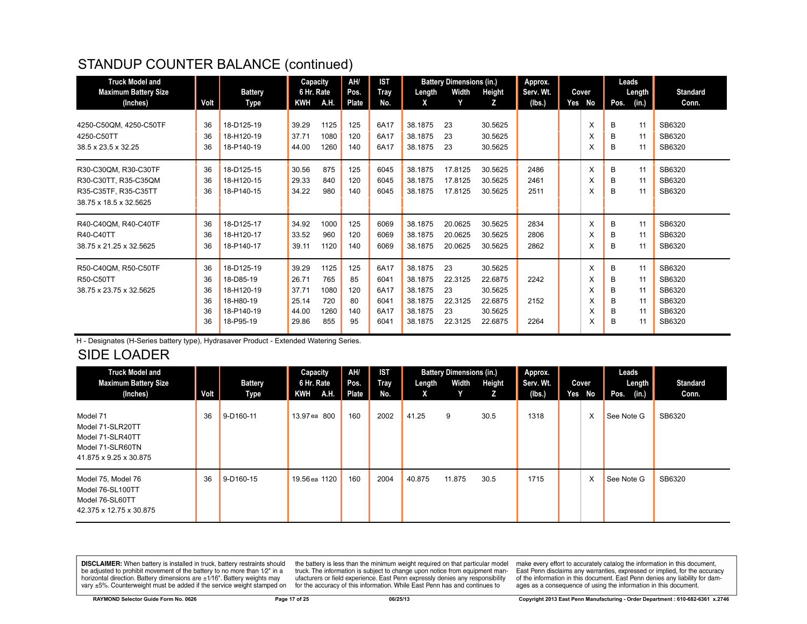# STANDUP COUNTER BALANCE (continued)

| <b>Truck Model and</b><br><b>Maximum Battery Size</b>                                          |                                  | <b>Battery</b>                                                                | Capacity<br>6 Hr. Rate                             |                                           | AH/<br>Pos.                         | <b>IST</b><br><b>Tray</b>                    | Length                                                         | <b>Battery Dimensions (in.)</b><br>Width        | Height                                                         | Approx.<br>Serv. Wt. | Cover                      |                            | Leads<br>Length                  | <b>Standard</b>                                          |
|------------------------------------------------------------------------------------------------|----------------------------------|-------------------------------------------------------------------------------|----------------------------------------------------|-------------------------------------------|-------------------------------------|----------------------------------------------|----------------------------------------------------------------|-------------------------------------------------|----------------------------------------------------------------|----------------------|----------------------------|----------------------------|----------------------------------|----------------------------------------------------------|
| (Inches)                                                                                       | Volt                             | Type                                                                          | KWH                                                | A.H.                                      | Plate                               | No.                                          | X                                                              | Y                                               | z                                                              | (Ibs.)               | Yes No                     | Pos.                       | (in.)                            | Conn.                                                    |
| 4250-C50QM, 4250-C50TF<br>4250-C50TT<br>38.5 x 23.5 x 32.25                                    | 36<br>36<br>36                   | 18-D125-19<br>18-H120-19<br>18-P140-19                                        | 39.29<br>37.71<br>44.00                            | 1125<br>1080<br>1260                      | 125<br>120<br>140                   | 6A17<br>6A17<br>6A17                         | 38.1875<br>38.1875<br>38.1875                                  | 23<br>23<br>23                                  | 30.5625<br>30.5625<br>30.5625                                  |                      | X<br>X<br>X                | в<br>B<br>B                | 11<br>11<br>11                   | SB6320<br>SB6320<br>SB6320                               |
| R30-C30QM, R30-C30TF<br>R30-C30TT, R35-C35QM<br>R35-C35TF, R35-C35TT<br>38.75 x 18.5 x 32.5625 | 36<br>36<br>36                   | 18-D125-15<br>18-H120-15<br>18-P140-15                                        | 30.56<br>29.33<br>34.22                            | 875<br>840<br>980                         | 125<br>120<br>140                   | 6045<br>6045<br>6045                         | 38.1875<br>38.1875<br>38.1875                                  | 17.8125<br>17.8125<br>17.8125                   | 30.5625<br>30.5625<br>30.5625                                  | 2486<br>2461<br>2511 | X<br>X<br>X                | В<br>B<br>B                | 11<br>11<br>11                   | SB6320<br>SB6320<br>SB6320                               |
| R40-C40QM, R40-C40TF<br>R40-C40TT<br>38.75 x 21.25 x 32.5625                                   | 36<br>36<br>36                   | 18-D125-17<br>18-H120-17<br>18-P140-17                                        | 34.92<br>33.52<br>39.11                            | 1000<br>960<br>1120                       | 125<br>120<br>140                   | 6069<br>6069<br>6069                         | 38.1875<br>38.1875<br>38.1875                                  | 20.0625<br>20.0625<br>20.0625                   | 30.5625<br>30.5625<br>30.5625                                  | 2834<br>2806<br>2862 | X<br>X<br>X                | B<br>в<br>в                | 11<br>11<br>11                   | SB6320<br>SB6320<br>SB6320                               |
| R50-C40QM, R50-C50TF<br>R50-C50TT<br>38.75 x 23.75 x 32.5625                                   | 36<br>36<br>36<br>36<br>36<br>36 | 18-D125-19<br>18-D85-19<br>18-H120-19<br>18-H80-19<br>18-P140-19<br>18-P95-19 | 39.29<br>26.71<br>37.71<br>25.14<br>44.00<br>29.86 | 1125<br>765<br>1080<br>720<br>1260<br>855 | 125<br>85<br>120<br>80<br>140<br>95 | 6A17<br>6041<br>6A17<br>6041<br>6A17<br>6041 | 38.1875<br>38.1875<br>38.1875<br>38.1875<br>38.1875<br>38.1875 | 23<br>22.3125<br>23<br>22.3125<br>23<br>22.3125 | 30.5625<br>22.6875<br>30.5625<br>22.6875<br>30.5625<br>22.6875 | 2242<br>2152<br>2264 | X<br>X<br>X<br>X<br>X<br>X | B<br>B<br>B<br>B<br>B<br>B | 11<br>11<br>11<br>11<br>11<br>11 | SB6320<br>SB6320<br>SB6320<br>SB6320<br>SB6320<br>SB6320 |

H - Designates (H-Series battery type), Hydrasaver Product - Extended Watering Series.

# SIDE LOADER

| <b>Truck Model and</b><br><b>Maximum Battery Size</b><br>(Inches)                              | Volt | <b>Battery</b><br>Type | Capacity<br>6 Hr. Rate<br>KWH<br><b>TAH.</b> | AH/<br>Pos.<br>Plate | <b>IST</b><br>Tray<br>No. | Length<br>x | <b>Battery Dimensions (in.)</b><br>Width<br>Y | Height<br>z | Approx.<br>Serv. Wt.<br>(Ibs.) | Cover<br>Yes No | Leads<br>Length<br>Pos.<br>(in.) | <b>Standard</b><br>Conn. |
|------------------------------------------------------------------------------------------------|------|------------------------|----------------------------------------------|----------------------|---------------------------|-------------|-----------------------------------------------|-------------|--------------------------------|-----------------|----------------------------------|--------------------------|
| Model 71<br>Model 71-SLR20TT<br>Model 71-SLR40TT<br>Model 71-SLR60TN<br>41.875 x 9.25 x 30.875 | 36   | 9-D160-11              | 13.97 ea 800                                 | 160                  | 2002                      | 41.25       | 9                                             | 30.5        | 1318                           | X               | See Note G                       | SB6320                   |
| Model 75, Model 76<br>Model 76-SL100TT<br>Model 76-SL60TT<br>42.375 x 12.75 x 30.875           | 36   | 9-D160-15              | 19.56 ea 1120                                | 160                  | 2004                      | 40.875      | 11.875                                        | 30.5        | 1715                           | X               | See Note G                       | SB6320                   |

**DISCLAIMER:** When battery is installed in truck, battery restraints should be adjusted to prohibit movement of the battery to no more than 1/2" in a be added in the behavior of the behavior of the behavior of the behavior of the behavior of the behavior of the behavior of the behavior of the service weight sharped on vary  $\pm$ 5%. Counterweight must be added if the ser

the battery is less than the minimum weight required on that particular model<br>truck. The information is subject to change upon notice from equipment manutacturers or field experience. East Penn expressly denies any responsibility for the accuracy of this information. While East Penn has and continues to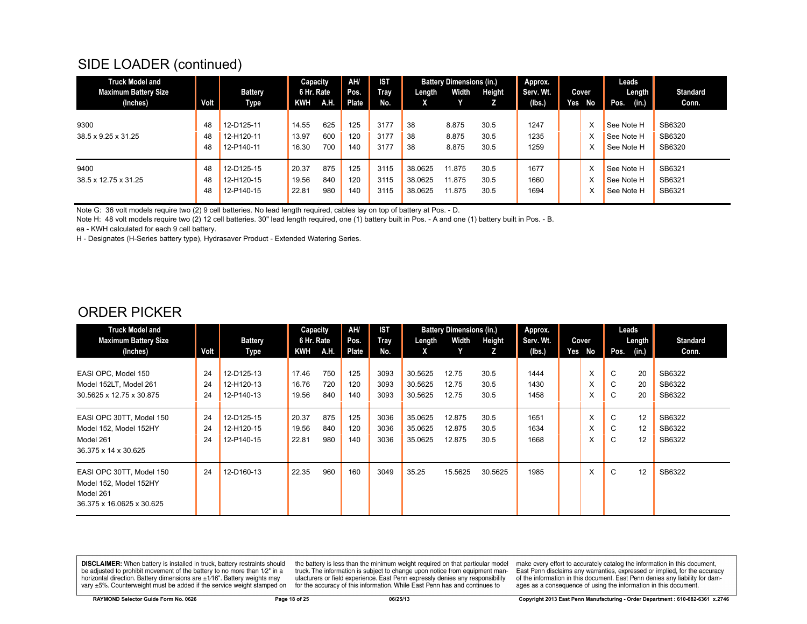# SIDE LOADER (continued)

| <b>Truck Model and</b><br><b>Maximum Battery Size</b> |                | <b>Battery</b>                         | Capacity<br>6 Hr. Rate  |                   | AH/<br>Pos.       | <b>IST</b><br>Tray   | Length                        | <b>Battery Dimensions (in.)</b><br>Width | Height               | Approx.<br>Serv. Wt. |     | Cover | Leads<br>Length                        | <b>Standard</b>            |
|-------------------------------------------------------|----------------|----------------------------------------|-------------------------|-------------------|-------------------|----------------------|-------------------------------|------------------------------------------|----------------------|----------------------|-----|-------|----------------------------------------|----------------------------|
| (Inches)                                              | Volt           | Type                                   | <b>KWH</b>              | A.H.              | Plate             | No.                  | X.                            |                                          |                      | (Ibs.)               | Yes | No.   | (in.)<br>Pos.                          | Conn.                      |
| 9300<br>38.5 x 9.25 x 31.25                           | 48<br>48<br>48 | 12-D125-11<br>12-H120-11<br>12-P140-11 | 14.55<br>13.97<br>16.30 | 625<br>600<br>700 | 125<br>120<br>140 | 3177<br>3177<br>3177 | 38<br>38<br>38                | 8.875<br>8.875<br>8.875                  | 30.5<br>30.5<br>30.5 | 1247<br>1235<br>1259 |     | x     | See Note H<br>See Note H<br>See Note H | SB6320<br>SB6320<br>SB6320 |
| 9400<br>38.5 x 12.75 x 31.25                          | 48<br>48<br>48 | 12-D125-15<br>12-H120-15<br>12-P140-15 | 20.37<br>19.56<br>22.81 | 875<br>840<br>980 | 125<br>120<br>140 | 3115<br>3115<br>3115 | 38.0625<br>38.0625<br>38.0625 | 11.875<br>11.875<br>11.875               | 30.5<br>30.5<br>30.5 | 1677<br>1660<br>1694 |     |       | See Note H<br>See Note H<br>See Note H | SB6321<br>SB6321<br>SB6321 |

Note G: 36 volt models require two (2) 9 cell batteries. No lead length required, cables lay on top of battery at Pos. - D.

Note H: 48 volt models require two (2) 12 cell batteries. 30" lead length required, one (1) battery built in Pos. - A and one (1) battery built in Pos. - B. ea - KWH calculated for each 9 cell battery.

H - Designates (H-Series battery type), Hydrasaver Product - Extended Watering Series.

#### ORDER PICKER

| <b>Truck Model and</b><br><b>Maximum Battery Size</b>                                        |                | <b>Battery</b>                         | Capacity<br>6 Hr. Rate  |                   | AH/<br>Pos.       | <b>IST</b><br>Tray   | Length                        | <b>Battery Dimensions (in.)</b><br>Width | Height               | Approx.<br>Serv. Wt. |     | Cover       | Leads       | Length         | <b>Standard</b>            |
|----------------------------------------------------------------------------------------------|----------------|----------------------------------------|-------------------------|-------------------|-------------------|----------------------|-------------------------------|------------------------------------------|----------------------|----------------------|-----|-------------|-------------|----------------|----------------------------|
| (Inches)                                                                                     | Volt           | Type                                   | KWH                     | A.H.              | Plate             | No.                  | X.                            |                                          | z                    | (Ibs.)               | Yes | No          | Pos.        | (in.)          | Conn.                      |
| EASI OPC, Model 150<br>Model 152LT, Model 261<br>30.5625 x 12.75 x 30.875                    | 24<br>24<br>24 | 12-D125-13<br>12-H120-13<br>12-P140-13 | 17.46<br>16.76<br>19.56 | 750<br>720<br>840 | 125<br>120<br>140 | 3093<br>3093<br>3093 | 30.5625<br>30.5625<br>30.5625 | 12.75<br>12.75<br>12.75                  | 30.5<br>30.5<br>30.5 | 1444<br>1430<br>1458 |     | X<br>X<br>X | C<br>C<br>C | 20<br>20<br>20 | SB6322<br>SB6322<br>SB6322 |
| EASI OPC 30TT, Model 150<br>Model 152, Model 152HY<br>Model 261<br>36.375 x 14 x 30.625      | 24<br>24<br>24 | 12-D125-15<br>12-H120-15<br>12-P140-15 | 20.37<br>19.56<br>22.81 | 875<br>840<br>980 | 125<br>120<br>140 | 3036<br>3036<br>3036 | 35.0625<br>35.0625<br>35.0625 | 12.875<br>12.875<br>12.875               | 30.5<br>30.5<br>30.5 | 1651<br>1634<br>1668 |     | X<br>X<br>X | C<br>C<br>C | 12<br>12<br>12 | SB6322<br>SB6322<br>SB6322 |
| EASI OPC 30TT, Model 150<br>Model 152, Model 152HY<br>Model 261<br>36.375 x 16.0625 x 30.625 | 24             | 12-D160-13                             | 22.35                   | 960               | 160               | 3049                 | 35.25                         | 15.5625                                  | 30.5625              | 1985                 |     | X           | C           | 12             | SB6322                     |

**DISCLAIMER:** When battery is installed in truck, battery restraints should be adjusted to prohibit movement of the battery to no more than 1/2" in a horizontal direction. Battery dimensions are  $\pm 1/16$ ". Battery weights may vary ±5%. Counterweight must be added if the service weight stamped on

the battery is less than the minimum weight required on that particular model truck. The information is subject to change upon notice from equipment manufacturers or field experience. East Penn expressly denies any responsibility for the accuracy of this information. While East Penn has and continues to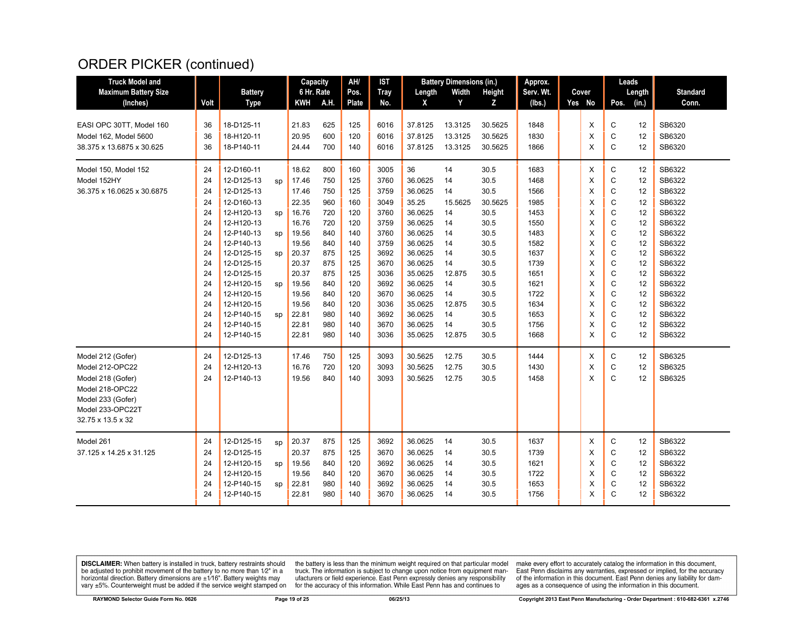# ORDER PICKER (continued)

| <b>Truck Model and</b>      |      |                |    | Capacity   |      | AH/   | <b>IST</b>  |         | <b>Battery Dimensions (in.)</b> |               | Approx.   |        |              | Leads  |                 |
|-----------------------------|------|----------------|----|------------|------|-------|-------------|---------|---------------------------------|---------------|-----------|--------|--------------|--------|-----------------|
| <b>Maximum Battery Size</b> |      | <b>Battery</b> |    | 6 Hr. Rate |      | Pos.  | <b>Tray</b> | Length  | Width                           | <b>Height</b> | Serv. Wt. | Cover  |              | Length | <b>Standard</b> |
| (Inches)                    | Volt | <b>Type</b>    |    | KWH        | A.H. | Plate | No.         | X       | Y                               | Z             | (lbs.)    | Yes No | Pos.         | (in.)  | Conn.           |
|                             |      |                |    |            |      |       |             |         |                                 |               |           |        |              |        |                 |
| EASI OPC 30TT. Model 160    | 36   | 18-D125-11     |    | 21.83      | 625  | 125   | 6016        | 37.8125 | 13.3125                         | 30.5625       | 1848      | X      | C            | 12     | SB6320          |
| Model 162, Model 5600       | 36   | 18-H120-11     |    | 20.95      | 600  | 120   | 6016        | 37.8125 | 13.3125                         | 30.5625       | 1830      | X      | C            | 12     | SB6320          |
| 38.375 x 13.6875 x 30.625   | 36   | 18-P140-11     |    | 24.44      | 700  | 140   | 6016        | 37.8125 | 13.3125                         | 30.5625       | 1866      | X      | $\mathsf{C}$ | 12     | SB6320          |
| Model 150, Model 152        | 24   | 12-D160-11     |    | 18.62      | 800  | 160   | 3005        | 36      | 14                              | 30.5          | 1683      | X      | C            | 12     | SB6322          |
| Model 152HY                 | 24   | 12-D125-13     | SD | 17.46      | 750  | 125   | 3760        | 36.0625 | 14                              | 30.5          | 1468      | X      | $\mathsf{C}$ | 12     | SB6322          |
| 36.375 x 16.0625 x 30.6875  | 24   | 12-D125-13     |    | 17.46      | 750  | 125   | 3759        | 36.0625 | 14                              | 30.5          | 1566      | Χ      | C            | 12     | SB6322          |
|                             | 24   | 12-D160-13     |    | 22.35      | 960  | 160   | 3049        | 35.25   | 15.5625                         | 30.5625       | 1985      | X      | C            | 12     | SB6322          |
|                             | 24   | 12-H120-13     | sp | 16.76      | 720  | 120   | 3760        | 36.0625 | 14                              | 30.5          | 1453      | X      | $\mathsf{C}$ | 12     | SB6322          |
|                             | 24   | 12-H120-13     |    | 16.76      | 720  | 120   | 3759        | 36.0625 | 14                              | 30.5          | 1550      | X      | $\mathsf{C}$ | 12     | SB6322          |
|                             | 24   | 12-P140-13     | SD | 19.56      | 840  | 140   | 3760        | 36.0625 | 14                              | 30.5          | 1483      | X      | C            | 12     | SB6322          |
|                             | 24   | 12-P140-13     |    | 19.56      | 840  | 140   | 3759        | 36.0625 | 14                              | 30.5          | 1582      | X      | C            | 12     | SB6322          |
|                             | 24   | 12-D125-15     | SD | 20.37      | 875  | 125   | 3692        | 36.0625 | 14                              | 30.5          | 1637      | X      | $\mathsf{C}$ | 12     | SB6322          |
|                             | 24   | 12-D125-15     |    | 20.37      | 875  | 125   | 3670        | 36.0625 | 14                              | 30.5          | 1739      | X      | C            | 12     | SB6322          |
|                             | 24   | 12-D125-15     |    | 20.37      | 875  | 125   | 3036        | 35.0625 | 12.875                          | 30.5          | 1651      | X      | C            | 12     | SB6322          |
|                             | 24   | 12-H120-15     | sp | 19.56      | 840  | 120   | 3692        | 36.0625 | 14                              | 30.5          | 1621      | X      | C            | 12     | SB6322          |
|                             | 24   | 12-H120-15     |    | 19.56      | 840  | 120   | 3670        | 36.0625 | 14                              | 30.5          | 1722      | X      | C            | 12     | SB6322          |
|                             | 24   | 12-H120-15     |    | 19.56      | 840  | 120   | 3036        | 35.0625 | 12.875                          | 30.5          | 1634      | X      | C            | 12     | SB6322          |
|                             | 24   | 12-P140-15     | SD | 22.81      | 980  | 140   | 3692        | 36.0625 | 14                              | 30.5          | 1653      | X      | C            | 12     | SB6322          |
|                             | 24   | 12-P140-15     |    | 22.81      | 980  | 140   | 3670        | 36.0625 | 14                              | 30.5          | 1756      | X      | Ċ            | 12     | SB6322          |
|                             | 24   | 12-P140-15     |    | 22.81      | 980  | 140   | 3036        | 35.0625 | 12.875                          | 30.5          | 1668      | X      | C            | 12     | SB6322          |
| Model 212 (Gofer)           | 24   | 12-D125-13     |    | 17.46      | 750  | 125   | 3093        | 30.5625 | 12.75                           | 30.5          | 1444      | X      | C            | 12     | SB6325          |
| Model 212-OPC22             | 24   | 12-H120-13     |    | 16.76      | 720  | 120   | 3093        | 30.5625 | 12.75                           | 30.5          | 1430      | X      | C            | 12     | SB6325          |
| Model 218 (Gofer)           | 24   | 12-P140-13     |    | 19.56      | 840  | 140   | 3093        | 30.5625 | 12.75                           | 30.5          | 1458      | X      | $\mathbf C$  | 12     | SB6325          |
| Model 218-OPC22             |      |                |    |            |      |       |             |         |                                 |               |           |        |              |        |                 |
| Model 233 (Gofer)           |      |                |    |            |      |       |             |         |                                 |               |           |        |              |        |                 |
| Model 233-OPC22T            |      |                |    |            |      |       |             |         |                                 |               |           |        |              |        |                 |
| 32.75 x 13.5 x 32           |      |                |    |            |      |       |             |         |                                 |               |           |        |              |        |                 |
| Model 261                   | 24   | 12-D125-15     | sp | 20.37      | 875  | 125   | 3692        | 36.0625 | 14                              | 30.5          | 1637      | Χ      | C            | 12     | SB6322          |
| 37.125 x 14.25 x 31.125     | 24   | 12-D125-15     |    | 20.37      | 875  | 125   | 3670        | 36.0625 | 14                              | 30.5          | 1739      | X      | C            | 12     | SB6322          |
|                             | 24   | 12-H120-15     | sp | 19.56      | 840  | 120   | 3692        | 36.0625 | 14                              | 30.5          | 1621      | X      | $\mathsf{C}$ | 12     | SB6322          |
|                             | 24   | 12-H120-15     |    | 19.56      | 840  | 120   | 3670        | 36.0625 | 14                              | 30.5          | 1722      | X      | C            | 12     | SB6322          |
|                             | 24   | 12-P140-15     | sp | 22.81      | 980  | 140   | 3692        | 36.0625 | 14                              | 30.5          | 1653      | X      | Ċ            | 12     | SB6322          |
|                             | 24   | 12-P140-15     |    | 22.81      | 980  | 140   | 3670        | 36.0625 | 14                              | 30.5          | 1756      | X      | C            | 12     | SB6322          |
|                             |      |                |    |            |      |       |             |         |                                 |               |           |        |              |        |                 |

**DISCLAIMER:** When battery is installed in truck, battery restraints should be adjusted to prohibit movement of the battery to no more than  $1/2$ " in a horizontal direction. Battery dimensions are  $\pm 1/16$ ". Battery weig

the battery is less than the minimum weight required on that particular model<br>truck. The information is subject to change upon notice from equipment man-<br>ufacturers or field experience. East Penn expressly denies any respo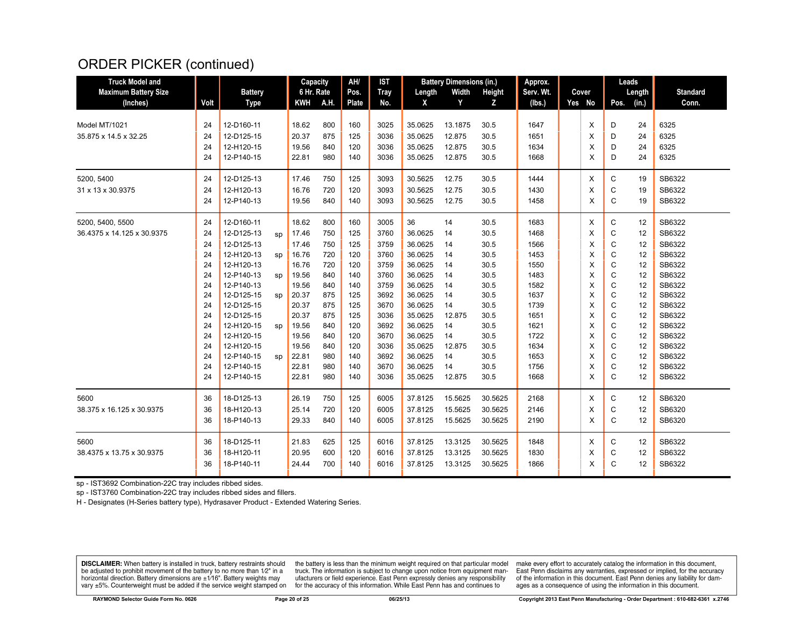# ORDER PICKER (continued)

| <b>Truck Model and</b>      |      |                |    | Capacity   |     | AH/   | <b>IST</b>  | <b>Battery Dimensions (in.)</b> |         | Approx. |           |  | Leads  |             |        |                 |
|-----------------------------|------|----------------|----|------------|-----|-------|-------------|---------------------------------|---------|---------|-----------|--|--------|-------------|--------|-----------------|
| <b>Maximum Battery Size</b> |      | <b>Battery</b> |    | 6 Hr. Rate |     | Pos.  | <b>Tray</b> | Length                          | Width   | Height  | Serv. Wt. |  | Cover  |             | Length | <b>Standard</b> |
| (Inches)                    | Volt | <b>Type</b>    |    | KWH A.H.   |     | Plate | No.         | X                               | Y       | Z       | (lbs.)    |  | Yes No | Pos.        | (in.)  | Conn.           |
|                             |      |                |    |            |     |       |             |                                 |         |         |           |  |        |             |        |                 |
| Model MT/1021               | 24   | 12-D160-11     |    | 18.62      | 800 | 160   | 3025        | 35.0625                         | 13.1875 | 30.5    | 1647      |  | X      | D           | 24     | 6325            |
| 35.875 x 14.5 x 32.25       | 24   | 12-D125-15     |    | 20.37      | 875 | 125   | 3036        | 35.0625                         | 12.875  | 30.5    | 1651      |  | X      | D           | 24     | 6325            |
|                             | 24   | 12-H120-15     |    | 19.56      | 840 | 120   | 3036        | 35.0625                         | 12.875  | 30.5    | 1634      |  | X      | D           | 24     | 6325            |
|                             | 24   | 12-P140-15     |    | 22.81      | 980 | 140   | 3036        | 35.0625                         | 12.875  | 30.5    | 1668      |  | X      | D           | 24     | 6325            |
| 5200.5400                   | 24   | 12-D125-13     |    | 17.46      | 750 | 125   | 3093        | 30.5625                         | 12.75   | 30.5    | 1444      |  | X      | C           | 19     | SB6322          |
| 31 x 13 x 30.9375           | 24   | 12-H120-13     |    | 16.76      | 720 | 120   | 3093        | 30.5625                         | 12.75   | 30.5    | 1430      |  | X      | C           | 19     | SB6322          |
|                             | 24   | 12-P140-13     |    | 19.56      | 840 | 140   | 3093        | 30.5625                         | 12.75   | 30.5    | 1458      |  | X      | C           | 19     | SB6322          |
| 5200, 5400, 5500            | 24   | 12-D160-11     |    | 18.62      | 800 | 160   | 3005        | 36                              | 14      | 30.5    | 1683      |  | X      | С           | 12     | SB6322          |
| 36.4375 x 14.125 x 30.9375  | 24   | 12-D125-13     | sp | 17.46      | 750 | 125   | 3760        | 36.0625                         | 14      | 30.5    | 1468      |  | X      | C           | 12     | SB6322          |
|                             | 24   | 12-D125-13     |    | 17.46      | 750 | 125   | 3759        | 36.0625                         | 14      | 30.5    | 1566      |  | X      | C           | 12     | SB6322          |
|                             | 24   | 12-H120-13     | sp | 16.76      | 720 | 120   | 3760        | 36.0625                         | 14      | 30.5    | 1453      |  | X      | C           | 12     | SB6322          |
|                             | 24   | 12-H120-13     |    | 16.76      | 720 | 120   | 3759        | 36.0625                         | 14      | 30.5    | 1550      |  | X      | C           | 12     | SB6322          |
|                             | 24   | 12-P140-13     | sp | 19.56      | 840 | 140   | 3760        | 36.0625                         | 14      | 30.5    | 1483      |  | X      | C           | 12     | SB6322          |
|                             | 24   | 12-P140-13     |    | 19.56      | 840 | 140   | 3759        | 36.0625                         | 14      | 30.5    | 1582      |  | X      | C           | 12     | SB6322          |
|                             | 24   | 12-D125-15     | sp | 20.37      | 875 | 125   | 3692        | 36.0625                         | 14      | 30.5    | 1637      |  | X      | $\mathsf C$ | 12     | SB6322          |
|                             | 24   | 12-D125-15     |    | 20.37      | 875 | 125   | 3670        | 36.0625                         | 14      | 30.5    | 1739      |  | X      | C           | 12     | SB6322          |
|                             | 24   | 12-D125-15     |    | 20.37      | 875 | 125   | 3036        | 35.0625                         | 12.875  | 30.5    | 1651      |  | X      | $\mathsf C$ | 12     | SB6322          |
|                             | 24   | 12-H120-15     | sp | 19.56      | 840 | 120   | 3692        | 36.0625                         | 14      | 30.5    | 1621      |  | X      | C           | 12     | SB6322          |
|                             | 24   | 12-H120-15     |    | 19.56      | 840 | 120   | 3670        | 36.0625                         | 14      | 30.5    | 1722      |  | X      | C           | 12     | SB6322          |
|                             | 24   | 12-H120-15     |    | 19.56      | 840 | 120   | 3036        | 35.0625                         | 12.875  | 30.5    | 1634      |  | X      | C           | 12     | SB6322          |
|                             | 24   | 12-P140-15     | sp | 22.81      | 980 | 140   | 3692        | 36.0625                         | 14      | 30.5    | 1653      |  | X      | C           | 12     | SB6322          |
|                             | 24   | 12-P140-15     |    | 22.81      | 980 | 140   | 3670        | 36.0625                         | 14      | 30.5    | 1756      |  | X      | C           | 12     | SB6322          |
|                             | 24   | 12-P140-15     |    | 22.81      | 980 | 140   | 3036        | 35.0625                         | 12.875  | 30.5    | 1668      |  | X      | C           | 12     | SB6322          |
| 5600                        | 36   | 18-D125-13     |    | 26.19      | 750 | 125   | 6005        | 37.8125                         | 15.5625 | 30.5625 | 2168      |  | X      | C           | 12     | SB6320          |
| 38.375 x 16.125 x 30.9375   | 36   | 18-H120-13     |    | 25.14      | 720 | 120   | 6005        | 37.8125                         | 15.5625 | 30.5625 | 2146      |  | X      | C           | 12     | SB6320          |
|                             | 36   | 18-P140-13     |    | 29.33      | 840 | 140   | 6005        | 37.8125                         | 15.5625 | 30.5625 | 2190      |  | X      | C           | 12     | SB6320          |
| 5600                        | 36   | 18-D125-11     |    | 21.83      | 625 | 125   | 6016        | 37.8125                         | 13.3125 | 30.5625 | 1848      |  | X      | С           | 12     | SB6322          |
| 38.4375 x 13.75 x 30.9375   | 36   | 18-H120-11     |    | 20.95      | 600 | 120   | 6016        | 37.8125                         | 13.3125 | 30.5625 | 1830      |  | X      | C           | 12     | SB6322          |
|                             | 36   | 18-P140-11     |    | 24.44      | 700 | 140   | 6016        | 37.8125                         | 13.3125 | 30.5625 | 1866      |  | X      | C           | 12     | SB6322          |

sp - IST3692 Combination-22C tray includes ribbed sides.

sp - IST3760 Combination-22C tray includes ribbed sides and fillers.

H - Designates (H-Series battery type), Hydrasaver Product - Extended Watering Series.

**DISCLAIMER:** When battery is installed in truck, battery restraints should be adjusted to prohibit movement of the battery to no more than 1/2" in a horizontal direction. Battery dimensions are ±1/16". Battery weights may vary ±5%. Counterweight must be added if the service weight stamped on

the battery is less than the minimum weight required on that particular model truck. The information is subject to change upon notice from equipment manufacturers or field experience. East Penn expressly denies any responsibility for the accuracy of this information. While East Penn has and continues to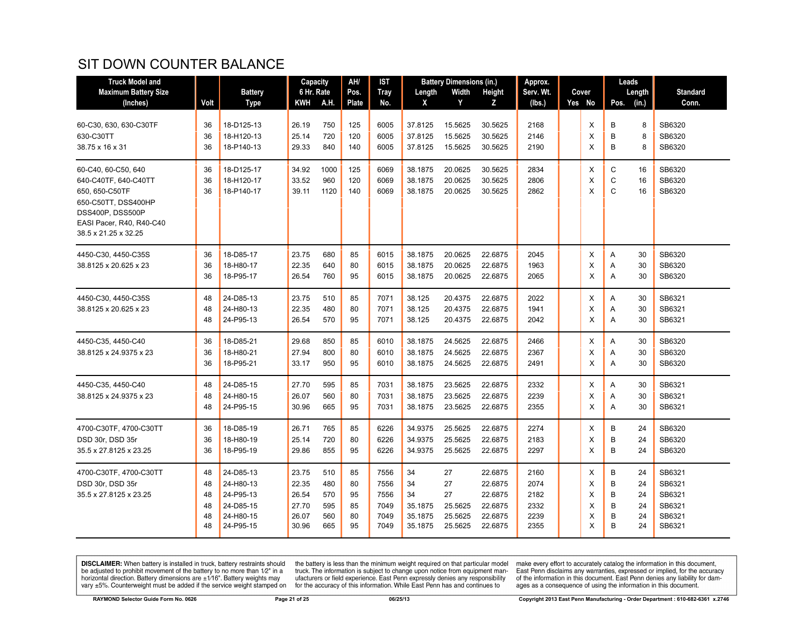# SIT DOWN COUNTER BALANCE

| <b>Truck Model and</b>                                                                                                                                       |                                  |                                                                            | Capacity                                           |                                        | AH/                              | IST                                          |                                                 | <b>Battery Dimensions (in.)</b>                 |                                                                | Approx.                                      |  |                            | Leads                                                          |                                                          |
|--------------------------------------------------------------------------------------------------------------------------------------------------------------|----------------------------------|----------------------------------------------------------------------------|----------------------------------------------------|----------------------------------------|----------------------------------|----------------------------------------------|-------------------------------------------------|-------------------------------------------------|----------------------------------------------------------------|----------------------------------------------|--|----------------------------|----------------------------------------------------------------|----------------------------------------------------------|
| <b>Maximum Battery Size</b>                                                                                                                                  |                                  | <b>Battery</b>                                                             | 6 Hr. Rate                                         |                                        | Pos.                             | <b>Tray</b>                                  | Length                                          | Width                                           | Height                                                         | Serv. Wt.                                    |  | Cover                      | Length                                                         | <b>Standard</b>                                          |
| (Inches)                                                                                                                                                     | Volt                             | <b>Type</b>                                                                | KWH                                                | A.H.                                   | Plate                            | No.                                          | X                                               | Y                                               | z                                                              | (lbs.)                                       |  | Yes No                     | (in.)<br>Pos.                                                  | Conn.                                                    |
| 60-C30, 630, 630-C30TF<br>630-C30TT<br>38.75 x 16 x 31                                                                                                       | 36<br>36<br>36                   | 18-D125-13<br>18-H120-13<br>18-P140-13                                     | 26.19<br>25.14<br>29.33                            | 750<br>720<br>840                      | 125<br>120<br>140                | 6005<br>6005<br>6005                         | 37.8125<br>37.8125<br>37.8125                   | 15.5625<br>15.5625<br>15.5625                   | 30.5625<br>30.5625<br>30.5625                                  | 2168<br>2146<br>2190                         |  | X<br>X<br>X                | B<br>8<br>B<br>8<br>B<br>8                                     | SB6320<br>SB6320<br>SB6320                               |
| 60-C40, 60-C50, 640<br>640-C40TF, 640-C40TT<br>650, 650-C50TF<br>650-C50TT, DSS400HP<br>DSS400P, DSS500P<br>EASI Pacer, R40, R40-C40<br>38.5 x 21.25 x 32.25 | 36<br>36<br>36                   | 18-D125-17<br>18-H120-17<br>18-P140-17                                     | 34.92<br>33.52<br>39.11                            | 1000<br>960<br>1120                    | 125<br>120<br>140                | 6069<br>6069<br>6069                         | 38.1875<br>38.1875<br>38.1875                   | 20.0625<br>20.0625<br>20.0625                   | 30.5625<br>30.5625<br>30.5625                                  | 2834<br>2806<br>2862                         |  | Х<br>Χ<br>X                | $\mathbf C$<br>16<br>C<br>16<br>$\mathsf{C}$<br>16             | SB6320<br>SB6320<br>SB6320                               |
| 4450-C30, 4450-C35S<br>38.8125 x 20.625 x 23                                                                                                                 | 36<br>36<br>36                   | 18-D85-17<br>18-H80-17<br>18-P95-17                                        | 23.75<br>22.35<br>26.54                            | 680<br>640<br>760                      | 85<br>80<br>95                   | 6015<br>6015<br>6015                         | 38.1875<br>38.1875<br>38.1875                   | 20.0625<br>20.0625<br>20.0625                   | 22.6875<br>22.6875<br>22.6875                                  | 2045<br>1963<br>2065                         |  | Χ<br>X<br>$\times$         | A<br>30<br>30<br>Α<br>A<br>30                                  | SB6320<br>SB6320<br>SB6320                               |
| 4450-C30, 4450-C35S<br>38.8125 x 20.625 x 23                                                                                                                 | 48<br>48<br>48                   | 24-D85-13<br>24-H80-13<br>24-P95-13                                        | 23.75<br>22.35<br>26.54                            | 510<br>480<br>570                      | 85<br>80<br>95                   | 7071<br>7071<br>7071                         | 38.125<br>38.125<br>38.125                      | 20.4375<br>20.4375<br>20.4375                   | 22.6875<br>22.6875<br>22.6875                                  | 2022<br>1941<br>2042                         |  | Χ<br>X<br>X                | A<br>30<br>30<br>Α<br>Α<br>30                                  | SB6321<br>SB6321<br>SB6321                               |
| 4450-C35, 4450-C40<br>38.8125 x 24.9375 x 23                                                                                                                 | 36<br>36<br>36                   | 18-D85-21<br>18-H80-21<br>18-P95-21                                        | 29.68<br>27.94<br>33.17                            | 850<br>800<br>950                      | 85<br>80<br>95                   | 6010<br>6010<br>6010                         | 38.1875<br>38.1875<br>38.1875                   | 24.5625<br>24.5625<br>24.5625                   | 22.6875<br>22.6875<br>22.6875                                  | 2466<br>2367<br>2491                         |  | X<br>X<br>X                | Α<br>30<br>30<br>Α<br>A<br>30                                  | SB6320<br>SB6320<br>SB6320                               |
| 4450-C35, 4450-C40<br>38.8125 x 24.9375 x 23                                                                                                                 | 48<br>48<br>48                   | 24-D85-15<br>24-H80-15<br>24-P95-15                                        | 27.70<br>26.07<br>30.96                            | 595<br>560<br>665                      | 85<br>80<br>95                   | 7031<br>7031<br>7031                         | 38.1875<br>38.1875<br>38.1875                   | 23.5625<br>23.5625<br>23.5625                   | 22.6875<br>22.6875<br>22.6875                                  | 2332<br>2239<br>2355                         |  | Χ<br>X<br>X                | A<br>30<br>Α<br>30<br>A<br>30                                  | SB6321<br>SB6321<br>SB6321                               |
| 4700-C30TF, 4700-C30TT<br>DSD 30r, DSD 35r<br>35.5 x 27.8125 x 23.25                                                                                         | 36<br>36<br>36                   | 18-D85-19<br>18-H80-19<br>18-P95-19                                        | 26.71<br>25.14<br>29.86                            | 765<br>720<br>855                      | 85<br>80<br>95                   | 6226<br>6226<br>6226                         | 34.9375<br>34.9375<br>34.9375                   | 25.5625<br>25.5625<br>25.5625                   | 22.6875<br>22.6875<br>22.6875                                  | 2274<br>2183<br>2297                         |  | X<br>X<br>X                | B<br>24<br>B<br>24<br>B<br>24                                  | SB6320<br>SB6320<br>SB6320                               |
| 4700-C30TF, 4700-C30TT<br>DSD 30r, DSD 35r<br>35.5 x 27.8125 x 23.25                                                                                         | 48<br>48<br>48<br>48<br>48<br>48 | 24-D85-13<br>24-H80-13<br>24-P95-13<br>24-D85-15<br>24-H80-15<br>24-P95-15 | 23.75<br>22.35<br>26.54<br>27.70<br>26.07<br>30.96 | 510<br>480<br>570<br>595<br>560<br>665 | 85<br>80<br>95<br>85<br>80<br>95 | 7556<br>7556<br>7556<br>7049<br>7049<br>7049 | 34<br>34<br>34<br>35.1875<br>35.1875<br>35.1875 | 27<br>27<br>27<br>25.5625<br>25.5625<br>25.5625 | 22.6875<br>22.6875<br>22.6875<br>22.6875<br>22.6875<br>22.6875 | 2160<br>2074<br>2182<br>2332<br>2239<br>2355 |  | Χ<br>X<br>X<br>X<br>X<br>X | B<br>24<br>B<br>24<br>B<br>24<br>B<br>24<br>B<br>24<br>B<br>24 | SB6321<br>SB6321<br>SB6321<br>SB6321<br>SB6321<br>SB6321 |

**DISCLAIMER:** When battery is installed in truck, battery restraints should be adjusted to prohibit movement of the battery to no more than  $1/2$ " in a horizontal direction. Battery dimensions are  $\pm 1/16$ ". Battery weig

the battery is less than the minimum weight required on that particular model<br>truck. The information is subject to change upon notice from equipment man-<br>ufacturers or field experience. East Penn expressly denies any respo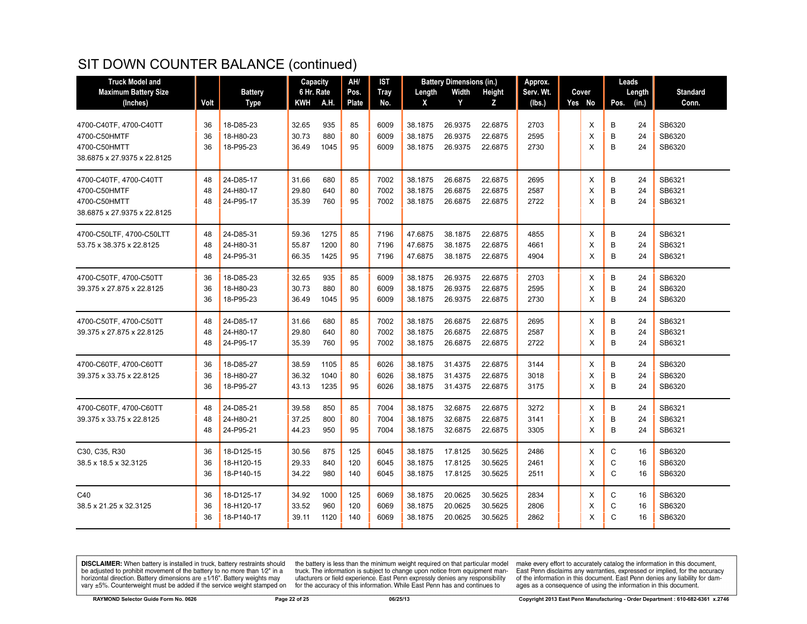| <b>Truck Model and</b>                                                                |                |                                        | Capacity                |                      | AH/               | <b>IST</b>           | <b>Battery Dimensions (in.)</b> |                               | Approx.                       |                      |  | Leads       |             |                |                            |
|---------------------------------------------------------------------------------------|----------------|----------------------------------------|-------------------------|----------------------|-------------------|----------------------|---------------------------------|-------------------------------|-------------------------------|----------------------|--|-------------|-------------|----------------|----------------------------|
| <b>Maximum Battery Size</b>                                                           |                | <b>Battery</b>                         | 6 Hr. Rate              |                      | Pos.              | <b>Tray</b>          | Length                          | Width                         | Height                        | Serv. Wt.            |  | Cover       |             | Length         | <b>Standard</b>            |
| (Inches)                                                                              | Volt           | <b>Type</b>                            | KWH                     | <b>A.H.</b>          | <b>Plate</b>      | No.                  | X                               | Y                             | Z                             | (lbs.)               |  | Yes No      | Pos.        | (in.)          | Conn.                      |
| 4700-C40TF, 4700-C40TT<br>4700-C50HMTF                                                | 36<br>36       | 18-D85-23<br>18-H80-23                 | 32.65<br>30.73          | 935<br>880           | 85<br>80          | 6009<br>6009         | 38.1875<br>38.1875              | 26.9375<br>26.9375            | 22.6875<br>22.6875            | 2703<br>2595         |  | X<br>х      | B<br>B      | 24<br>24       | SB6320<br>SB6320           |
| 4700-C50HMTT<br>38.6875 x 27.9375 x 22.8125                                           | 36             | 18-P95-23                              | 36.49                   | 1045                 | 95                | 6009                 | 38.1875                         | 26.9375                       | 22.6875                       | 2730                 |  | X           | B           | 24             | SB6320                     |
| 4700-C40TF, 4700-C40TT<br>4700-C50HMTF<br>4700-C50HMTT<br>38.6875 x 27.9375 x 22.8125 | 48<br>48<br>48 | 24-D85-17<br>24-H80-17<br>24-P95-17    | 31.66<br>29.80<br>35.39 | 680<br>640<br>760    | 85<br>80<br>95    | 7002<br>7002<br>7002 | 38.1875<br>38.1875<br>38.1875   | 26.6875<br>26.6875<br>26.6875 | 22.6875<br>22.6875<br>22.6875 | 2695<br>2587<br>2722 |  | Х<br>X<br>X | B<br>B<br>B | 24<br>24<br>24 | SB6321<br>SB6321<br>SB6321 |
| 4700-C50LTF, 4700-C50LTT<br>53.75 x 38.375 x 22.8125                                  | 48<br>48<br>48 | 24-D85-31<br>24-H80-31<br>24-P95-31    | 59.36<br>55.87<br>66.35 | 1275<br>1200<br>1425 | 85<br>80<br>95    | 7196<br>7196<br>7196 | 47.6875<br>47.6875<br>47.6875   | 38.1875<br>38.1875<br>38.1875 | 22.6875<br>22.6875<br>22.6875 | 4855<br>4661<br>4904 |  | Х<br>X<br>X | B<br>B<br>B | 24<br>24<br>24 | SB6321<br>SB6321<br>SB6321 |
| 4700-C50TF, 4700-C50TT<br>39.375 x 27.875 x 22.8125                                   | 36<br>36<br>36 | 18-D85-23<br>18-H80-23<br>18-P95-23    | 32.65<br>30.73<br>36.49 | 935<br>880<br>1045   | 85<br>80<br>95    | 6009<br>6009<br>6009 | 38.1875<br>38.1875<br>38.1875   | 26.9375<br>26.9375<br>26.9375 | 22.6875<br>22.6875<br>22.6875 | 2703<br>2595<br>2730 |  | X<br>X<br>X | B<br>B<br>B | 24<br>24<br>24 | SB6320<br>SB6320<br>SB6320 |
| 4700-C50TF, 4700-C50TT<br>39.375 x 27.875 x 22.8125                                   | 48<br>48<br>48 | 24-D85-17<br>24-H80-17<br>24-P95-17    | 31.66<br>29.80<br>35.39 | 680<br>640<br>760    | 85<br>80<br>95    | 7002<br>7002<br>7002 | 38.1875<br>38.1875<br>38.1875   | 26.6875<br>26.6875<br>26.6875 | 22.6875<br>22.6875<br>22.6875 | 2695<br>2587<br>2722 |  | X<br>X<br>X | В<br>B<br>B | 24<br>24<br>24 | SB6321<br>SB6321<br>SB6321 |
| 4700-C60TF, 4700-C60TT<br>39.375 x 33.75 x 22.8125                                    | 36<br>36<br>36 | 18-D85-27<br>18-H80-27<br>18-P95-27    | 38.59<br>36.32<br>43.13 | 1105<br>1040<br>1235 | 85<br>80<br>95    | 6026<br>6026<br>6026 | 38.1875<br>38.1875<br>38.1875   | 31.4375<br>31.4375<br>31.4375 | 22.6875<br>22.6875<br>22.6875 | 3144<br>3018<br>3175 |  | Х<br>X<br>X | В<br>B<br>B | 24<br>24<br>24 | SB6320<br>SB6320<br>SB6320 |
| 4700-C60TF, 4700-C60TT<br>39.375 x 33.75 x 22.8125                                    | 48<br>48<br>48 | 24-D85-21<br>24-H80-21<br>24-P95-21    | 39.58<br>37.25<br>44.23 | 850<br>800<br>950    | 85<br>80<br>95    | 7004<br>7004<br>7004 | 38.1875<br>38.1875<br>38.1875   | 32.6875<br>32.6875<br>32.6875 | 22.6875<br>22.6875<br>22.6875 | 3272<br>3141<br>3305 |  | X<br>X<br>X | B<br>B<br>B | 24<br>24<br>24 | SB6321<br>SB6321<br>SB6321 |
| C30, C35, R30<br>38.5 x 18.5 x 32.3125                                                | 36<br>36<br>36 | 18-D125-15<br>18-H120-15<br>18-P140-15 | 30.56<br>29.33<br>34.22 | 875<br>840<br>980    | 125<br>120<br>140 | 6045<br>6045<br>6045 | 38.1875<br>38.1875<br>38.1875   | 17.8125<br>17.8125<br>17.8125 | 30.5625<br>30.5625<br>30.5625 | 2486<br>2461<br>2511 |  | X<br>X<br>X | С<br>С<br>C | 16<br>16<br>16 | SB6320<br>SB6320<br>SB6320 |
| C40<br>38.5 x 21.25 x 32.3125                                                         | 36<br>36<br>36 | 18-D125-17<br>18-H120-17<br>18-P140-17 | 34.92<br>33.52<br>39.11 | 1000<br>960<br>1120  | 125<br>120<br>140 | 6069<br>6069<br>6069 | 38.1875<br>38.1875<br>38.1875   | 20.0625<br>20.0625<br>20.0625 | 30.5625<br>30.5625<br>30.5625 | 2834<br>2806<br>2862 |  | х<br>X<br>X | С<br>C<br>C | 16<br>16<br>16 | SB6320<br>SB6320<br>SB6320 |

**DISCLAIMER:** When battery is installed in truck, battery restraints should be adjusted to prohibit movement of the battery to no more than  $1/2$ " in a horizontal direction. Battery dimensions are  $\pm 1/16$ ". Battery weig

the battery is less than the minimum weight required on that particular model<br>truck. The information is subject to change upon notice from equipment manufacturers or field experience. East Penn expressly denies any responsibility for the accuracy of this information. While East Penn has and continues to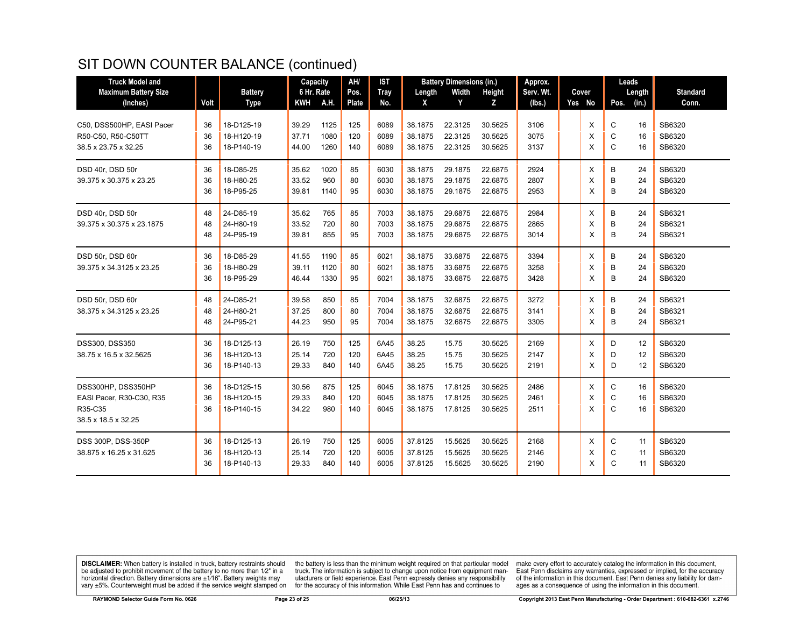| <b>Truck Model and</b>      |      |                | Capacity   |      | AH/          | <b>IST</b> | <b>Battery Dimensions (in.)</b> |         | Approx. |           |  | Leads  |      |        |                 |
|-----------------------------|------|----------------|------------|------|--------------|------------|---------------------------------|---------|---------|-----------|--|--------|------|--------|-----------------|
| <b>Maximum Battery Size</b> |      | <b>Battery</b> | 6 Hr. Rate |      | Pos.         | Tray       | Length                          | Width   | Height  | Serv. Wt. |  | Cover  |      | Length | <b>Standard</b> |
| (Inches)                    | Volt | Type           | <b>KWH</b> | A.H. | <b>Plate</b> | No.        | X                               | Y       | Z       | (lbs.)    |  | Yes No | Pos. | (in.)  | Conn.           |
|                             |      |                |            |      |              |            |                                 |         |         |           |  |        |      |        |                 |
| C50, DSS500HP, EASI Pacer   | 36   | 18-D125-19     | 39.29      | 1125 | 125          | 6089       | 38.1875                         | 22.3125 | 30.5625 | 3106      |  | X      | C    | 16     | SB6320          |
| R50-C50, R50-C50TT          | 36   | 18-H120-19     | 37.71      | 1080 | 120          | 6089       | 38.1875                         | 22.3125 | 30.5625 | 3075      |  | X      | C    | 16     | SB6320          |
| 38.5 x 23.75 x 32.25        | 36   | 18-P140-19     | 44.00      | 1260 | 140          | 6089       | 38.1875                         | 22.3125 | 30.5625 | 3137      |  | X      | C    | 16     | SB6320          |
| DSD 40r, DSD 50r            | 36   | 18-D85-25      | 35.62      | 1020 | 85           | 6030       | 38.1875                         | 29.1875 | 22.6875 | 2924      |  | X      | B    | 24     | SB6320          |
| 39.375 x 30.375 x 23.25     | 36   | 18-H80-25      | 33.52      | 960  | 80           | 6030       | 38.1875                         | 29.1875 | 22.6875 | 2807      |  | X      | B    | 24     | SB6320          |
|                             | 36   | 18-P95-25      | 39.81      | 1140 | 95           | 6030       | 38.1875                         | 29.1875 | 22.6875 | 2953      |  | X      | B    | 24     | SB6320          |
| DSD 40r, DSD 50r            | 48   | 24-D85-19      | 35.62      | 765  | 85           | 7003       | 38.1875                         | 29.6875 | 22.6875 | 2984      |  | X      | B    | 24     | SB6321          |
| 39.375 x 30.375 x 23.1875   | 48   | 24-H80-19      | 33.52      | 720  | 80           | 7003       | 38.1875                         | 29.6875 | 22.6875 | 2865      |  | X      | B    | 24     | SB6321          |
|                             | 48   | 24-P95-19      | 39.81      | 855  | 95           | 7003       | 38.1875                         | 29.6875 | 22.6875 | 3014      |  | X      | B    | 24     | SB6321          |
|                             |      |                |            |      |              |            |                                 |         |         |           |  |        |      |        |                 |
| DSD 50r, DSD 60r            | 36   | 18-D85-29      | 41.55      | 1190 | 85           | 6021       | 38.1875                         | 33.6875 | 22.6875 | 3394      |  | X      | В    | 24     | SB6320          |
| 39.375 x 34.3125 x 23.25    | 36   | 18-H80-29      | 39.11      | 1120 | 80           | 6021       | 38.1875                         | 33.6875 | 22.6875 | 3258      |  | X      | B    | 24     | SB6320          |
|                             | 36   | 18-P95-29      | 46.44      | 1330 | 95           | 6021       | 38.1875                         | 33.6875 | 22.6875 | 3428      |  | X      | B    | 24     | SB6320          |
| DSD 50r, DSD 60r            | 48   | 24-D85-21      | 39.58      | 850  | 85           | 7004       | 38.1875                         | 32.6875 | 22.6875 | 3272      |  | X      | B    | 24     | SB6321          |
| 38.375 x 34.3125 x 23.25    | 48   | 24-H80-21      | 37.25      | 800  | 80           | 7004       | 38.1875                         | 32.6875 | 22.6875 | 3141      |  | X      | B    | 24     | SB6321          |
|                             | 48   | 24-P95-21      | 44.23      | 950  | 95           | 7004       | 38.1875                         | 32.6875 | 22.6875 | 3305      |  | X      | B    | 24     | SB6321          |
| <b>DSS300, DSS350</b>       | 36   | 18-D125-13     | 26.19      | 750  | 125          | 6A45       | 38.25                           | 15.75   | 30.5625 | 2169      |  | X      | D    | 12     | SB6320          |
| 38.75 x 16.5 x 32.5625      | 36   | 18-H120-13     | 25.14      | 720  | 120          | 6A45       | 38.25                           | 15.75   | 30.5625 | 2147      |  | X      | D    | 12     | SB6320          |
|                             | 36   | 18-P140-13     | 29.33      | 840  | 140          | 6A45       | 38.25                           | 15.75   | 30.5625 | 2191      |  | X      | D    | 12     | SB6320          |
| DSS300HP, DSS350HP          | 36   | 18-D125-15     | 30.56      | 875  | 125          | 6045       | 38.1875                         | 17.8125 | 30.5625 | 2486      |  | X      | C    | 16     | SB6320          |
| EASI Pacer, R30-C30, R35    | 36   | 18-H120-15     | 29.33      | 840  | 120          | 6045       | 38.1875                         | 17.8125 | 30.5625 | 2461      |  | X      | C    | 16     | SB6320          |
| R35-C35                     | 36   | 18-P140-15     | 34.22      | 980  | 140          | 6045       | 38.1875                         | 17.8125 | 30.5625 | 2511      |  | X      | C    | 16     | SB6320          |
| 38.5 x 18.5 x 32.25         |      |                |            |      |              |            |                                 |         |         |           |  |        |      |        |                 |
|                             |      |                |            |      |              |            |                                 |         |         |           |  |        |      |        |                 |
| DSS 300P, DSS-350P          | 36   | 18-D125-13     | 26.19      | 750  | 125          | 6005       | 37.8125                         | 15.5625 | 30.5625 | 2168      |  | X      | С    | 11     | SB6320          |
| 38.875 x 16.25 x 31.625     | 36   | 18-H120-13     | 25.14      | 720  | 120          | 6005       | 37.8125                         | 15.5625 | 30.5625 | 2146      |  | X      | С    | 11     | SB6320          |
|                             | 36   | 18-P140-13     | 29.33      | 840  | 140          | 6005       | 37.8125                         | 15.5625 | 30.5625 | 2190      |  | X      | C    | 11     | SB6320          |

**DISCLAIMER:** When battery is installed in truck, battery restraints should be adjusted to prohibit movement of the battery to no more than  $1/2$ " in a horizontal direction. Battery dimensions are  $\pm 1/16$ ". Battery weig

the battery is less than the minimum weight required on that particular model<br>truck. The information is subject to change upon notice from equipment man-<br>ufacturers or field experience. East Penn expressly denies any respo for the accuracy of this information. While East Penn has and continues to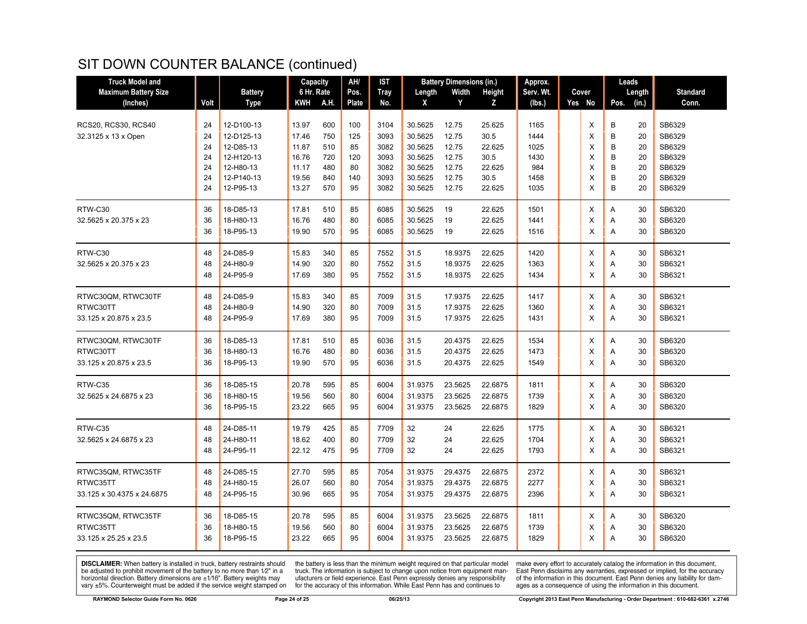| <b>Truck Model and</b>      |      |                | Capacity   |      | AH/   | IST  | <b>Battery Dimensions (in.)</b> |         | Approx. |           |  | Leads  |               |                 |
|-----------------------------|------|----------------|------------|------|-------|------|---------------------------------|---------|---------|-----------|--|--------|---------------|-----------------|
| <b>Maximum Battery Size</b> |      | <b>Battery</b> | 6 Hr. Rate |      | Pos.  | Tray | Length                          | Width   | Height  | Serv. Wt. |  | Cover  | Length        | <b>Standard</b> |
| (Inches)                    | Volt | <b>Type</b>    | KWH        | A.H. | Plate | No.  | X                               | Y       | Z       | (lbs.)    |  | Yes No | Pos.<br>(in.) | Conn.           |
|                             |      |                |            |      |       |      |                                 |         |         |           |  |        |               |                 |
| <b>RCS20, RCS30, RCS40</b>  | 24   | 12-D100-13     | 13.97      | 600  | 100   | 3104 | 30.5625                         | 12.75   | 25.625  | 1165      |  | X      | 20<br>В       | SB6329          |
| 32.3125 x 13 x Open         | 24   | 12-D125-13     | 17.46      | 750  | 125   | 3093 | 30.5625                         | 12.75   | 30.5    | 1444      |  | X      | B<br>20       | SB6329          |
|                             | 24   | 12-D85-13      | 11.87      | 510  | 85    | 3082 | 30.5625                         | 12.75   | 22.625  | 1025      |  | X      | B<br>20       | SB6329          |
|                             | 24   | 12-H120-13     | 16.76      | 720  | 120   | 3093 | 30.5625                         | 12.75   | 30.5    | 1430      |  | X      | B<br>20       | SB6329          |
|                             | 24   | 12-H80-13      | 11.17      | 480  | 80    | 3082 | 30.5625                         | 12.75   | 22.625  | 984       |  | X      | B<br>20       | SB6329          |
|                             | 24   | 12-P140-13     | 19.56      | 840  | 140   | 3093 | 30.5625                         | 12.75   | 30.5    | 1458      |  | X      | B<br>20       | SB6329          |
|                             | 24   | 12-P95-13      | 13.27      | 570  | 95    | 3082 | 30.5625                         | 12.75   | 22.625  | 1035      |  | X      | B<br>20       | SB6329          |
| RTW-C30                     | 36   | 18-D85-13      | 17.81      | 510  | 85    | 6085 | 30.5625                         | 19      | 22.625  | 1501      |  | X      | Α<br>30       | SB6320          |
| 32.5625 x 20.375 x 23       | 36   | 18-H80-13      | 16.76      | 480  | 80    | 6085 | 30.5625                         | 19      | 22.625  | 1441      |  | Х      | 30<br>Α       | SB6320          |
|                             | 36   | 18-P95-13      | 19.90      | 570  | 95    | 6085 | 30.5625                         | 19      | 22.625  | 1516      |  | X      | Α<br>30       | SB6320          |
| RTW-C30                     | 48   | 24-D85-9       | 15.83      | 340  | 85    | 7552 | 31.5                            | 18.9375 | 22.625  | 1420      |  | X      | 30<br>A       | SB6321          |
| 32.5625 x 20.375 x 23       | 48   | 24-H80-9       | 14.90      | 320  | 80    | 7552 | 31.5                            | 18.9375 | 22.625  | 1363      |  | X      | 30<br>Α       | SB6321          |
|                             | 48   | 24-P95-9       | 17.69      | 380  | 95    | 7552 | 31.5                            | 18.9375 | 22.625  | 1434      |  | X      | 30<br>Α       | SB6321          |
|                             |      |                |            |      |       |      |                                 |         |         |           |  |        |               |                 |
| RTWC30QM, RTWC30TF          | 48   | 24-D85-9       | 15.83      | 340  | 85    | 7009 | 31.5                            | 17.9375 | 22.625  | 1417      |  | X      | 30<br>A       | SB6321          |
| RTWC30TT                    | 48   | 24-H80-9       | 14.90      | 320  | 80    | 7009 | 31.5                            | 17.9375 | 22.625  | 1360      |  | X      | 30<br>Α       | SB6321          |
| 33.125 x 20.875 x 23.5      | 48   | 24-P95-9       | 17.69      | 380  | 95    | 7009 | 31.5                            | 17.9375 | 22.625  | 1431      |  | X      | 30<br>A       | SB6321          |
|                             |      |                |            |      |       |      |                                 |         |         |           |  |        |               |                 |
| RTWC30QM, RTWC30TF          | 36   | 18-D85-13      | 17.81      | 510  | 85    | 6036 | 31.5                            | 20.4375 | 22.625  | 1534      |  | X      | Α<br>30       | SB6320          |
| RTWC30TT                    | 36   | 18-H80-13      | 16.76      | 480  | 80    | 6036 | 31.5                            | 20.4375 | 22.625  | 1473      |  | X      | Α<br>30       | SB6320          |
| 33.125 x 20.875 x 23.5      | 36   | 18-P95-13      | 19.90      | 570  | 95    | 6036 | 31.5                            | 20.4375 | 22.625  | 1549      |  | X      | 30<br>A       | SB6320          |
|                             |      |                |            |      |       |      |                                 |         |         |           |  |        |               |                 |
| RTW-C35                     | 36   | 18-D85-15      | 20.78      | 595  | 85    | 6004 | 31.9375                         | 23.5625 | 22.6875 | 1811      |  | X      | Α<br>30       | SB6320          |
| 32.5625 x 24.6875 x 23      | 36   | 18-H80-15      | 19.56      | 560  | 80    | 6004 | 31.9375                         | 23.5625 | 22.6875 | 1739      |  | X      | 30<br>Α       | SB6320          |
|                             | 36   | 18-P95-15      | 23.22      | 665  | 95    | 6004 | 31.9375                         | 23.5625 | 22.6875 | 1829      |  | X      | 30<br>Α       | SB6320          |
| RTW-C35                     | 48   | 24-D85-11      | 19.79      | 425  | 85    | 7709 | 32                              | 24      | 22.625  | 1775      |  | X      | Α<br>30       | SB6321          |
| 32.5625 x 24.6875 x 23      | 48   | 24-H80-11      | 18.62      | 400  | 80    | 7709 | 32                              | 24      | 22.625  | 1704      |  | X      | 30<br>Α       | SB6321          |
|                             | 48   | 24-P95-11      | 22.12      | 475  | 95    | 7709 | 32                              | 24      | 22.625  | 1793      |  | X      | Α<br>30       | SB6321          |
|                             |      |                |            |      |       |      |                                 |         |         |           |  |        |               |                 |
| RTWC35QM, RTWC35TF          | 48   | 24-D85-15      | 27.70      | 595  | 85    | 7054 | 31.9375                         | 29.4375 | 22.6875 | 2372      |  | Х      | A<br>30       | SB6321          |
| RTWC35TT                    | 48   | 24-H80-15      | 26.07      | 560  | 80    | 7054 | 31.9375                         | 29.4375 | 22.6875 | 2277      |  | X      | 30<br>Α       | SB6321          |
| 33.125 x 30.4375 x 24.6875  | 48   | 24-P95-15      | 30.96      | 665  | 95    | 7054 | 31.9375                         | 29.4375 | 22.6875 | 2396      |  | X      | 30<br>Α       | SB6321          |
| RTWC35QM, RTWC35TF          | 36   | 18-D85-15      | 20.78      | 595  | 85    | 6004 | 31.9375                         | 23.5625 | 22.6875 | 1811      |  | X      | 30<br>Α       | SB6320          |
| RTWC35TT                    | 36   | 18-H80-15      | 19.56      | 560  | 80    | 6004 | 31.9375                         | 23.5625 | 22.6875 | 1739      |  | X      | 30<br>Α       | SB6320          |
| 33.125 x 25.25 x 23.5       | 36   | 18-P95-15      | 23.22      | 665  | 95    | 6004 | 31.9375                         | 23.5625 | 22.6875 | 1829      |  | X      | 30<br>A       | SB6320          |
|                             |      |                |            |      |       |      |                                 |         |         |           |  |        |               |                 |

**DISCLAIMER:** When battery is installed in truck, battery restraints should be adjusted to prohibit movement of the battery to no more than  $1/2$ " in a horizontal direction. Battery dimensions are  $\pm 1/16$ ". Battery weig

the battery is less than the minimum weight required on that particular model<br>truck. The information is subject to change upon notice from equipment man-<br>ufacturers or field experience. East Penn expressly denies any respo for the accuracy of this information. While East Penn has and continues to